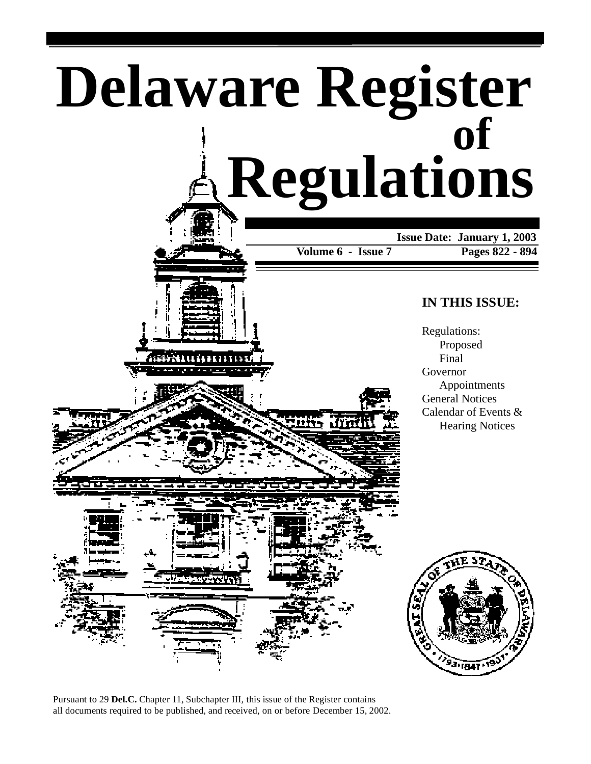



Pursuant to 29 **Del.C.** Chapter 11, Subchapter III, this issue of the Register contains all documents required to be published, and received, on or before December 15, 2002.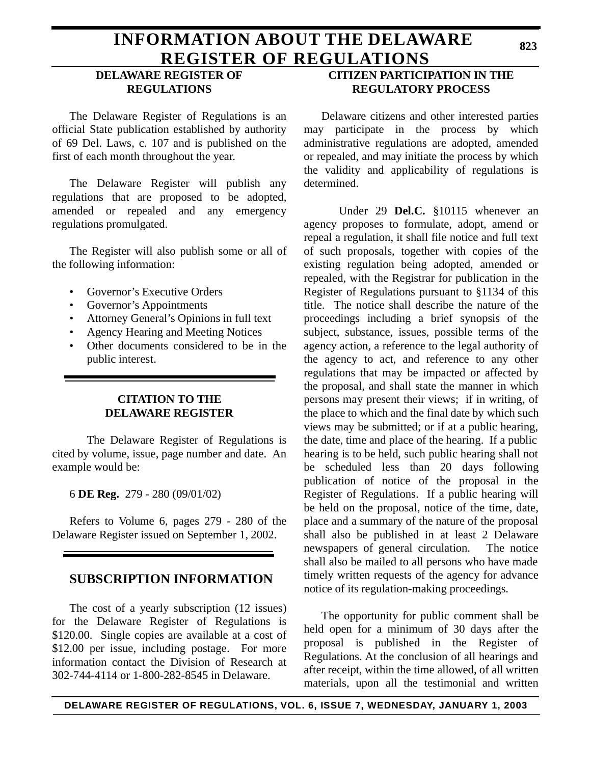# **INFORMATION ABOUT THE DELAWARE REGISTER OF REGULATIONS**

## **DELAWARE REGISTER OF REGULATIONS**

The Delaware Register of Regulations is an official State publication established by authority of 69 Del. Laws, c. 107 and is published on the first of each month throughout the year.

The Delaware Register will publish any regulations that are proposed to be adopted, amended or repealed and any emergency regulations promulgated.

The Register will also publish some or all of the following information:

- Governor's Executive Orders
- Governor's Appointments
- Attorney General's Opinions in full text
- Agency Hearing and Meeting Notices
- Other documents considered to be in the public interest.

## **CITATION TO THE DELAWARE REGISTER**

The Delaware Register of Regulations is cited by volume, issue, page number and date. An example would be:

6 **DE Reg.** 279 - 280 (09/01/02)

Refers to Volume 6, pages 279 - 280 of the Delaware Register issued on September 1, 2002.

# **SUBSCRIPTION INFORMATION**

The cost of a yearly subscription (12 issues) for the Delaware Register of Regulations is \$120.00. Single copies are available at a cost of \$12.00 per issue, including postage. For more information contact the Division of Research at 302-744-4114 or 1-800-282-8545 in Delaware.

# **CITIZEN PARTICIPATION IN THE REGULATORY PROCESS**

Delaware citizens and other interested parties may participate in the process by which administrative regulations are adopted, amended or repealed, and may initiate the process by which the validity and applicability of regulations is determined.

Under 29 **Del.C.** §10115 whenever an agency proposes to formulate, adopt, amend or repeal a regulation, it shall file notice and full text of such proposals, together with copies of the existing regulation being adopted, amended or repealed, with the Registrar for publication in the Register of Regulations pursuant to §1134 of this title. The notice shall describe the nature of the proceedings including a brief synopsis of the subject, substance, issues, possible terms of the agency action, a reference to the legal authority of the agency to act, and reference to any other regulations that may be impacted or affected by the proposal, and shall state the manner in which persons may present their views; if in writing, of the place to which and the final date by which such views may be submitted; or if at a public hearing, the date, time and place of the hearing. If a public hearing is to be held, such public hearing shall not be scheduled less than 20 days following publication of notice of the proposal in the Register of Regulations. If a public hearing will be held on the proposal, notice of the time, date, place and a summary of the nature of the proposal shall also be published in at least 2 Delaware newspapers of general circulation. The notice shall also be mailed to all persons who have made timely written requests of the agency for advance notice of its regulation-making proceedings.

The opportunity for public comment shall be held open for a minimum of 30 days after the proposal is published in the Register of Regulations. At the conclusion of all hearings and after receipt, within the time allowed, of all written materials, upon all the testimonial and written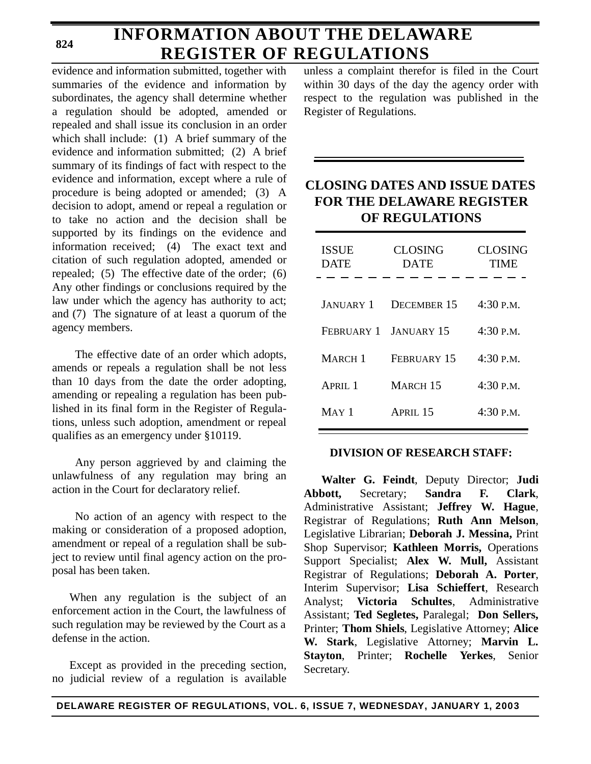**824**

# **INFORMATION ABOUT THE DELAWARE REGISTER OF REGULATIONS**

evidence and information submitted, together with summaries of the evidence and information by subordinates, the agency shall determine whether a regulation should be adopted, amended or repealed and shall issue its conclusion in an order which shall include: (1) A brief summary of the evidence and information submitted; (2) A brief summary of its findings of fact with respect to the evidence and information, except where a rule of procedure is being adopted or amended; (3) A decision to adopt, amend or repeal a regulation or to take no action and the decision shall be supported by its findings on the evidence and information received; (4) The exact text and citation of such regulation adopted, amended or repealed; (5) The effective date of the order; (6) Any other findings or conclusions required by the law under which the agency has authority to act; and (7) The signature of at least a quorum of the agency members.

The effective date of an order which adopts, amends or repeals a regulation shall be not less than 10 days from the date the order adopting, amending or repealing a regulation has been published in its final form in the Register of Regulations, unless such adoption, amendment or repeal qualifies as an emergency under §10119.

Any person aggrieved by and claiming the unlawfulness of any regulation may bring an action in the Court for declaratory relief.

No action of an agency with respect to the making or consideration of a proposed adoption, amendment or repeal of a regulation shall be subject to review until final agency action on the proposal has been taken.

When any regulation is the subject of an enforcement action in the Court, the lawfulness of such regulation may be reviewed by the Court as a defense in the action.

Except as provided in the preceding section, no judicial review of a regulation is available unless a complaint therefor is filed in the Court within 30 days of the day the agency order with respect to the regulation was published in the Register of Regulations.

# **CLOSING DATES AND ISSUE DATES FOR THE DELAWARE REGISTER OF REGULATIONS**

| <b>ISSUE</b><br><b>DATE</b> | <b>CLOSING</b><br><b>DATE</b> | <b>CLOSING</b><br>TIME |
|-----------------------------|-------------------------------|------------------------|
|                             |                               |                        |
| <b>JANUARY 1</b>            | <b>DECEMBER 15</b>            | 4:30 P.M.              |
| FEBRUARY 1                  | <b>JANUARY 15</b>             | $4:30$ P.M.            |
| <b>MARCH</b> 1              | FEBRUARY 15                   | $4:30$ P.M.            |
| APRII.1                     | MARCH <sub>15</sub>           | 4:30 P.M.              |
| $MAY$ 1                     | APRIL <sub>15</sub>           | $4:30$ P.M.            |
|                             |                               |                        |

## **DIVISION OF RESEARCH STAFF:**

**Walter G. Feindt**, Deputy Director; **Judi Abbott,** Secretary; **Sandra F. Clark**, Administrative Assistant; **Jeffrey W. Hague**, Registrar of Regulations; **Ruth Ann Melson**, Legislative Librarian; **Deborah J. Messina,** Print Shop Supervisor; **Kathleen Morris,** Operations Support Specialist; **Alex W. Mull,** Assistant Registrar of Regulations; **Deborah A. Porter**, Interim Supervisor; **Lisa Schieffert**, Research Analyst; **Victoria Schultes**, Administrative Assistant; **Ted Segletes,** Paralegal; **Don Sellers,** Printer; **Thom Shiels**, Legislative Attorney; **Alice W. Stark**, Legislative Attorney; **Marvin L. Stayton**, Printer; **Rochelle Yerkes**, Senior Secretary.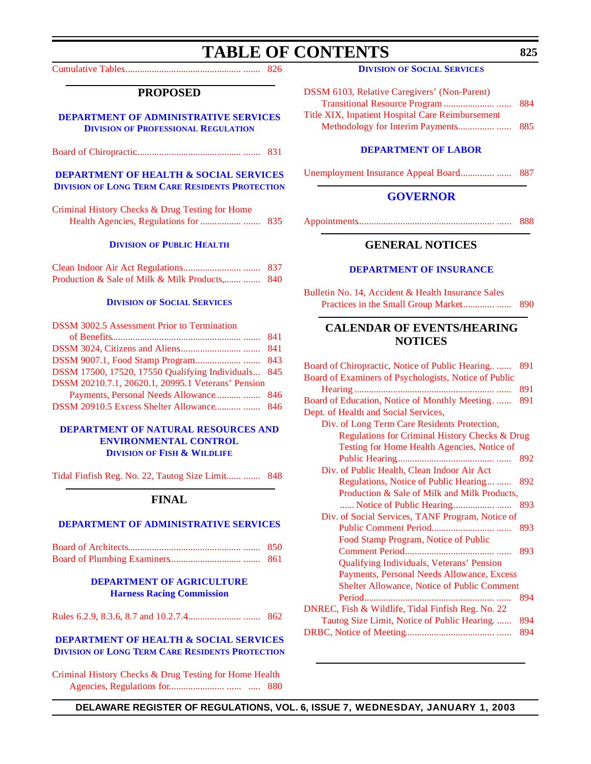# **TABLE OF CONTENTS**

<span id="page-3-0"></span>[Cumulative Tables................................................. ....... 826](#page-4-0)

### **PROPOSED**

**[DEPARTMENT OF ADMINISTRATIVE SERVICES](http://www.professionallicensing.state.de.us/index.shtml) DIVISION OF PROFESSIONAL REGULATION**

[Board of Chiropractic............................................ ....... 831](#page-9-0)

### **[DEPARTMENT OF HEALTH & SOCIAL SERVICES](http://www.state.de.us/dhss/dltc/dltchome.htm) DIVISION OF LONG TERM CARE RESIDENTS PROTECTION**

| Criminal History Checks & Drug Testing for Home |  |
|-------------------------------------------------|--|
|                                                 |  |

#### **DIVISION [OF PUBLIC HEALTH](http://www.state.de.us/dhss/dph/index.htm)**

|                                                 | -837 |
|-------------------------------------------------|------|
| Production & Sale of Milk & Milk Products,  840 |      |

#### **DIVISION [OF SOCIAL SERVICES](http://www.state.de.us/dhss/dss/dsshome.html)**

| <b>DSSM 3002.5 Assessment Prior to Termination</b>  |  |
|-----------------------------------------------------|--|
|                                                     |  |
|                                                     |  |
|                                                     |  |
| DSSM 17500, 17520, 17550 Qualifying Individuals 845 |  |
| DSSM 20210.7.1, 20620.1, 20995.1 Veterans' Pension  |  |
|                                                     |  |
| DSSM 20910.5 Excess Shelter Allowance 846           |  |

### **[DEPARTMENT OF NATURAL RESOURCES AND](http://www.dnrec.state.de.us/DNREC2000/Divisions/FW/FW.htm)  ENVIRONMENTAL CONTROL DIVISION OF FISH & WILDLIFE**

[Tidal Finfish Reg. No. 22, Tautog Size Limit....... ....... 848](#page-26-0)

### **FINAL**

#### **[DEPARTMENT OF ADMINISTRATIVE SERVICES](http://www.professionallicensing.state.de.us/index.shtml)**

#### **[DEPARTMENT OF AGRICULTURE](http://www.state.de.us/deptagri/harness/index.htm) Harness Racing Commission**

[Rules 6.2.9, 8.3.6, 8.7 and 10.2.7.4....................... ....... 862](#page-40-0)

### **[DEPARTMENT OF HEALTH & SOCIAL SERVICES](http://www.state.de.us/dhss/dltc/dltchome.htm) DIVISION OF LONG TERM CARE RESIDENTS PROTECTION**

[Criminal History Checks & Drug Testing for Home Health](#page-58-0) Agencies, Regulations for....................... ...... ..... 880

| <b>DSSM 6103, Relative Caregivers' (Non-Parent)</b> |     |
|-----------------------------------------------------|-----|
|                                                     |     |
| Title XIX, Inpatient Hospital Care Reimbursement    |     |
|                                                     | 885 |

#### **[DEPARTMENT OF LABOR](http://www.delawareworks.com/divisions/unemployment/welcome.htm)**

[Unemployment Insurance Appeal Board............... ...... 887](#page-65-0)

### **[GOVERNOR](http://www.state.de.us/governor/index.htm)**

[Appointments......................................................... ...... 888](#page-66-0)

## **GENERAL NOTICES**

#### **[DEPARTMENT OF INSURANCE](http://www.state.de.us/inscom/)**

Bulletin No. 14, Accident & Health Insurance Sales [Practices in the Small Group Market.............. ...... 890](#page-68-0)

## **CALENDAR OF EVENTS/HEARING NOTICES**

| Board of Chiropractic, Notice of Public Hearing       | 891 |
|-------------------------------------------------------|-----|
| Board of Examiners of Psychologists, Notice of Public |     |
|                                                       | 891 |
| Board of Education, Notice of Monthly Meeting         | 891 |
| Dept. of Health and Social Services,                  |     |
| Div. of Long Term Care Residents Protection,          |     |
| Regulations for Criminal History Checks & Drug        |     |
| Testing for Home Health Agencies, Notice of           |     |
|                                                       | 892 |
| Div. of Public Health, Clean Indoor Air Act           |     |
| Regulations, Notice of Public Hearing                 | 892 |
| Production & Sale of Milk and Milk Products,          |     |
|                                                       | 893 |
| Div. of Social Services, TANF Program, Notice of      |     |
|                                                       | 893 |
| Food Stamp Program, Notice of Public                  |     |
|                                                       | 893 |
| Qualifying Individuals, Veterans' Pension             |     |
| Payments, Personal Needs Allowance, Excess            |     |
| Shelter Allowance, Notice of Public Comment           |     |
| Period                                                | 894 |
| DNREC, Fish & Wildlife, Tidal Finfish Reg. No. 22     |     |
| Tautog Size Limit, Notice of Public Hearing.          | 894 |
|                                                       | 894 |
|                                                       |     |

**DELAWARE REGISTER OF REGULATIONS, VOL. 6, ISSUE 7, WEDNESDAY, JANUARY 1, 2003**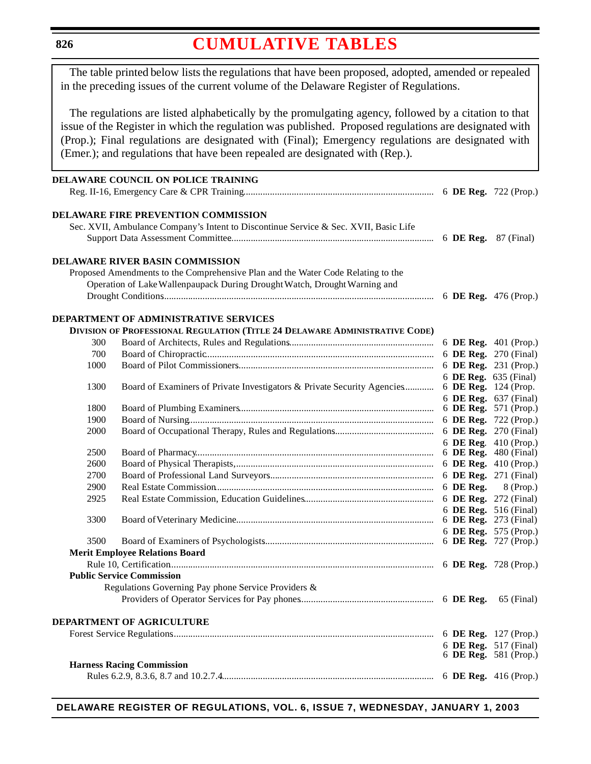<span id="page-4-0"></span>**826**

# **[CUMULATIVE](#page-3-0) TABLES**

The table printed below lists the regulations that have been proposed, adopted, amended or repealed in the preceding issues of the current volume of the Delaware Register of Regulations.

The regulations are listed alphabetically by the promulgating agency, followed by a citation to that issue of the Register in which the regulation was published. Proposed regulations are designated with (Prop.); Final regulations are designated with (Final); Emergency regulations are designated with (Emer.); and regulations that have been repealed are designated with (Rep.).

|      | <b>DELAWARE COUNCIL ON POLICE TRAINING</b>                                           |                       |                       |
|------|--------------------------------------------------------------------------------------|-----------------------|-----------------------|
|      |                                                                                      |                       |                       |
|      | <b>DELAWARE FIRE PREVENTION COMMISSION</b>                                           |                       |                       |
|      | Sec. XVII, Ambulance Company's Intent to Discontinue Service & Sec. XVII, Basic Life |                       |                       |
|      |                                                                                      |                       |                       |
|      | <b>DELAWARE RIVER BASIN COMMISSION</b>                                               |                       |                       |
|      | Proposed Amendments to the Comprehensive Plan and the Water Code Relating to the     |                       |                       |
|      | Operation of Lake Wallenpaupack During Drought Watch, Drought Warning and            |                       |                       |
|      |                                                                                      |                       |                       |
|      | <b>DEPARTMENT OF ADMINISTRATIVE SERVICES</b>                                         |                       |                       |
|      | DIVISION OF PROFESSIONAL REGULATION (TITLE 24 DELAWARE ADMINISTRATIVE CODE)          |                       |                       |
| 300  |                                                                                      |                       | 6 DE Reg. 401 (Prop.) |
| 700  |                                                                                      |                       | 6 DE Reg. 270 (Final) |
| 1000 |                                                                                      |                       | 6 DE Reg. 231 (Prop.) |
|      |                                                                                      |                       |                       |
| 1300 | Board of Examiners of Private Investigators & Private Security Agencies              | 6 DE Reg. 124 (Prop.  | 6 DE Reg. 635 (Final) |
|      |                                                                                      |                       | 6 DE Reg. 637 (Final) |
| 1800 |                                                                                      |                       | 6 DE Reg. 571 (Prop.) |
| 1900 |                                                                                      |                       | 6 DE Reg. 722 (Prop.) |
| 2000 |                                                                                      | 6 DE Reg. 270 (Final) |                       |
|      |                                                                                      |                       | 6 DE Reg. 410 (Prop.) |
| 2500 |                                                                                      |                       | 6 DE Reg. 480 (Final) |
| 2600 |                                                                                      |                       | 6 DE Reg. 410 (Prop.) |
| 2700 |                                                                                      |                       | 6 DE Reg. 271 (Final) |
| 2900 |                                                                                      |                       |                       |
|      |                                                                                      | 6 DE Reg.             | 8 (Prop.)             |
| 2925 |                                                                                      | 6 DE Reg. 272 (Final) |                       |
|      |                                                                                      |                       | 6 DE Reg. 516 (Final) |
| 3300 |                                                                                      | 6 DE Reg. 273 (Final) |                       |
| 3500 |                                                                                      |                       | 6 DE Reg. 575 (Prop.) |
|      | <b>Merit Employee Relations Board</b>                                                |                       |                       |
|      |                                                                                      |                       |                       |
|      |                                                                                      |                       |                       |
|      | <b>Public Service Commission</b>                                                     |                       |                       |
|      | Regulations Governing Pay phone Service Providers &                                  |                       |                       |
|      |                                                                                      |                       | 65 (Final)            |
|      | <b>DEPARTMENT OF AGRICULTURE</b>                                                     |                       |                       |
|      |                                                                                      |                       |                       |
|      |                                                                                      |                       | 6 DE Reg. 517 (Final) |
|      |                                                                                      |                       | 6 DE Reg. 581 (Prop.) |
|      | <b>Harness Racing Commission</b>                                                     |                       |                       |
|      |                                                                                      |                       |                       |

**DELAWARE REGISTER OF REGULATIONS, VOL. 6, ISSUE 7, WEDNESDAY, JANUARY 1, 2003**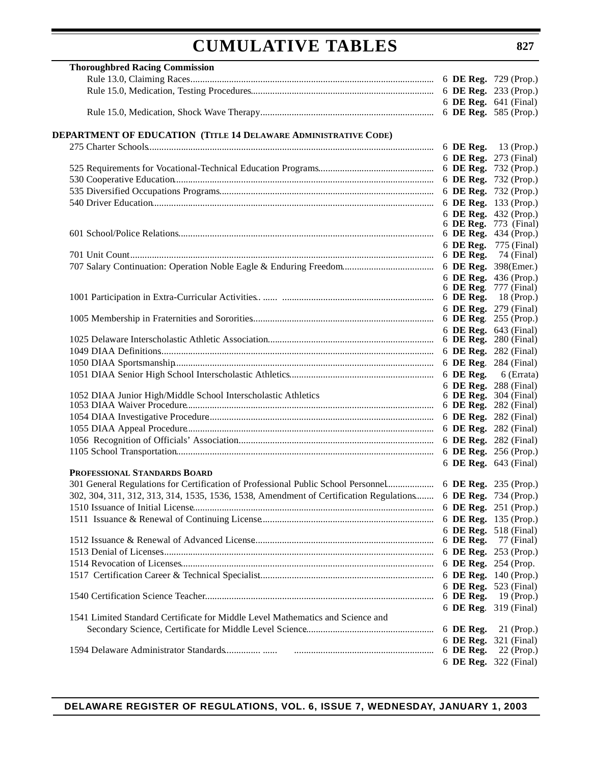| <b>Thoroughbred Racing Commission</b>                                                                        |                             |                       |
|--------------------------------------------------------------------------------------------------------------|-----------------------------|-----------------------|
|                                                                                                              |                             |                       |
|                                                                                                              |                             |                       |
|                                                                                                              |                             | 6 DE Reg. 641 (Final) |
|                                                                                                              | 6 DE Reg. 585 (Prop.)       |                       |
| DEPARTMENT OF EDUCATION (TITLE 14 DELAWARE ADMINISTRATIVE CODE)                                              |                             |                       |
|                                                                                                              |                             |                       |
|                                                                                                              |                             | 6 DE Reg. 273 (Final) |
|                                                                                                              | 6 DE Reg. 732 (Prop.)       |                       |
|                                                                                                              |                             | 6 DE Reg. 732 (Prop.) |
|                                                                                                              |                             | 6 DE Reg. 732 (Prop.) |
|                                                                                                              |                             | 6 DE Reg. 133 (Prop.) |
|                                                                                                              |                             | 6 DE Reg. 432 (Prop.) |
|                                                                                                              |                             | 6 DE Reg. 773 (Final) |
|                                                                                                              | 6 DE Reg. 434 (Prop.)       |                       |
|                                                                                                              |                             | 6 DE Reg. 775 (Final) |
|                                                                                                              | 6 <b>DE Reg.</b> 74 (Final) |                       |
|                                                                                                              | 6 DE Reg. 398(Emer.)        |                       |
|                                                                                                              |                             | 6 DE Reg. 436 (Prop.) |
|                                                                                                              |                             | 6 DE Reg. 777 (Final) |
|                                                                                                              | 6 DE Reg. 18 (Prop.)        |                       |
|                                                                                                              |                             | 6 DE Reg. 279 (Final) |
|                                                                                                              | 6 DE Reg. 255 (Prop.)       |                       |
|                                                                                                              |                             | 6 DE Reg. 643 (Final) |
|                                                                                                              | 6 DE Reg. 280 (Final)       |                       |
|                                                                                                              | 6 DE Reg. 282 (Final)       |                       |
|                                                                                                              | 6 DE Reg. 284 (Final)       |                       |
|                                                                                                              | 6 DE Reg. $6$ (Errata)      |                       |
|                                                                                                              |                             | 6 DE Reg. 288 (Final) |
| 1052 DIAA Junior High/Middle School Interscholastic Athletics                                                |                             | 6 DE Reg. 304 (Final) |
|                                                                                                              |                             | 6 DE Reg. 282 (Final) |
|                                                                                                              |                             | 6 DE Reg. 282 (Final) |
|                                                                                                              |                             | 6 DE Reg. 282 (Final) |
|                                                                                                              |                             | 6 DE Reg. 282 (Final) |
|                                                                                                              |                             | 6 DE Reg. 256 (Prop.) |
|                                                                                                              |                             | 6 DE Reg. 643 (Final) |
| PROFESSIONAL STANDARDS BOARD                                                                                 |                             |                       |
|                                                                                                              |                             |                       |
| 302, 304, 311, 312, 313, 314, 1535, 1536, 1538, Amendment of Certification Regulations 6 DE Reg. 734 (Prop.) |                             |                       |
|                                                                                                              |                             | 6 DE Reg. 251 (Prop.) |
|                                                                                                              | 6 DE Reg. 135 (Prop.)       |                       |
|                                                                                                              |                             | 6 DE Reg. 518 (Final) |
|                                                                                                              |                             | 6 DE Reg. 77 (Final)  |
|                                                                                                              |                             | 6 DE Reg. 253 (Prop.) |
|                                                                                                              | 6 DE Reg. 254 (Prop.        |                       |
|                                                                                                              |                             | 6 DE Reg. 140 (Prop.) |
|                                                                                                              |                             | 6 DE Reg. 523 (Final) |
|                                                                                                              | 6 DE Reg.                   | 19 (Prop.)            |
|                                                                                                              |                             | 6 DE Reg. 319 (Final) |
| 1541 Limited Standard Certificate for Middle Level Mathematics and Science and                               |                             |                       |
|                                                                                                              | 6 DE Reg.                   | $21$ (Prop.)          |
|                                                                                                              |                             | 6 DE Reg. 321 (Final) |
|                                                                                                              | 6 DE Reg.                   | $22$ (Prop.)          |
|                                                                                                              |                             | 6 DE Reg. 322 (Final) |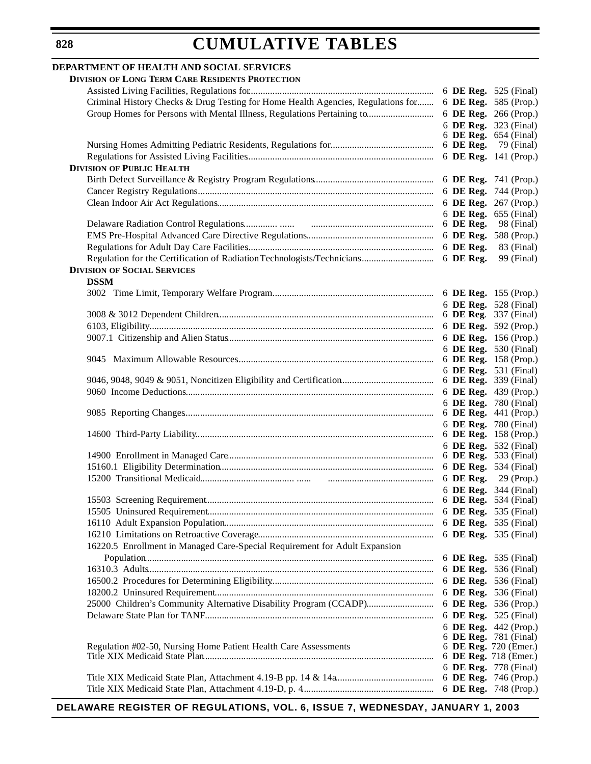### **DEPARTMENT OF HEALTH AND SOCIAL SERVICES DIVISION OF LONG TERM CARE RESIDENTS PROTECTION** Assisted Living Facilities, Regulations for............................................................................. 6 **DE Reg.** 525 (Final) Criminal History Checks & Drug Testing for Home Health Agencies, Regulations for........ 6 **DE Reg.** 585 (Prop.) Group Homes for Persons with Mental Illness, Regulations Pertaining to............................ 6 **DE Reg.** 266 (Prop.) 6 **DE Reg.** 323 (Final) 6 **DE Reg.** 654 (Final) Nursing Homes Admitting Pediatric Residents, Regulations for........................................... 6 **DE Reg.** 79 (Final) Regulations for Assisted Living Facilities.............................................................................. 6 **DE Reg.** 141 (Prop.) **DIVISION OF PUBLIC HEALTH** Birth Defect Surveillance & Registry Program Regulations.................................................. 6 **DE Reg.** 741 (Prop.) Cancer Registry Regulations.................................................................................................. 6 **DE Reg.** 744 (Prop.) Clean Indoor Air Act Regulations.......................................................................................... 6 **DE Reg.** 267 (Prop.) 6 **DE Reg.** 655 (Final) Delaware Radiation Control Regulations.............. ...... ................................................... 6 **DE Reg.** 98 (Final) EMS Pre-Hospital Advanced Care Directive Regulations..................................................... 6 **DE Reg.** 588 (Prop.) Regulations for Adult Day Care Facilities.............................................................................. 6 **DE Reg.** 83 (Final) Regulation for the Certification of Radiation Technologists/Technicians.............................. 6 **DE Reg.** 99 (Final) **DIVISION OF SOCIAL SERVICES DSSM** 3002 Time Limit, Temporary Welfare Program................................................................... 6 **DE Reg.** 155 (Prop.) 6 **DE Reg.** 528 (Final) 3008 & 3012 Dependent Children.......................................................................................... 6 **DE Reg**. 337 (Final) 6103, Eligibility...................................................................................................................... 6 **DE Reg.** 592 (Prop.) 9007.1 Citizenship and Alien Status...................................................................................... 6 **DE Reg.** 156 (Prop.) 6 **DE Reg.** 530 (Final) 9045 Maximum Allowable Resources.................................................................................. 6 **DE Reg.** 158 (Prop.) 6 **DE Reg.** 531 (Final) 9046, 9048, 9049 & 9051, Noncitizen Eligibility and Certification....................................... 6 **DE Reg.** 339 (Final) 9060 Income Deductions....................................................................................................... 6 **DE Reg.** 439 (Prop.) 6 **DE Reg.** 780 (Final) 9085 Reporting Changes........................................................................................................ 6 **DE Reg.** 441 (Prop.) 6 **DE Reg.** 780 (Final) 14600 Third-Party Liability................................................................................................... 6 **DE Reg.** 158 (Prop.) 6 **DE Reg.** 532 (Final) 14900 Enrollment in Managed Care...................................................................................... 6 **DE Reg.** 533 (Final) 15160.1 Eligibility Determination......................................................................................... 6 **DE Reg.** 534 (Final) 15200 Transitional Medicaid....................................... ...... ............................................ 6 **DE Reg.** 29 (Prop.) 6 **DE Reg.** 344 (Final) 15503 Screening Requirement............................................................................................... 6 **DE Reg.** 534 (Final) 15505 Uninsured Requirement.............................................................................................. 6 **DE Reg.** 535 (Final) 16110 Adult Expansion Population....................................................................................... 6 **DE Reg.** 535 (Final) 16210 Limitations on Retroactive Coverage......................................................................... 6 **DE Reg.** 535 (Final) 16220.5 Enrollment in Managed Care-Special Requirement for Adult Expansion Population........................................................................................................................ 6 **DE Reg.** 535 (Final) 16310.3 Adults....................................................................................................................... 6 **DE Reg.** 536 (Final) 16500.2 Procedures for Determining Eligibility.................................................................... 6 **DE Reg.** 536 (Final) 18200.2 Uninsured Requirement........................................................................................... 6 **DE Reg.** 536 (Final) 25000 Children's Community Alternative Disability Program (CCADP)............................ 6 **DE Reg.** 536 (Prop.) Delaware State Plan for TANF............................................................................................... 6 **DE Reg.** 525 (Final) 6 **DE Reg.** 442 (Prop.) 6 **DE Reg.** 781 (Final) Regulation #02-50, Nursing Home Patient Health Care Assessments 6 **DE Reg.** 720 (Emer.) Title XIX Medicaid State Plan................................................................................................ 6 **DE Reg.** 718 (Emer.) 6 **DE Reg.** 778 (Final) Title XIX Medicaid State Plan, Attachment 4.19-B pp. 14 & 14a......................................... 6 **DE Reg.** 746 (Prop.) Title XIX Medicaid State Plan, Attachment 4.19-D, p. 4....................................................... 6 **DE Reg.** 748 (Prop.)

**DELAWARE REGISTER OF REGULATIONS, VOL. 6, ISSUE 7, WEDNESDAY, JANUARY 1, 2003**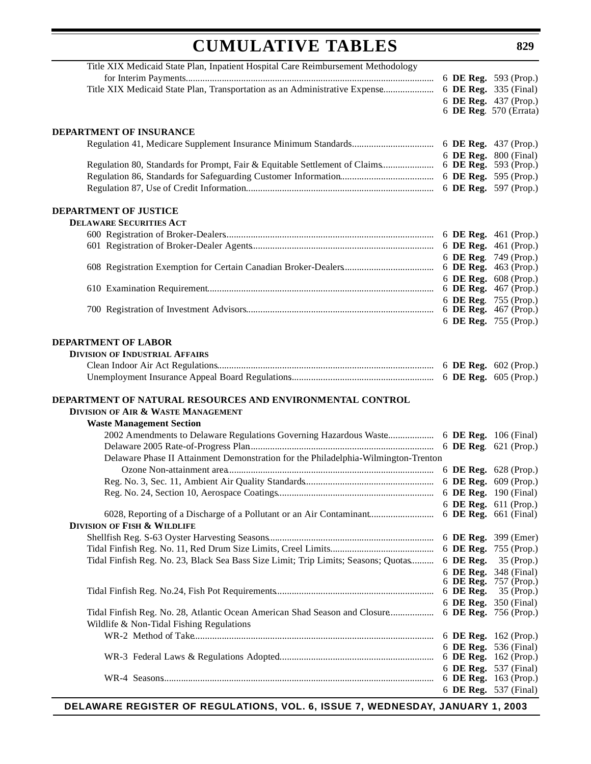Title XIX Medicaid State Plan, Inpatient Hospital Care Reimbursement Methodology for Interim Payments....................................................................................................... 6 **DE Reg.** 593 (Prop.) Title XIX Medicaid State Plan, Transportation as an Administrative Expense...................... 6 **DE Reg.** 335 (Final) 6 **DE Reg.** 437 (Prop.) 6 **DE Reg**. 570 (Errata) **DEPARTMENT OF INSURANCE** Regulation 41, Medicare Supplement Insurance Minimum Standards.................................. 6 **DE Reg.** 437 (Prop.) 6 **DE Reg.** 800 (Final) Regulation 80, Standards for Prompt, Fair & Equitable Settlement of Claims...................... 6 **DE Reg.** 593 (Prop.) Regulation 86, Standards for Safeguarding Customer Information....................................... 6 **DE Reg.** 595 (Prop.) Regulation 87, Use of Credit Information.............................................................................. 6 **DE Reg.** 597 (Prop.) **DEPARTMENT OF JUSTICE DELAWARE SECURITIES ACT** 600 Registration of Broker-Dealers....................................................................................... 6 **DE Reg.** 461 (Prop.) 601 Registration of Broker-Dealer Agents............................................................................ 6 **DE Reg.** 461 (Prop.) 6 **DE Reg**. 749 (Prop.) 608 Registration Exemption for Certain Canadian Broker-Dealers...................................... 6 **DE Reg.** 463 (Prop.) 6 **DE Reg.** 608 (Prop.) 610 Examination Requirement.............................................................................................. 6 **DE Reg.** 467 (Prop.) 6 **DE Reg**. 755 (Prop.) 700 Registration of Investment Advisors.............................................................................. 6 **DE Reg.** 467 (Prop.) 6 **DE Reg.** 755 (Prop.) **DEPARTMENT OF LABOR DIVISION OF INDUSTRIAL AFFAIRS** Clean Indoor Air Act Regulations.......................................................................................... 6 **DE Reg.** 602 (Prop.) Unemployment Insurance Appeal Board Regulations............................................................ 6 **DE Reg.** 605 (Prop.) **DEPARTMENT OF NATURAL RESOURCES AND ENVIRONMENTAL CONTROL DIVISION OF AIR & WASTE MANAGEMENT Waste Management Section** 2002 Amendments to Delaware Regulations Governing Hazardous Waste.................... 6 **DE Reg.** 106 (Final) Delaware 2005 Rate-of-Progress Plan............................................................................. 6 **DE Reg**. 621 (Prop.) Delaware Phase II Attainment Demonstration for the Philadelphia-Wilmington-Trenton Ozone Non-attainment area...................................................................................... 6 **DE Reg.** 628 (Prop.) Reg. No. 3, Sec. 11, Ambient Air Quality Standards...................................................... 6 **DE Reg.** 609 (Prop.) Reg. No. 24, Section 10, Aerospace Coatings................................................................. 6 **DE Reg.** 190 (Final) 6 **DE Reg.** 611 (Prop.) 6028, Reporting of a Discharge of a Pollutant or an Air Contaminant........................... 6 **DE Reg.** 661 (Final) **DIVISION OF FISH & WILDLIFE** Shellfish Reg. S-63 Oyster Harvesting Seasons..................................................................... 6 **DE Reg.** 399 (Emer) Tidal Finfish Reg. No. 11, Red Drum Size Limits, Creel Limits........................................... 6 **DE Reg.** 755 (Prop.) Tidal Finfish Reg. No. 23, Black Sea Bass Size Limit; Trip Limits; Seasons; Quotas.......... 6 **DE Reg.** 35 (Prop.) 6 **DE Reg.** 348 (Final) 6 **DE Reg.** 757 (Prop.) Tidal Finfish Reg. No.24, Fish Pot Requirements.................................................................. 6 **DE Reg.** 35 (Prop.) 6 **DE Reg.** 350 (Final) Tidal Finfish Reg. No. 28, Atlantic Ocean American Shad Season and Closure................... 6 **DE Reg.** 756 (Prop.) Wildlife & Non-Tidal Fishing Regulations WR-2 Method of Take.................................................................................................... 6 **DE Reg.** 162 (Prop.) 6 **DE Reg.** 536 (Final) WR-3 Federal Laws & Regulations Adopted................................................................. 6 **DE Reg.** 162 (Prop.) 6 **DE Reg.** 537 (Final) WR-4 Seasons................................................................................................................. 6 **DE Reg.** 163 (Prop.) 6 **DE Reg.** 537 (Final)

**DELAWARE REGISTER OF REGULATIONS, VOL. 6, ISSUE 7, WEDNESDAY, JANUARY 1, 2003**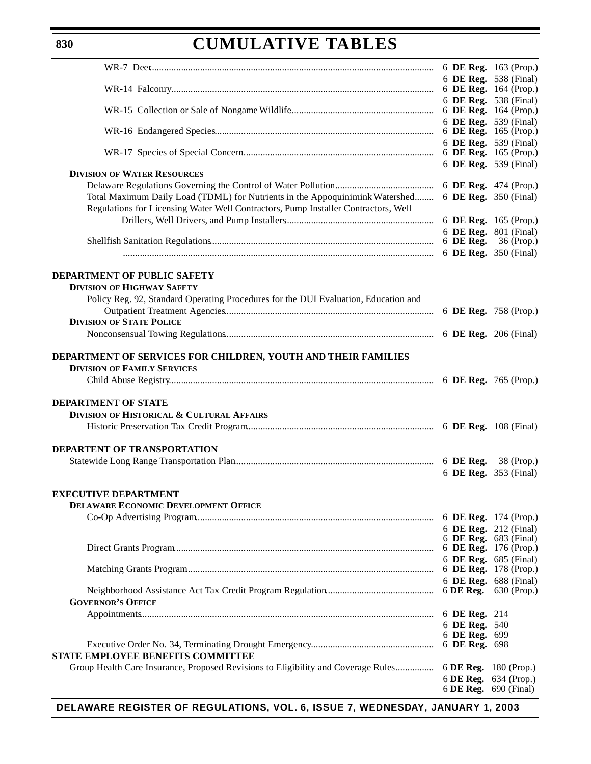|                                                                                     |                                | 6 DE Reg. 538 (Final) |
|-------------------------------------------------------------------------------------|--------------------------------|-----------------------|
|                                                                                     |                                |                       |
|                                                                                     |                                | 6 DE Reg. 538 (Final) |
|                                                                                     |                                | 6 DE Reg. 164 (Prop.) |
|                                                                                     |                                | 6 DE Reg. 539 (Final) |
|                                                                                     |                                |                       |
|                                                                                     |                                | 6 DE Reg. 539 (Final) |
|                                                                                     |                                |                       |
|                                                                                     |                                | 6 DE Reg. 539 (Final) |
| <b>DIVISION OF WATER RESOURCES</b>                                                  |                                |                       |
|                                                                                     |                                | 6 DE Reg. 474 (Prop.) |
| Total Maximum Daily Load (TDML) for Nutrients in the Appoquinimink Watershed        |                                | 6 DE Reg. 350 (Final) |
| Regulations for Licensing Water Well Contractors, Pump Installer Contractors, Well  |                                |                       |
|                                                                                     |                                | 6 DE Reg. 165 (Prop.) |
|                                                                                     |                                | 6 DE Reg. 801 (Final) |
|                                                                                     | 6 DE Reg.                      | 36 (Prop.)            |
|                                                                                     |                                | 6 DE Reg. 350 (Final) |
|                                                                                     |                                |                       |
| <b>DEPARTMENT OF PUBLIC SAFETY</b>                                                  |                                |                       |
| <b>DIVISION OF HIGHWAY SAFETY</b>                                                   |                                |                       |
| Policy Reg. 92, Standard Operating Procedures for the DUI Evaluation, Education and |                                |                       |
|                                                                                     |                                | 6 DE Reg. 758 (Prop.) |
| <b>DIVISION OF STATE POLICE</b>                                                     |                                |                       |
|                                                                                     |                                |                       |
|                                                                                     |                                |                       |
| DEPARTMENT OF SERVICES FOR CHILDREN, YOUTH AND THEIR FAMILIES                       |                                |                       |
| <b>DIVISION OF FAMILY SERVICES</b>                                                  |                                |                       |
|                                                                                     |                                |                       |
|                                                                                     |                                |                       |
| <b>DEPARTMENT OF STATE</b>                                                          |                                |                       |
| DIVISION OF HISTORICAL & CULTURAL AFFAIRS                                           |                                |                       |
|                                                                                     |                                |                       |
|                                                                                     |                                |                       |
| <b>DEPARTENT OF TRANSPORTATION</b>                                                  |                                |                       |
|                                                                                     |                                |                       |
|                                                                                     |                                | 6 DE Reg. 353 (Final) |
|                                                                                     |                                |                       |
| <b>EXECUTIVE DEPARTMENT</b>                                                         |                                |                       |
| DELAWARE ECONOMIC DEVELOPMENT OFFICE                                                |                                |                       |
|                                                                                     |                                | 6 DE Reg. 174 (Prop.) |
|                                                                                     |                                | 6 DE Reg. 212 (Final) |
|                                                                                     |                                | 6 DE Reg. 683 (Final) |
|                                                                                     |                                | 6 DE Reg. 176 (Prop.) |
|                                                                                     |                                | 6 DE Reg. 685 (Final) |
|                                                                                     |                                | 6 DE Reg. 178 (Prop.) |
|                                                                                     |                                | 6 DE Reg. 688 (Final) |
|                                                                                     | $6$ DE Reg.                    | 630 (Prop.)           |
| <b>GOVERNOR'S OFFICE</b>                                                            |                                |                       |
|                                                                                     | 6 DE Reg. 214                  |                       |
|                                                                                     | 6 DE Reg. 540<br>6 DE Reg. 699 |                       |
|                                                                                     | 6 DE Reg. 698                  |                       |
| STATE EMPLOYEE BENEFITS COMMITTEE                                                   |                                |                       |
| Group Health Care Insurance, Proposed Revisions to Eligibility and Coverage Rules   |                                | 6 DE Reg. 180 (Prop.) |
|                                                                                     |                                | 6 DE Reg. 634 (Prop.) |
|                                                                                     |                                | 6 DE Reg. 690 (Final) |
|                                                                                     |                                |                       |

**DELAWARE REGISTER OF REGULATIONS, VOL. 6, ISSUE 7, WEDNESDAY, JANUARY 1, 2003**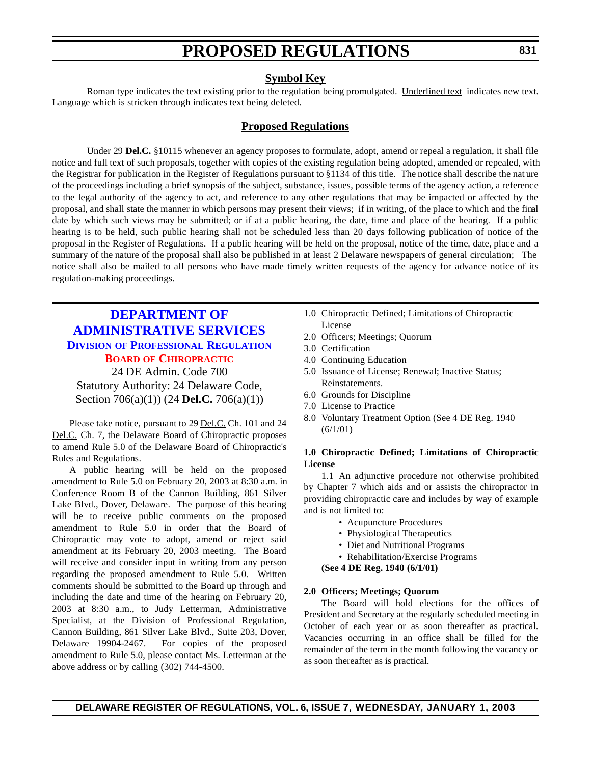### **Symbol Key**

<span id="page-9-0"></span>Roman type indicates the text existing prior to the regulation being promulgated. Underlined text indicates new text. Language which is stricken through indicates text being deleted.

### **Proposed Regulations**

Under 29 **Del.C.** §10115 whenever an agency proposes to formulate, adopt, amend or repeal a regulation, it shall file notice and full text of such proposals, together with copies of the existing regulation being adopted, amended or repealed, with the Registrar for publication in the Register of Regulations pursuant to §1134 of this title. The notice shall describe the nat ure of the proceedings including a brief synopsis of the subject, substance, issues, possible terms of the agency action, a reference to the legal authority of the agency to act, and reference to any other regulations that may be impacted or affected by the proposal, and shall state the manner in which persons may present their views; if in writing, of the place to which and the final date by which such views may be submitted; or if at a public hearing, the date, time and place of the hearing. If a public hearing is to be held, such public hearing shall not be scheduled less than 20 days following publication of notice of the proposal in the Register of Regulations. If a public hearing will be held on the proposal, notice of the time, date, place and a summary of the nature of the proposal shall also be published in at least 2 Delaware newspapers of general circulation; The notice shall also be mailed to all persons who have made timely written requests of the agency for advance notice of its regulation-making proceedings.

# **DEPARTMENT OF [ADMINISTRATIVE SERVICES](http://www.professionallicensing.state.de.us/boards/chiropractic/index.shtml) DIVISION OF PROFESSIONAL REGULATION BOARD OF [CHIROPRACTIC](#page-3-0)**

24 DE Admin. Code 700 Statutory Authority: 24 Delaware Code, Section 706(a)(1)) (24 **Del.C.** 706(a)(1))

Please take notice, pursuant to 29 Del.C. Ch. 101 and 24 Del.C. Ch. 7, the Delaware Board of Chiropractic proposes to amend Rule 5.0 of the Delaware Board of Chiropractic's Rules and Regulations.

A public hearing will be held on the proposed amendment to Rule 5.0 on February 20, 2003 at 8:30 a.m. in Conference Room B of the Cannon Building, 861 Silver Lake Blvd., Dover, Delaware. The purpose of this hearing will be to receive public comments on the proposed amendment to Rule 5.0 in order that the Board of Chiropractic may vote to adopt, amend or reject said amendment at its February 20, 2003 meeting. The Board will receive and consider input in writing from any person regarding the proposed amendment to Rule 5.0. Written comments should be submitted to the Board up through and including the date and time of the hearing on February 20, 2003 at 8:30 a.m., to Judy Letterman, Administrative Specialist, at the Division of Professional Regulation, Cannon Building, 861 Silver Lake Blvd., Suite 203, Dover, Delaware 19904-2467. For copies of the proposed amendment to Rule 5.0, please contact Ms. Letterman at the above address or by calling (302) 744-4500.

- 1.0 Chiropractic Defined; Limitations of Chiropractic License
- 2.0 Officers; Meetings; Quorum
- 3.0 Certification
- 4.0 Continuing Education
- 5.0 Issuance of License; Renewal; Inactive Status; Reinstatements.
- 6.0 Grounds for Discipline
- 7.0 License to Practice
- 8.0 Voluntary Treatment Option (See 4 DE Reg. 1940  $(6/1/01)$

#### **1.0 Chiropractic Defined; Limitations of Chiropractic License**

1.1 An adjunctive procedure not otherwise prohibited by Chapter 7 which aids and or assists the chiropractor in providing chiropractic care and includes by way of example and is not limited to:

- Acupuncture Procedures
- Physiological Therapeutics
- Diet and Nutritional Programs
- Rehabilitation/Exercise Programs
- **(See 4 DE Reg. 1940 (6/1/01)**

#### **2.0 Officers; Meetings; Quorum**

The Board will hold elections for the offices of President and Secretary at the regularly scheduled meeting in October of each year or as soon thereafter as practical. Vacancies occurring in an office shall be filled for the remainder of the term in the month following the vacancy or as soon thereafter as is practical.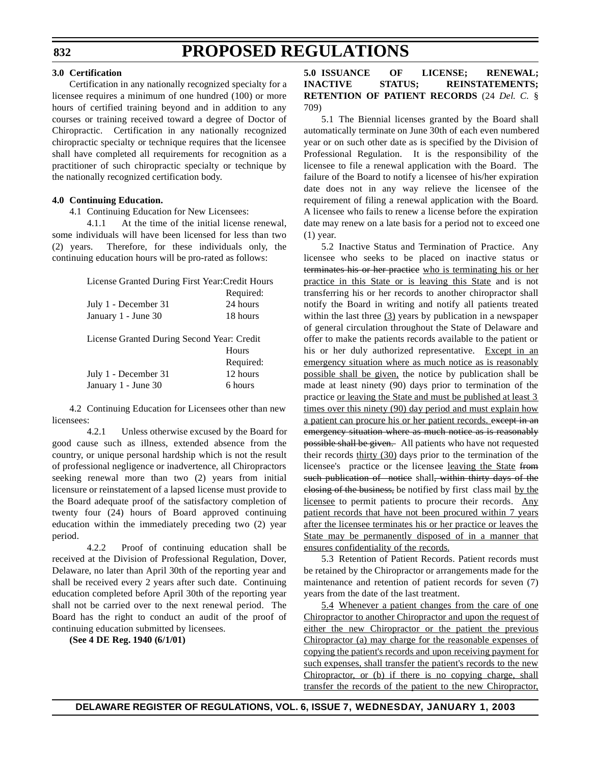### **3.0 Certification**

Certification in any nationally recognized specialty for a licensee requires a minimum of one hundred (100) or more hours of certified training beyond and in addition to any courses or training received toward a degree of Doctor of Chiropractic. Certification in any nationally recognized chiropractic specialty or technique requires that the licensee shall have completed all requirements for recognition as a practitioner of such chiropractic specialty or technique by the nationally recognized certification body.

#### **4.0 Continuing Education.**

4.1 Continuing Education for New Licensees:

4.1.1 At the time of the initial license renewal, some individuals will have been licensed for less than two (2) years. Therefore, for these individuals only, the continuing education hours will be pro-rated as follows:

| License Granted During First Year: Credit Hours |           |
|-------------------------------------------------|-----------|
|                                                 | Required: |
| July 1 - December 31                            | 24 hours  |
| January 1 - June 30                             | 18 hours  |
| License Granted During Second Year: Credit      |           |
|                                                 | Hours     |
|                                                 | Required: |
| July 1 - December 31                            | 12 hours  |
| January 1 - June 30                             | 6 hours   |

4.2 Continuing Education for Licensees other than new licensees:

4.2.1 Unless otherwise excused by the Board for good cause such as illness, extended absence from the country, or unique personal hardship which is not the result of professional negligence or inadvertence, all Chiropractors seeking renewal more than two (2) years from initial licensure or reinstatement of a lapsed license must provide to the Board adequate proof of the satisfactory completion of twenty four (24) hours of Board approved continuing education within the immediately preceding two (2) year period.

4.2.2 Proof of continuing education shall be received at the Division of Professional Regulation, Dover, Delaware, no later than April 30th of the reporting year and shall be received every 2 years after such date. Continuing education completed before April 30th of the reporting year shall not be carried over to the next renewal period. The Board has the right to conduct an audit of the proof of continuing education submitted by licensees.

**(See 4 DE Reg. 1940 (6/1/01)**

### **5.0 ISSUANCE OF LICENSE; RENEWAL; INACTIVE STATUS; REINSTATEMENTS; RETENTION OF PATIENT RECORDS** (24 *Del. C.* § 709)

5.1 The Biennial licenses granted by the Board shall automatically terminate on June 30th of each even numbered year or on such other date as is specified by the Division of Professional Regulation. It is the responsibility of the licensee to file a renewal application with the Board. The failure of the Board to notify a licensee of his/her expiration date does not in any way relieve the licensee of the requirement of filing a renewal application with the Board. A licensee who fails to renew a license before the expiration date may renew on a late basis for a period not to exceed one (1) year.

5.2 Inactive Status and Termination of Practice. Any licensee who seeks to be placed on inactive status or terminates his or her practice who is terminating his or her practice in this State or is leaving this State and is not transferring his or her records to another chiropractor shall notify the Board in writing and notify all patients treated within the last three (3) years by publication in a newspaper of general circulation throughout the State of Delaware and offer to make the patients records available to the patient or his or her duly authorized representative. Except in an emergency situation where as much notice as is reasonably possible shall be given, the notice by publication shall be made at least ninety (90) days prior to termination of the practice or leaving the State and must be published at least 3 times over this ninety (90) day period and must explain how a patient can procure his or her patient records. except in an emergency situation where as much notice as is reasonably possible shall be given. All patients who have not requested their records thirty (30) days prior to the termination of the licensee's practice or the licensee leaving the State from such publication of notice shall, within thirty days of the closing of the business, be notified by first class mail by the licensee to permit patients to procure their records. Any patient records that have not been procured within 7 years after the licensee terminates his or her practice or leaves the State may be permanently disposed of in a manner that ensures confidentiality of the records.

5.3 Retention of Patient Records. Patient records must be retained by the Chiropractor or arrangements made for the maintenance and retention of patient records for seven (7) years from the date of the last treatment.

5.4 Whenever a patient changes from the care of one Chiropractor to another Chiropractor and upon the request of either the new Chiropractor or the patient the previous Chiropractor (a) may charge for the reasonable expenses of copying the patient's records and upon receiving payment for such expenses, shall transfer the patient's records to the new Chiropractor, or (b) if there is no copying charge, shall transfer the records of the patient to the new Chiropractor,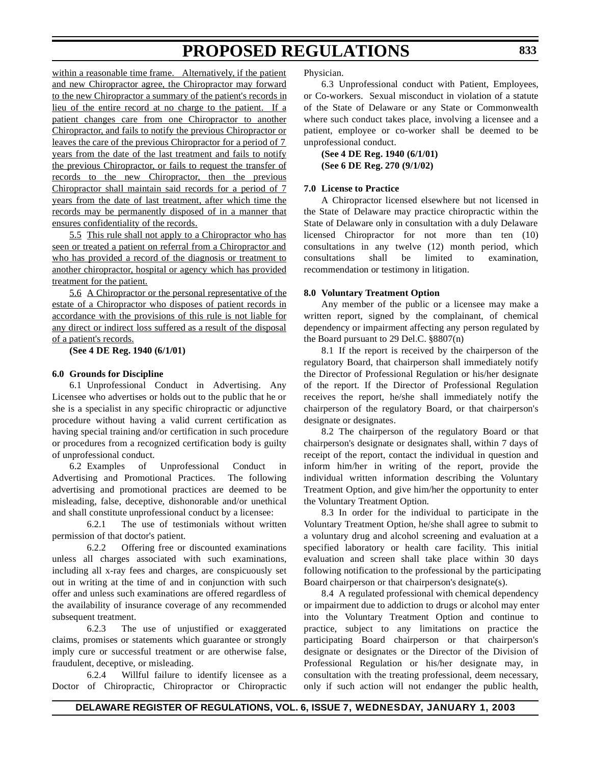within a reasonable time frame. Alternatively, if the patient and new Chiropractor agree, the Chiropractor may forward to the new Chiropractor a summary of the patient's records in lieu of the entire record at no charge to the patient. If a patient changes care from one Chiropractor to another Chiropractor, and fails to notify the previous Chiropractor or leaves the care of the previous Chiropractor for a period of 7 years from the date of the last treatment and fails to notify the previous Chiropractor, or fails to request the transfer of records to the new Chiropractor, then the previous Chiropractor shall maintain said records for a period of 7 years from the date of last treatment, after which time the records may be permanently disposed of in a manner that ensures confidentiality of the records.

5.5 This rule shall not apply to a Chiropractor who has seen or treated a patient on referral from a Chiropractor and who has provided a record of the diagnosis or treatment to another chiropractor, hospital or agency which has provided treatment for the patient.

5.6 A Chiropractor or the personal representative of the estate of a Chiropractor who disposes of patient records in accordance with the provisions of this rule is not liable for any direct or indirect loss suffered as a result of the disposal of a patient's records.

**(See 4 DE Reg. 1940 (6/1/01)**

#### **6.0 Grounds for Discipline**

6.1 Unprofessional Conduct in Advertising. Any Licensee who advertises or holds out to the public that he or she is a specialist in any specific chiropractic or adjunctive procedure without having a valid current certification as having special training and/or certification in such procedure or procedures from a recognized certification body is guilty of unprofessional conduct.

6.2 Examples of Unprofessional Conduct in Advertising and Promotional Practices. The following advertising and promotional practices are deemed to be misleading, false, deceptive, dishonorable and/or unethical and shall constitute unprofessional conduct by a licensee:

6.2.1 The use of testimonials without written permission of that doctor's patient.

6.2.2 Offering free or discounted examinations unless all charges associated with such examinations, including all x-ray fees and charges, are conspicuously set out in writing at the time of and in conjunction with such offer and unless such examinations are offered regardless of the availability of insurance coverage of any recommended subsequent treatment.

6.2.3 The use of unjustified or exaggerated claims, promises or statements which guarantee or strongly imply cure or successful treatment or are otherwise false, fraudulent, deceptive, or misleading.

6.2.4 Willful failure to identify licensee as a Doctor of Chiropractic, Chiropractor or Chiropractic Physician.

6.3 Unprofessional conduct with Patient, Employees, or Co-workers. Sexual misconduct in violation of a statute of the State of Delaware or any State or Commonwealth where such conduct takes place, involving a licensee and a patient, employee or co-worker shall be deemed to be unprofessional conduct.

**(See 4 DE Reg. 1940 (6/1/01) (See 6 DE Reg. 270 (9/1/02)**

#### **7.0 License to Practice**

A Chiropractor licensed elsewhere but not licensed in the State of Delaware may practice chiropractic within the State of Delaware only in consultation with a duly Delaware licensed Chiropractor for not more than ten (10) consultations in any twelve (12) month period, which consultations shall be limited to examination, recommendation or testimony in litigation.

#### **8.0 Voluntary Treatment Option**

Any member of the public or a licensee may make a written report, signed by the complainant, of chemical dependency or impairment affecting any person regulated by the Board pursuant to 29 Del.C. §8807(n)

8.1 If the report is received by the chairperson of the regulatory Board, that chairperson shall immediately notify the Director of Professional Regulation or his/her designate of the report. If the Director of Professional Regulation receives the report, he/she shall immediately notify the chairperson of the regulatory Board, or that chairperson's designate or designates.

8.2 The chairperson of the regulatory Board or that chairperson's designate or designates shall, within 7 days of receipt of the report, contact the individual in question and inform him/her in writing of the report, provide the individual written information describing the Voluntary Treatment Option, and give him/her the opportunity to enter the Voluntary Treatment Option.

8.3 In order for the individual to participate in the Voluntary Treatment Option, he/she shall agree to submit to a voluntary drug and alcohol screening and evaluation at a specified laboratory or health care facility. This initial evaluation and screen shall take place within 30 days following notification to the professional by the participating Board chairperson or that chairperson's designate(s).

8.4 A regulated professional with chemical dependency or impairment due to addiction to drugs or alcohol may enter into the Voluntary Treatment Option and continue to practice, subject to any limitations on practice the participating Board chairperson or that chairperson's designate or designates or the Director of the Division of Professional Regulation or his/her designate may, in consultation with the treating professional, deem necessary, only if such action will not endanger the public health,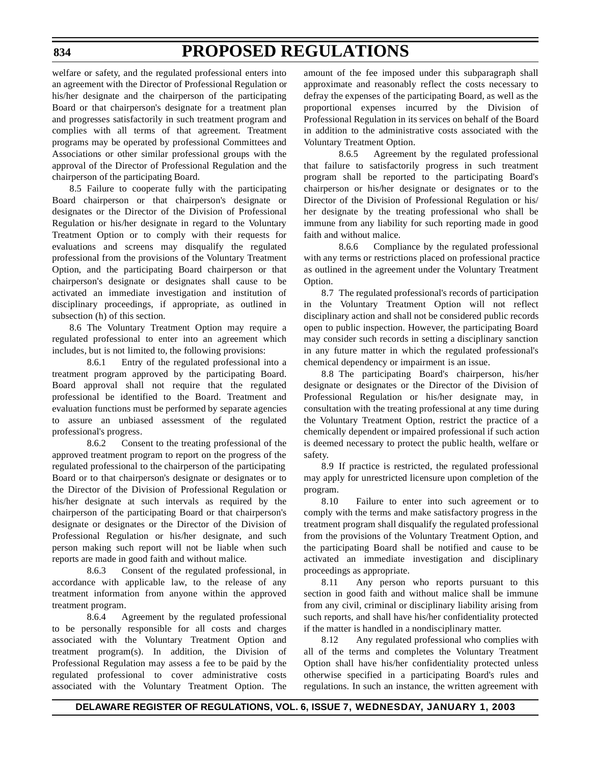welfare or safety, and the regulated professional enters into an agreement with the Director of Professional Regulation or his/her designate and the chairperson of the participating Board or that chairperson's designate for a treatment plan and progresses satisfactorily in such treatment program and complies with all terms of that agreement. Treatment programs may be operated by professional Committees and Associations or other similar professional groups with the approval of the Director of Professional Regulation and the chairperson of the participating Board.

8.5 Failure to cooperate fully with the participating Board chairperson or that chairperson's designate or designates or the Director of the Division of Professional Regulation or his/her designate in regard to the Voluntary Treatment Option or to comply with their requests for evaluations and screens may disqualify the regulated professional from the provisions of the Voluntary Treatment Option, and the participating Board chairperson or that chairperson's designate or designates shall cause to be activated an immediate investigation and institution of disciplinary proceedings, if appropriate, as outlined in subsection (h) of this section.

8.6 The Voluntary Treatment Option may require a regulated professional to enter into an agreement which includes, but is not limited to, the following provisions:

8.6.1 Entry of the regulated professional into a treatment program approved by the participating Board. Board approval shall not require that the regulated professional be identified to the Board. Treatment and evaluation functions must be performed by separate agencies to assure an unbiased assessment of the regulated professional's progress.

8.6.2 Consent to the treating professional of the approved treatment program to report on the progress of the regulated professional to the chairperson of the participating Board or to that chairperson's designate or designates or to the Director of the Division of Professional Regulation or his/her designate at such intervals as required by the chairperson of the participating Board or that chairperson's designate or designates or the Director of the Division of Professional Regulation or his/her designate, and such person making such report will not be liable when such reports are made in good faith and without malice.

8.6.3 Consent of the regulated professional, in accordance with applicable law, to the release of any treatment information from anyone within the approved treatment program.

8.6.4 Agreement by the regulated professional to be personally responsible for all costs and charges associated with the Voluntary Treatment Option and treatment program(s). In addition, the Division of Professional Regulation may assess a fee to be paid by the regulated professional to cover administrative costs associated with the Voluntary Treatment Option. The

amount of the fee imposed under this subparagraph shall approximate and reasonably reflect the costs necessary to defray the expenses of the participating Board, as well as the proportional expenses incurred by the Division of Professional Regulation in its services on behalf of the Board in addition to the administrative costs associated with the Voluntary Treatment Option.

8.6.5 Agreement by the regulated professional that failure to satisfactorily progress in such treatment program shall be reported to the participating Board's chairperson or his/her designate or designates or to the Director of the Division of Professional Regulation or his/ her designate by the treating professional who shall be immune from any liability for such reporting made in good faith and without malice.

8.6.6 Compliance by the regulated professional with any terms or restrictions placed on professional practice as outlined in the agreement under the Voluntary Treatment Option.

8.7 The regulated professional's records of participation in the Voluntary Treatment Option will not reflect disciplinary action and shall not be considered public records open to public inspection. However, the participating Board may consider such records in setting a disciplinary sanction in any future matter in which the regulated professional's chemical dependency or impairment is an issue.

8.8 The participating Board's chairperson, his/her designate or designates or the Director of the Division of Professional Regulation or his/her designate may, in consultation with the treating professional at any time during the Voluntary Treatment Option, restrict the practice of a chemically dependent or impaired professional if such action is deemed necessary to protect the public health, welfare or safety.

8.9 If practice is restricted, the regulated professional may apply for unrestricted licensure upon completion of the program.

8.10 Failure to enter into such agreement or to comply with the terms and make satisfactory progress in the treatment program shall disqualify the regulated professional from the provisions of the Voluntary Treatment Option, and the participating Board shall be notified and cause to be activated an immediate investigation and disciplinary proceedings as appropriate.

8.11 Any person who reports pursuant to this section in good faith and without malice shall be immune from any civil, criminal or disciplinary liability arising from such reports, and shall have his/her confidentiality protected if the matter is handled in a nondisciplinary matter.

8.12 Any regulated professional who complies with all of the terms and completes the Voluntary Treatment Option shall have his/her confidentiality protected unless otherwise specified in a participating Board's rules and regulations. In such an instance, the written agreement with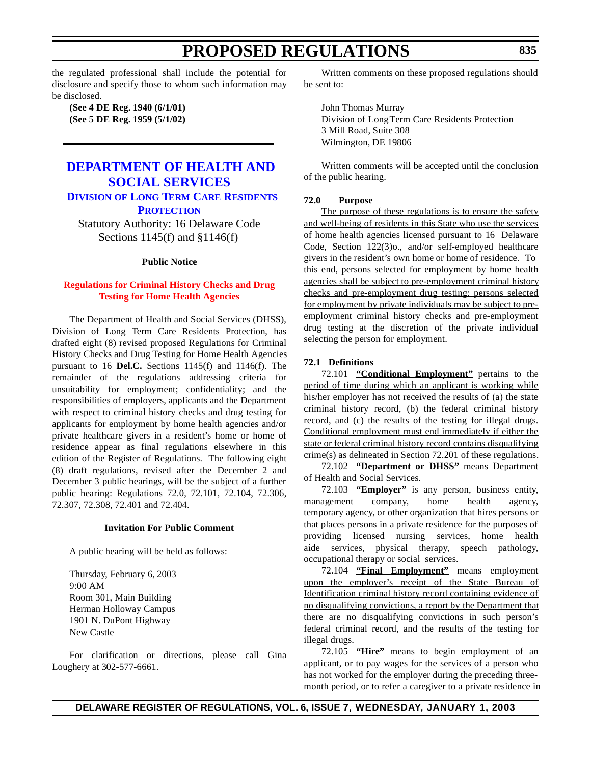<span id="page-13-0"></span>the regulated professional shall include the potential for disclosure and specify those to whom such information may be disclosed.

**(See 4 DE Reg. 1940 (6/1/01) (See 5 DE Reg. 1959 (5/1/02)**

# **DEPARTMENT OF HEALTH AND [SOCIAL SERVICES](http://www.state.de.us/dhss/dltc/dltchome.htm) DIVISION OF LONG TERM CARE RESIDENTS**

**PROTECTION**

Statutory Authority: 16 Delaware Code Sections 1145(f) and §1146(f)

#### **Public Notice**

#### **Regulations for [Criminal History](#page-3-0) Checks and Drug Testing for Home Health Agencies**

The Department of Health and Social Services (DHSS), Division of Long Term Care Residents Protection, has drafted eight (8) revised proposed Regulations for Criminal History Checks and Drug Testing for Home Health Agencies pursuant to 16 **Del.C.** Sections 1145(f) and 1146(f). The remainder of the regulations addressing criteria for unsuitability for employment; confidentiality; and the responsibilities of employers, applicants and the Department with respect to criminal history checks and drug testing for applicants for employment by home health agencies and/or private healthcare givers in a resident's home or home of residence appear as final regulations elsewhere in this edition of the Register of Regulations. The following eight (8) draft regulations, revised after the December 2 and December 3 public hearings, will be the subject of a further public hearing: Regulations 72.0, 72.101, 72.104, 72.306, 72.307, 72.308, 72.401 and 72.404.

#### **Invitation For Public Comment**

A public hearing will be held as follows:

Thursday, February 6, 2003 9:00 AM Room 301, Main Building Herman Holloway Campus 1901 N. DuPont Highway New Castle

For clarification or directions, please call Gina Loughery at 302-577-6661.

Written comments on these proposed regulations should be sent to:

John Thomas Murray Division of Long Term Care Residents Protection 3 Mill Road, Suite 308 Wilmington, DE 19806

Written comments will be accepted until the conclusion of the public hearing.

#### **72.0 Purpose**

The purpose of these regulations is to ensure the safety and well-being of residents in this State who use the services of home health agencies licensed pursuant to 16 Delaware Code, Section 122(3)o., and/or self-employed healthcare givers in the resident's own home or home of residence. To this end, persons selected for employment by home health agencies shall be subject to pre-employment criminal history checks and pre-employment drug testing; persons selected for employment by private individuals may be subject to preemployment criminal history checks and pre-employment drug testing at the discretion of the private individual selecting the person for employment.

#### **72.1 Definitions**

72.101 **"Conditional Employment"** pertains to the period of time during which an applicant is working while his/her employer has not received the results of (a) the state criminal history record, (b) the federal criminal history record, and (c) the results of the testing for illegal drugs. Conditional employment must end immediately if either the state or federal criminal history record contains disqualifying crime(s) as delineated in Section 72.201 of these regulations.

72.102 **"Department or DHSS"** means Department of Health and Social Services.

72.103 **"Employer"** is any person, business entity, management company, home health agency, temporary agency, or other organization that hires persons or that places persons in a private residence for the purposes of providing licensed nursing services, home health aide services, physical therapy, speech pathology, occupational therapy or social services.

72.104 **"Final Employment"** means employment upon the employer's receipt of the State Bureau of Identification criminal history record containing evidence of no disqualifying convictions, a report by the Department that there are no disqualifying convictions in such person's federal criminal record, and the results of the testing for illegal drugs.

72.105 **"Hire"** means to begin employment of an applicant, or to pay wages for the services of a person who has not worked for the employer during the preceding threemonth period, or to refer a caregiver to a private residence in

### **DELAWARE REGISTER OF REGULATIONS, VOL. 6, ISSUE 7, WEDNESDAY, JANUARY 1, 2003**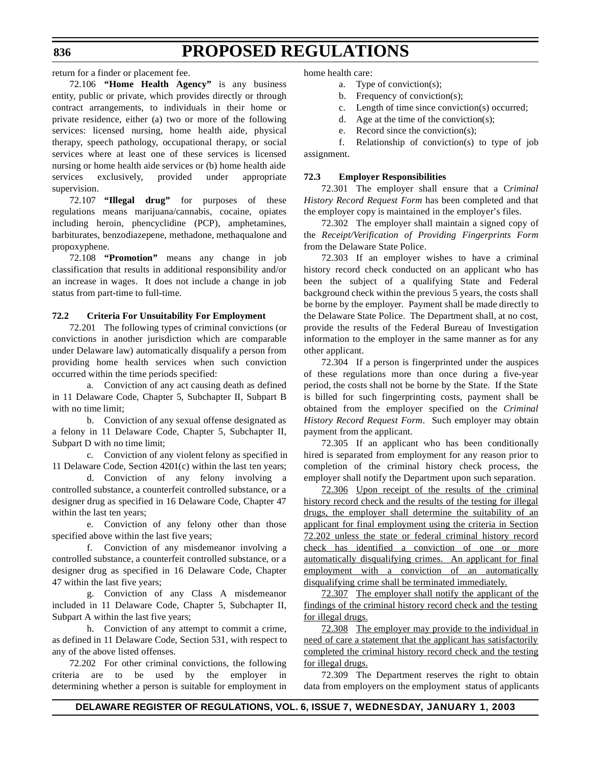return for a finder or placement fee.

72.106 **"Home Health Agency"** is any business entity, public or private, which provides directly or through contract arrangements, to individuals in their home or private residence, either (a) two or more of the following services: licensed nursing, home health aide, physical therapy, speech pathology, occupational therapy, or social services where at least one of these services is licensed nursing or home health aide services or (b) home health aide services exclusively, provided under appropriate supervision.

72.107 **"Illegal drug"** for purposes of these regulations means marijuana/cannabis, cocaine, opiates including heroin, phencyclidine (PCP), amphetamines, barbiturates, benzodiazepene, methadone, methaqualone and propoxyphene.

72.108 **"Promotion"** means any change in job classification that results in additional responsibility and/or an increase in wages. It does not include a change in job status from part-time to full-time.

### **72.2 Criteria For Unsuitability For Employment**

72.201 The following types of criminal convictions (or convictions in another jurisdiction which are comparable under Delaware law) automatically disqualify a person from providing home health services when such conviction occurred within the time periods specified:

a. Conviction of any act causing death as defined in 11 Delaware Code, Chapter 5, Subchapter II, Subpart B with no time limit:

b. Conviction of any sexual offense designated as a felony in 11 Delaware Code, Chapter 5, Subchapter II, Subpart D with no time limit;

c. Conviction of any violent felony as specified in 11 Delaware Code, Section 4201(c) within the last ten years;

d. Conviction of any felony involving a controlled substance, a counterfeit controlled substance, or a designer drug as specified in 16 Delaware Code, Chapter 47 within the last ten years;

e. Conviction of any felony other than those specified above within the last five years;

f. Conviction of any misdemeanor involving a controlled substance, a counterfeit controlled substance, or a designer drug as specified in 16 Delaware Code, Chapter 47 within the last five years;

g. Conviction of any Class A misdemeanor included in 11 Delaware Code, Chapter 5, Subchapter II, Subpart A within the last five years;

h. Conviction of any attempt to commit a crime, as defined in 11 Delaware Code, Section 531, with respect to any of the above listed offenses.

72.202 For other criminal convictions, the following criteria are to be used by the employer in determining whether a person is suitable for employment in home health care:

- a. Type of conviction(s);
- b. Frequency of conviction(s);
- c. Length of time since conviction(s) occurred;
- d. Age at the time of the conviction(s);
- e. Record since the conviction(s);

f. Relationship of conviction(s) to type of job assignment.

### **72.3 Employer Responsibilities**

72.301 The employer shall ensure that a C*riminal History Record Request Form* has been completed and that the employer copy is maintained in the employer's files.

72.302 The employer shall maintain a signed copy of the *Receipt/Verification of Providing Fingerprints Form* from the Delaware State Police.

72.303 If an employer wishes to have a criminal history record check conducted on an applicant who has been the subject of a qualifying State and Federal background check within the previous 5 years, the costs shall be borne by the employer. Payment shall be made directly to the Delaware State Police. The Department shall, at no cost, provide the results of the Federal Bureau of Investigation information to the employer in the same manner as for any other applicant.

72.304 If a person is fingerprinted under the auspices of these regulations more than once during a five-year period, the costs shall not be borne by the State. If the State is billed for such fingerprinting costs, payment shall be obtained from the employer specified on the *Criminal History Record Request Form*. Such employer may obtain payment from the applicant.

72.305 If an applicant who has been conditionally hired is separated from employment for any reason prior to completion of the criminal history check process, the employer shall notify the Department upon such separation.

72.306 Upon receipt of the results of the criminal history record check and the results of the testing for illegal drugs, the employer shall determine the suitability of an applicant for final employment using the criteria in Section 72.202 unless the state or federal criminal history record check has identified a conviction of one or more automatically disqualifying crimes. An applicant for final employment with a conviction of an automatically disqualifying crime shall be terminated immediately.

72.307 The employer shall notify the applicant of the findings of the criminal history record check and the testing for illegal drugs.

72.308 The employer may provide to the individual in need of care a statement that the applicant has satisfactorily completed the criminal history record check and the testing for illegal drugs.

72.309 The Department reserves the right to obtain data from employers on the employment status of applicants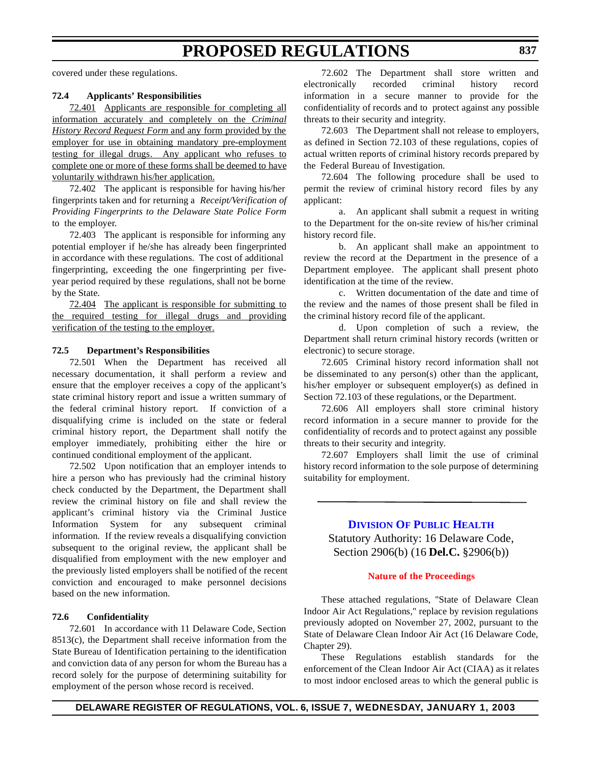<span id="page-15-0"></span>covered under these regulations.

#### **72.4 Applicants' Responsibilities**

72.401 Applicants are responsible for completing all information accurately and completely on the *Criminal History Record Request Form* and any form provided by the employer for use in obtaining mandatory pre-employment testing for illegal drugs. Any applicant who refuses to complete one or more of these forms shall be deemed to have voluntarily withdrawn his/her application.

72.402 The applicant is responsible for having his/her fingerprints taken and for returning a *Receipt/Verification of Providing Fingerprints to the Delaware State Police Form* to the employer.

72.403 The applicant is responsible for informing any potential employer if he/she has already been fingerprinted in accordance with these regulations. The cost of additional fingerprinting, exceeding the one fingerprinting per fiveyear period required by these regulations, shall not be borne by the State.

72.404 The applicant is responsible for submitting to the required testing for illegal drugs and providing verification of the testing to the employer.

#### **72.5 Department's Responsibilities**

 72.501 When the Department has received all necessary documentation, it shall perform a review and ensure that the employer receives a copy of the applicant's state criminal history report and issue a written summary of the federal criminal history report. If conviction of a disqualifying crime is included on the state or federal criminal history report, the Department shall notify the employer immediately, prohibiting either the hire or continued conditional employment of the applicant.

72.502 Upon notification that an employer intends to hire a person who has previously had the criminal history check conducted by the Department, the Department shall review the criminal history on file and shall review the applicant's criminal history via the Criminal Justice Information System for any subsequent criminal information. If the review reveals a disqualifying conviction subsequent to the original review, the applicant shall be disqualified from employment with the new employer and the previously listed employers shall be notified of the recent conviction and encouraged to make personnel decisions based on the new information.

#### **72.6 Confidentiality**

72.601 In accordance with 11 Delaware Code, Section 8513(c), the Department shall receive information from the State Bureau of Identification pertaining to the identification and conviction data of any person for whom the Bureau has a record solely for the purpose of determining suitability for employment of the person whose record is received.

72.602 The Department shall store written and electronically recorded criminal history record information in a secure manner to provide for the confidentiality of records and to protect against any possible threats to their security and integrity.

72.603 The Department shall not release to employers, as defined in Section 72.103 of these regulations, copies of actual written reports of criminal history records prepared by the Federal Bureau of Investigation.

72.604 The following procedure shall be used to permit the review of criminal history record files by any applicant:

 a. An applicant shall submit a request in writing to the Department for the on-site review of his/her criminal history record file.

b. An applicant shall make an appointment to review the record at the Department in the presence of a Department employee. The applicant shall present photo identification at the time of the review.

c. Written documentation of the date and time of the review and the names of those present shall be filed in the criminal history record file of the applicant.

d. Upon completion of such a review, the Department shall return criminal history records (written or electronic) to secure storage.

72.605 Criminal history record information shall not be disseminated to any person(s) other than the applicant, his/her employer or subsequent employer(s) as defined in Section 72.103 of these regulations, or the Department.

72.606 All employers shall store criminal history record information in a secure manner to provide for the confidentiality of records and to protect against any possible threats to their security and integrity.

72.607 Employers shall limit the use of criminal history record information to the sole purpose of determining suitability for employment.

## **[DIVISION](http://www.state.de.us/dhss/dph/index.htm) OF PUBLIC HEALTH**

Statutory Authority: 16 Delaware Code, Section 2906(b) (16 **Del.C.** §2906(b))

#### **Nature of [the Proceedings](#page-3-0)**

These attached regulations, "State of Delaware Clean Indoor Air Act Regulations," replace by revision regulations previously adopted on November 27, 2002, pursuant to the State of Delaware Clean Indoor Air Act (16 Delaware Code, Chapter 29).

These Regulations establish standards for the enforcement of the Clean Indoor Air Act (CIAA) as it relates to most indoor enclosed areas to which the general public is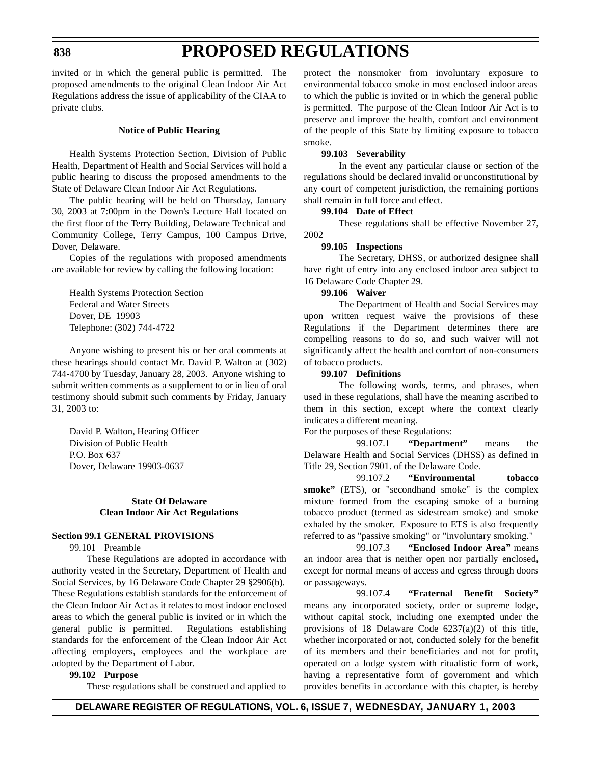#### **838**

# **PROPOSED REGULATIONS**

invited or in which the general public is permitted. The proposed amendments to the original Clean Indoor Air Act Regulations address the issue of applicability of the CIAA to private clubs.

#### **Notice of Public Hearing**

Health Systems Protection Section, Division of Public Health, Department of Health and Social Services will hold a public hearing to discuss the proposed amendments to the State of Delaware Clean Indoor Air Act Regulations.

The public hearing will be held on Thursday, January 30, 2003 at 7:00pm in the Down's Lecture Hall located on the first floor of the Terry Building, Delaware Technical and Community College, Terry Campus, 100 Campus Drive, Dover, Delaware.

Copies of the regulations with proposed amendments are available for review by calling the following location:

Health Systems Protection Section Federal and Water Streets Dover, DE 19903 Telephone: (302) 744-4722

Anyone wishing to present his or her oral comments at these hearings should contact Mr. David P. Walton at (302) 744-4700 by Tuesday, January 28, 2003. Anyone wishing to submit written comments as a supplement to or in lieu of oral testimony should submit such comments by Friday, January 31, 2003 to:

David P. Walton, Hearing Officer Division of Public Health P.O. Box 637 Dover, Delaware 19903-0637

#### **State Of Delaware Clean Indoor Air Act Regulations**

#### **Section 99.1 GENERAL PROVISIONS**

99.101 Preamble

These Regulations are adopted in accordance with authority vested in the Secretary, Department of Health and Social Services, by 16 Delaware Code Chapter 29 §2906(b). These Regulations establish standards for the enforcement of the Clean Indoor Air Act as it relates to most indoor enclosed areas to which the general public is invited or in which the general public is permitted. Regulations establishing standards for the enforcement of the Clean Indoor Air Act affecting employers, employees and the workplace are adopted by the Department of Labor.

#### **99.102 Purpose**

These regulations shall be construed and applied to

protect the nonsmoker from involuntary exposure to environmental tobacco smoke in most enclosed indoor areas to which the public is invited or in which the general public is permitted. The purpose of the Clean Indoor Air Act is to preserve and improve the health, comfort and environment of the people of this State by limiting exposure to tobacco smoke.

### **99.103 Severability**

In the event any particular clause or section of the regulations should be declared invalid or unconstitutional by any court of competent jurisdiction, the remaining portions shall remain in full force and effect.

#### **99.104 Date of Effect**

These regulations shall be effective November 27, 2002

#### **99.105 Inspections**

The Secretary, DHSS, or authorized designee shall have right of entry into any enclosed indoor area subject to 16 Delaware Code Chapter 29.

#### **99.106 Waiver**

The Department of Health and Social Services may upon written request waive the provisions of these Regulations if the Department determines there are compelling reasons to do so, and such waiver will not significantly affect the health and comfort of non-consumers of tobacco products.

#### **99.107 Definitions**

The following words, terms, and phrases, when used in these regulations, shall have the meaning ascribed to them in this section, except where the context clearly indicates a different meaning.

For the purposes of these Regulations:

99.107.1 **"Department"** means the Delaware Health and Social Services (DHSS) as defined in Title 29, Section 7901. of the Delaware Code.

99.107.2 **"Environmental tobacco smoke"** (ETS), or "secondhand smoke" is the complex mixture formed from the escaping smoke of a burning tobacco product (termed as sidestream smoke) and smoke exhaled by the smoker. Exposure to ETS is also frequently referred to as "passive smoking" or "involuntary smoking."

99.107.3 **"Enclosed Indoor Area"** means an indoor area that is neither open nor partially enclosed**,** except for normal means of access and egress through doors or passageways.

99.107.4 **"Fraternal Benefit Society"** means any incorporated society, order or supreme lodge, without capital stock, including one exempted under the provisions of 18 Delaware Code 6237(a)(2) of this title, whether incorporated or not, conducted solely for the benefit of its members and their beneficiaries and not for profit, operated on a lodge system with ritualistic form of work, having a representative form of government and which provides benefits in accordance with this chapter, is hereby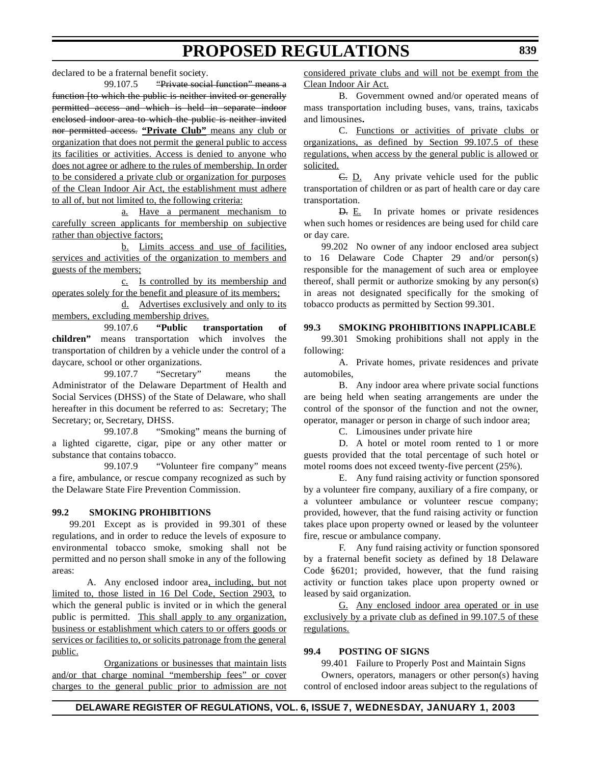declared to be a fraternal benefit society.

99.107.5 "Private social function" means a function [to which the public is neither invited or generally permitted access and which is held in separate indoor enclosed indoor area to which the public is neither invited nor permitted access. **"Private Club"** means any club or organization that does not permit the general public to access its facilities or activities. Access is denied to anyone who does not agree or adhere to the rules of membership. In order to be considered a private club or organization for purposes of the Clean Indoor Air Act, the establishment must adhere to all of, but not limited to, the following criteria:

a. Have a permanent mechanism to carefully screen applicants for membership on subjective rather than objective factors;

b. Limits access and use of facilities, services and activities of the organization to members and guests of the members;

c. Is controlled by its membership and operates solely for the benefit and pleasure of its members;

d. Advertises exclusively and only to its members, excluding membership drives.

99.107.6 **"Public transportation of children"** means transportation which involves the transportation of children by a vehicle under the control of a daycare, school or other organizations.

99.107.7 "Secretary" means the Administrator of the Delaware Department of Health and Social Services (DHSS) of the State of Delaware, who shall hereafter in this document be referred to as: Secretary; The Secretary; or, Secretary, DHSS.

99.107.8 "Smoking" means the burning of a lighted cigarette, cigar, pipe or any other matter or substance that contains tobacco.

99.107.9 "Volunteer fire company" means a fire, ambulance, or rescue company recognized as such by the Delaware State Fire Prevention Commission.

#### **99.2 SMOKING PROHIBITIONS**

99.201 Except as is provided in 99.301 of these regulations, and in order to reduce the levels of exposure to environmental tobacco smoke, smoking shall not be permitted and no person shall smoke in any of the following areas:

A. Any enclosed indoor area, including, but not limited to, those listed in 16 Del Code, Section 2903, to which the general public is invited or in which the general public is permitted. This shall apply to any organization, business or establishment which caters to or offers goods or services or facilities to, or solicits patronage from the general public.

Organizations or businesses that maintain lists and/or that charge nominal "membership fees" or cover charges to the general public prior to admission are not considered private clubs and will not be exempt from the Clean Indoor Air Act.

B. Government owned and/or operated means of mass transportation including buses, vans, trains, taxicabs and limousines**.**

C. Functions or activities of private clubs or organizations, as defined by Section 99.107.5 of these regulations, when access by the general public is allowed or solicited.

C. D. Any private vehicle used for the public transportation of children or as part of health care or day care transportation.

D. E. In private homes or private residences when such homes or residences are being used for child care or day care.

99.202 No owner of any indoor enclosed area subject to 16 Delaware Code Chapter 29 and/or person(s) responsible for the management of such area or employee thereof, shall permit or authorize smoking by any person(s) in areas not designated specifically for the smoking of tobacco products as permitted by Section 99.301.

#### **99.3 SMOKING PROHIBITIONS INAPPLICABLE**

99.301 Smoking prohibitions shall not apply in the following:

A. Private homes, private residences and private automobiles,

B. Any indoor area where private social functions are being held when seating arrangements are under the control of the sponsor of the function and not the owner, operator, manager or person in charge of such indoor area;

C. Limousines under private hire

D. A hotel or motel room rented to 1 or more guests provided that the total percentage of such hotel or motel rooms does not exceed twenty-five percent (25%).

E. Any fund raising activity or function sponsored by a volunteer fire company, auxiliary of a fire company, or a volunteer ambulance or volunteer rescue company; provided, however, that the fund raising activity or function takes place upon property owned or leased by the volunteer fire, rescue or ambulance company.

F. Any fund raising activity or function sponsored by a fraternal benefit society as defined by 18 Delaware Code §6201; provided, however, that the fund raising activity or function takes place upon property owned or leased by said organization.

G. Any enclosed indoor area operated or in use exclusively by a private club as defined in 99.107.5 of these regulations.

#### **99.4 POSTING OF SIGNS**

99.401 Failure to Properly Post and Maintain Signs

Owners, operators, managers or other person(s) having control of enclosed indoor areas subject to the regulations of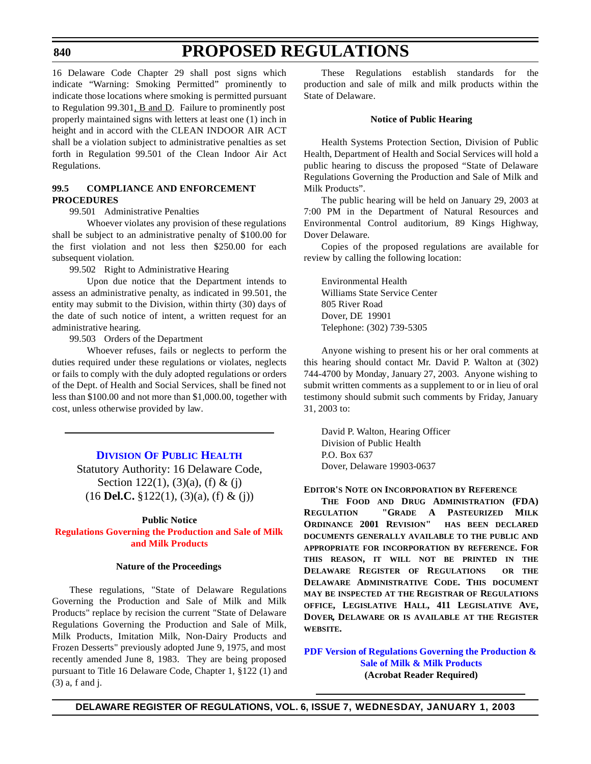#### <span id="page-18-0"></span>**840**

# **PROPOSED REGULATIONS**

16 Delaware Code Chapter 29 shall post signs which indicate "Warning: Smoking Permitted" prominently to indicate those locations where smoking is permitted pursuant to Regulation 99.301, B and D. Failure to prominently post properly maintained signs with letters at least one (1) inch in height and in accord with the CLEAN INDOOR AIR ACT shall be a violation subject to administrative penalties as set forth in Regulation 99.501 of the Clean Indoor Air Act Regulations.

### **99.5 COMPLIANCE AND ENFORCEMENT PROCEDURES**

99.501 Administrative Penalties

Whoever violates any provision of these regulations shall be subject to an administrative penalty of \$100.00 for the first violation and not less then \$250.00 for each subsequent violation.

99.502 Right to Administrative Hearing

Upon due notice that the Department intends to assess an administrative penalty, as indicated in 99.501, the entity may submit to the Division, within thirty (30) days of the date of such notice of intent, a written request for an administrative hearing.

99.503 Orders of the Department

Whoever refuses, fails or neglects to perform the duties required under these regulations or violates, neglects or fails to comply with the duly adopted regulations or orders of the Dept. of Health and Social Services, shall be fined not less than \$100.00 and not more than \$1,000.00, together with cost, unless otherwise provided by law.

### **[DIVISION](http://www.state.de.us/dhss/dph/index.htm) OF PUBLIC HEALTH**

Statutory Authority: 16 Delaware Code, Section 122(1), (3)(a), (f) & (j) (16 **Del.C.** §122(1), (3)(a), (f) & (j))

#### **Public Notice**

**Regulations Governing the Production and Sale of Milk [and Milk Products](#page-3-0)**

#### **Nature of the Proceedings**

These regulations, "State of Delaware Regulations Governing the Production and Sale of Milk and Milk Products" replace by recision the current "State of Delaware Regulations Governing the Production and Sale of Milk, Milk Products, Imitation Milk, Non-Dairy Products and Frozen Desserts" previously adopted June 9, 1975, and most recently amended June 8, 1983. They are being proposed pursuant to Title 16 Delaware Code, Chapter 1, §122 (1) and (3) a, f and j.

These Regulations establish standards for the production and sale of milk and milk products within the State of Delaware.

#### **Notice of Public Hearing**

Health Systems Protection Section, Division of Public Health, Department of Health and Social Services will hold a public hearing to discuss the proposed "State of Delaware Regulations Governing the Production and Sale of Milk and Milk Products".

The public hearing will be held on January 29, 2003 at 7:00 PM in the Department of Natural Resources and Environmental Control auditorium, 89 Kings Highway, Dover Delaware.

Copies of the proposed regulations are available for review by calling the following location:

Environmental Health Williams State Service Center 805 River Road Dover, DE 19901 Telephone: (302) 739-5305

Anyone wishing to present his or her oral comments at this hearing should contact Mr. David P. Walton at (302) 744-4700 by Monday, January 27, 2003. Anyone wishing to submit written comments as a supplement to or in lieu of oral testimony should submit such comments by Friday, January 31, 2003 to:

David P. Walton, Hearing Officer Division of Public Health P.O. Box 637 Dover, Delaware 19903-0637

#### **EDITOR'S NOTE ON INCORPORATION BY REFERENCE**

**THE FOOD AND DRUG ADMINISTRATION (FDA) REGULATION "GRADE A PASTEURIZED MILK ORDINANCE 2001 REVISION" HAS BEEN DECLARED DOCUMENTS GENERALLY AVAILABLE TO THE PUBLIC AND APPROPRIATE FOR INCORPORATION BY REFERENCE. FOR THIS REASON, IT WILL NOT BE PRINTED IN THE DELAWARE REGISTER OF REGULATIONS OR THE DELAWARE ADMINISTRATIVE CODE. THIS DOCUMENT MAY BE INSPECTED AT THE REGISTRAR OF REGULATIONS OFFICE, LEGISLATIVE HALL, 411 LEGISLATIVE AVE, DOVER, DELAWARE OR IS AVAILABLE AT THE REGISTER WEBSITE.**

**PDF Version of Regulations [Governing the](http://www.state.de.us/research/register/january2003/milkregs.pdf) Production & Sale of Milk & Milk Products (Acrobat Reader Required)**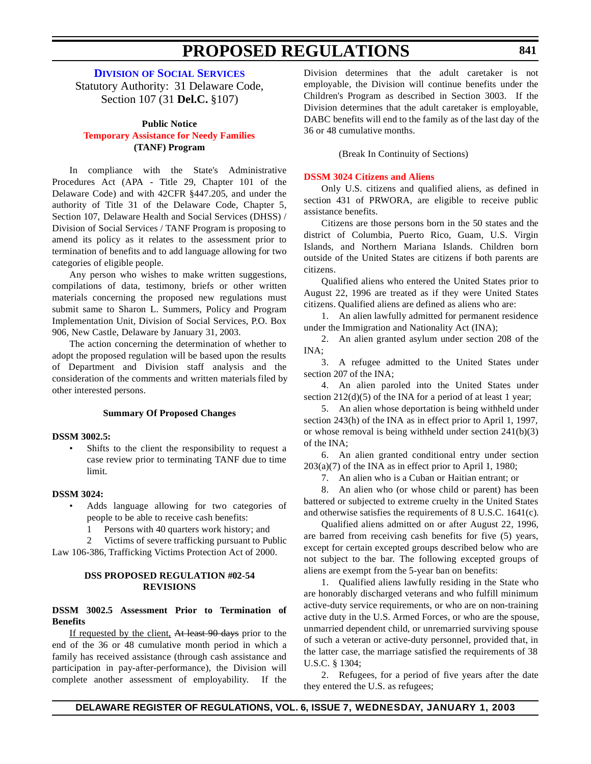**DIVISION OF SOCIAL [SERVICES](http://www.state.de.us/dhss/dss/dsshome.html)**

<span id="page-19-0"></span>Statutory Authority: 31 Delaware Code, Section 107 (31 **Del.C.** §107)

#### **Public Notice**

### **[Temporary Assistance](#page-3-0) for Needy Families (TANF) Program**

In compliance with the State's Administrative Procedures Act (APA - Title 29, Chapter 101 of the Delaware Code) and with 42CFR §447.205, and under the authority of Title 31 of the Delaware Code, Chapter 5, Section 107, Delaware Health and Social Services (DHSS) / Division of Social Services / TANF Program is proposing to amend its policy as it relates to the assessment prior to termination of benefits and to add language allowing for two categories of eligible people.

Any person who wishes to make written suggestions, compilations of data, testimony, briefs or other written materials concerning the proposed new regulations must submit same to Sharon L. Summers, Policy and Program Implementation Unit, Division of Social Services, P.O. Box 906, New Castle, Delaware by January 31, 2003.

The action concerning the determination of whether to adopt the proposed regulation will be based upon the results of Department and Division staff analysis and the consideration of the comments and written materials filed by other interested persons.

#### **Summary Of Proposed Changes**

#### **DSSM 3002.5:**

Shifts to the client the responsibility to request a case review prior to terminating TANF due to time limit.

#### **DSSM 3024:**

- Adds language allowing for two categories of people to be able to receive cash benefits:
	- 1 Persons with 40 quarters work history; and
	- 2 Victims of severe trafficking pursuant to Public

Law 106-386, Trafficking Victims Protection Act of 2000.

#### **DSS PROPOSED REGULATION #02-54 REVISIONS**

#### **DSSM 3002.5 Assessment Prior to Termination of Benefits**

If requested by the client, At least 90 days prior to the end of the 36 or 48 cumulative month period in which a family has received assistance (through cash assistance and participation in pay-after-performance), the Division will complete another assessment of employability. If the Division determines that the adult caretaker is not employable, the Division will continue benefits under the Children's Program as described in Section 3003. If the Division determines that the adult caretaker is employable, DABC benefits will end to the family as of the last day of the 36 or 48 cumulative months.

(Break In Continuity of Sections)

#### **DSSM [3024 Citizens](#page-3-0) and Aliens**

Only U.S. citizens and qualified aliens, as defined in section 431 of PRWORA, are eligible to receive public assistance benefits.

Citizens are those persons born in the 50 states and the district of Columbia, Puerto Rico, Guam, U.S. Virgin Islands, and Northern Mariana Islands. Children born outside of the United States are citizens if both parents are citizens.

Qualified aliens who entered the United States prior to August 22, 1996 are treated as if they were United States citizens. Qualified aliens are defined as aliens who are:

1. An alien lawfully admitted for permanent residence under the Immigration and Nationality Act (INA);

2. An alien granted asylum under section 208 of the INA;

3. A refugee admitted to the United States under section 207 of the INA;

4. An alien paroled into the United States under section  $212(d)(5)$  of the INA for a period of at least 1 year;

5. An alien whose deportation is being withheld under section 243(h) of the INA as in effect prior to April 1, 1997, or whose removal is being withheld under section 241(b)(3) of the INA;

6. An alien granted conditional entry under section  $203(a)(7)$  of the INA as in effect prior to April 1, 1980;

7. An alien who is a Cuban or Haitian entrant; or

8. An alien who (or whose child or parent) has been battered or subjected to extreme cruelty in the United States and otherwise satisfies the requirements of 8 U.S.C. 1641(c).

Qualified aliens admitted on or after August 22, 1996, are barred from receiving cash benefits for five (5) years, except for certain excepted groups described below who are not subject to the bar. The following excepted groups of aliens are exempt from the 5-year ban on benefits:

1. Qualified aliens lawfully residing in the State who are honorably discharged veterans and who fulfill minimum active-duty service requirements, or who are on non-training active duty in the U.S. Armed Forces, or who are the spouse, unmarried dependent child, or unremarried surviving spouse of such a veteran or active-duty personnel, provided that, in the latter case, the marriage satisfied the requirements of 38 U.S.C. § 1304;

2. Refugees, for a period of five years after the date they entered the U.S. as refugees;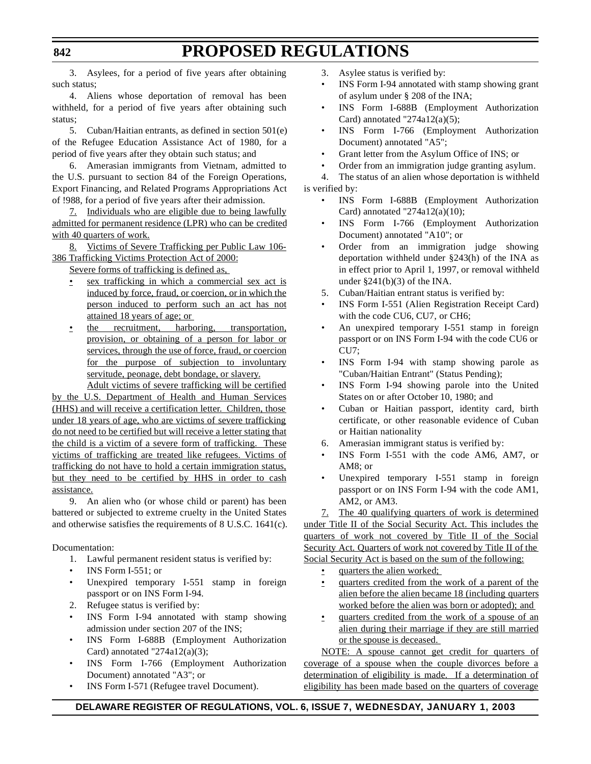3. Asylees, for a period of five years after obtaining such status;

4. Aliens whose deportation of removal has been withheld, for a period of five years after obtaining such status;

5. Cuban/Haitian entrants, as defined in section 501(e) of the Refugee Education Assistance Act of 1980, for a period of five years after they obtain such status; and

6. Amerasian immigrants from Vietnam, admitted to the U.S. pursuant to section 84 of the Foreign Operations, Export Financing, and Related Programs Appropriations Act of !988, for a period of five years after their admission.

7. Individuals who are eligible due to being lawfully admitted for permanent residence (LPR) who can be credited with 40 quarters of work.

8. Victims of Severe Trafficking per Public Law 106- 386 Trafficking Victims Protection Act of 2000:

Severe forms of trafficking is defined as,

- sex trafficking in which a commercial sex act is induced by force, fraud, or coercion, or in which the person induced to perform such an act has not attained 18 years of age; or
- the recruitment, harboring, transportation, provision, or obtaining of a person for labor or services, through the use of force, fraud, or coercion for the purpose of subjection to involuntary servitude, peonage, debt bondage, or slavery.

Adult victims of severe trafficking will be certified by the U.S. Department of Health and Human Services (HHS) and will receive a certification letter. Children, those under 18 years of age, who are victims of severe trafficking do not need to be certified but will receive a letter stating that the child is a victim of a severe form of trafficking. These victims of trafficking are treated like refugees. Victims of trafficking do not have to hold a certain immigration status, but they need to be certified by HHS in order to cash assistance.

9. An alien who (or whose child or parent) has been battered or subjected to extreme cruelty in the United States and otherwise satisfies the requirements of 8 U.S.C. 1641(c).

Documentation:

- 1. Lawful permanent resident status is verified by:
- INS Form I-551; or
- Unexpired temporary I-551 stamp in foreign passport or on INS Form I-94.
- 2. Refugee status is verified by:
- INS Form I-94 annotated with stamp showing admission under section 207 of the INS;
- INS Form I-688B (Employment Authorization Card) annotated "274a12(a)(3);
- INS Form I-766 (Employment Authorization Document) annotated "A3"; or
- INS Form I-571 (Refugee travel Document).

3. Asylee status is verified by:

- INS Form I-94 annotated with stamp showing grant of asylum under § 208 of the INA;
- INS Form I-688B (Employment Authorization Card) annotated "274a12(a)(5);
- INS Form I-766 (Employment Authorization Document) annotated "A5";
- Grant letter from the Asylum Office of INS; or
- Order from an immigration judge granting asylum.

4. The status of an alien whose deportation is withheld is verified by:

- INS Form I-688B (Employment Authorization Card) annotated "274a12(a)(10);
- INS Form I-766 (Employment Authorization Document) annotated "A10"; or
- Order from an immigration judge showing deportation withheld under §243(h) of the INA as in effect prior to April 1, 1997, or removal withheld under  $\S 241(b)(3)$  of the INA.
- 5. Cuban/Haitian entrant status is verified by:
- INS Form I-551 (Alien Registration Receipt Card) with the code CU6, CU7, or CH6;
- An unexpired temporary I-551 stamp in foreign passport or on INS Form I-94 with the code CU6 or CU7;
- INS Form I-94 with stamp showing parole as "Cuban/Haitian Entrant" (Status Pending);
- INS Form I-94 showing parole into the United States on or after October 10, 1980; and
- Cuban or Haitian passport, identity card, birth certificate, or other reasonable evidence of Cuban or Haitian nationality
- 6. Amerasian immigrant status is verified by:
- INS Form I-551 with the code AM6, AM7, or AM8; or
- Unexpired temporary I-551 stamp in foreign passport or on INS Form I-94 with the code AM1, AM2, or AM3.

7. The 40 qualifying quarters of work is determined under Title II of the Social Security Act. This includes the quarters of work not covered by Title II of the Social Security Act. Quarters of work not covered by Title II of the Social Security Act is based on the sum of the following:

- quarters the alien worked;
- quarters credited from the work of a parent of the alien before the alien became 18 (including quarters worked before the alien was born or adopted); and
- quarters credited from the work of a spouse of an alien during their marriage if they are still married or the spouse is deceased.

NOTE: A spouse cannot get credit for quarters of coverage of a spouse when the couple divorces before a determination of eligibility is made. If a determination of eligibility has been made based on the quarters of coverage

### **DELAWARE REGISTER OF REGULATIONS, VOL. 6, ISSUE 7, WEDNESDAY, JANUARY 1, 2003**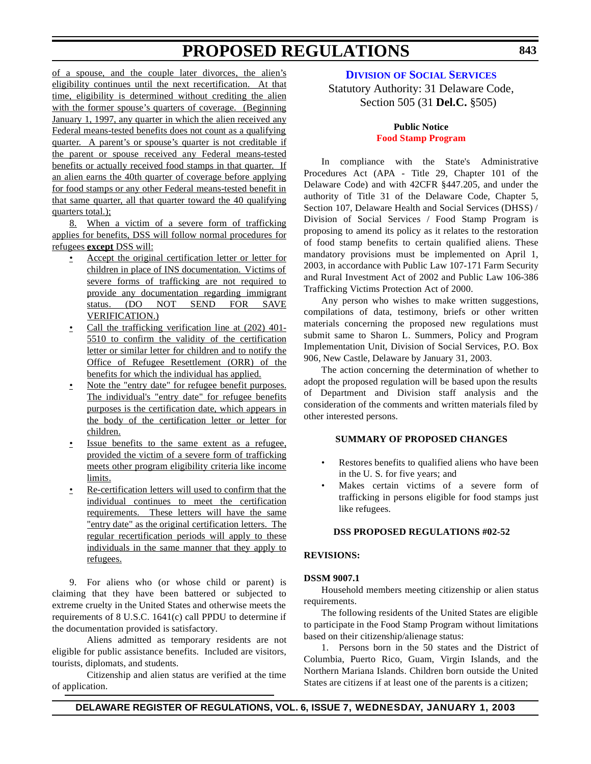<span id="page-21-0"></span>of a spouse, and the couple later divorces, the alien's eligibility continues until the next recertification. At that time, eligibility is determined without crediting the alien with the former spouse's quarters of coverage. (Beginning January 1, 1997, any quarter in which the alien received any Federal means-tested benefits does not count as a qualifying quarter. A parent's or spouse's quarter is not creditable if the parent or spouse received any Federal means-tested benefits or actually received food stamps in that quarter. If an alien earns the 40th quarter of coverage before applying for food stamps or any other Federal means-tested benefit in that same quarter, all that quarter toward the 40 qualifying quarters total.):

8. When a victim of a severe form of trafficking applies for benefits, DSS will follow normal procedures for refugees **except** DSS will:

- Accept the original certification letter or letter for children in place of INS documentation. Victims of severe forms of trafficking are not required to provide any documentation regarding immigrant status. (DO NOT SEND FOR SAVE VERIFICATION.)
- Call the trafficking verification line at (202) 401-5510 to confirm the validity of the certification letter or similar letter for children and to notify the Office of Refugee Resettlement (ORR) of the benefits for which the individual has applied.
- Note the "entry date" for refugee benefit purposes. The individual's "entry date" for refugee benefits purposes is the certification date, which appears in the body of the certification letter or letter for children.
- Issue benefits to the same extent as a refugee, provided the victim of a severe form of trafficking meets other program eligibility criteria like income limits.
- Re-certification letters will used to confirm that the individual continues to meet the certification requirements. These letters will have the same "entry date" as the original certification letters. The regular recertification periods will apply to these individuals in the same manner that they apply to refugees.

9. For aliens who (or whose child or parent) is claiming that they have been battered or subjected to extreme cruelty in the United States and otherwise meets the requirements of 8 U.S.C. 1641(c) call PPDU to determine if the documentation provided is satisfactory.

Aliens admitted as temporary residents are not eligible for public assistance benefits. Included are visitors, tourists, diplomats, and students.

Citizenship and alien status are verified at the time of application.

**DIVISION OF SOCIAL [SERVICES](http://www.state.de.us/dhss/dss/dsshome.html)**

## Statutory Authority: 31 Delaware Code, Section 505 (31 **Del.C.** §505)

### **Public Notice Food Stamp [Program](#page-3-0)**

In compliance with the State's Administrative Procedures Act (APA - Title 29, Chapter 101 of the Delaware Code) and with 42CFR §447.205, and under the authority of Title 31 of the Delaware Code, Chapter 5, Section 107, Delaware Health and Social Services (DHSS) / Division of Social Services / Food Stamp Program is proposing to amend its policy as it relates to the restoration of food stamp benefits to certain qualified aliens. These mandatory provisions must be implemented on April 1, 2003, in accordance with Public Law 107-171 Farm Security and Rural Investment Act of 2002 and Public Law 106-386 Trafficking Victims Protection Act of 2000.

Any person who wishes to make written suggestions, compilations of data, testimony, briefs or other written materials concerning the proposed new regulations must submit same to Sharon L. Summers, Policy and Program Implementation Unit, Division of Social Services, P.O. Box 906, New Castle, Delaware by January 31, 2003.

The action concerning the determination of whether to adopt the proposed regulation will be based upon the results of Department and Division staff analysis and the consideration of the comments and written materials filed by other interested persons.

### **SUMMARY OF PROPOSED CHANGES**

- Restores benefits to qualified aliens who have been in the U. S. for five years; and
- Makes certain victims of a severe form of trafficking in persons eligible for food stamps just like refugees.

### **DSS PROPOSED REGULATIONS #02-52**

#### **REVISIONS:**

#### **DSSM 9007.1**

Household members meeting citizenship or alien status requirements.

The following residents of the United States are eligible to participate in the Food Stamp Program without limitations based on their citizenship/alienage status:

1. Persons born in the 50 states and the District of Columbia, Puerto Rico, Guam, Virgin Islands, and the Northern Mariana Islands. Children born outside the United States are citizens if at least one of the parents is a citizen;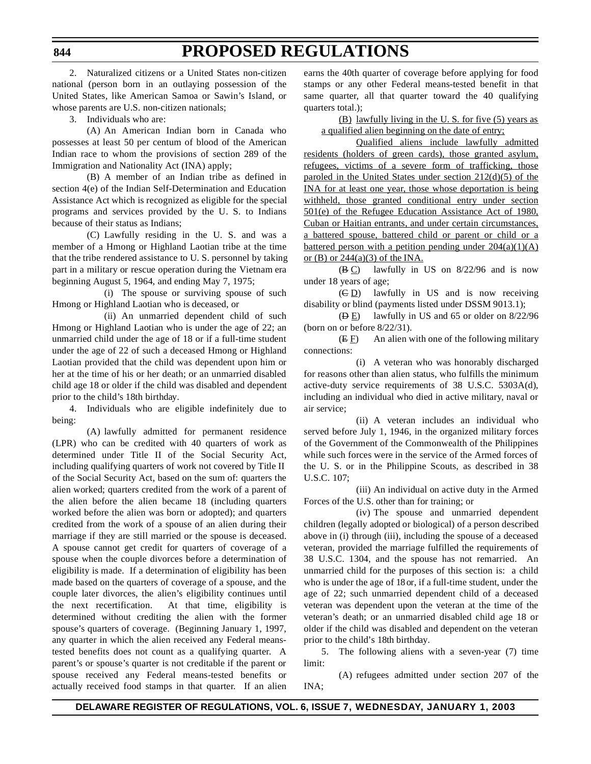2. Naturalized citizens or a United States non-citizen national (person born in an outlaying possession of the United States, like American Samoa or Sawin's Island, or whose parents are U.S. non-citizen nationals;

3. Individuals who are:

(A) An American Indian born in Canada who possesses at least 50 per centum of blood of the American Indian race to whom the provisions of section 289 of the Immigration and Nationality Act (INA) apply;

(B) A member of an Indian tribe as defined in section 4(e) of the Indian Self-Determination and Education Assistance Act which is recognized as eligible for the special programs and services provided by the U. S. to Indians because of their status as Indians;

(C) Lawfully residing in the U. S. and was a member of a Hmong or Highland Laotian tribe at the time that the tribe rendered assistance to U. S. personnel by taking part in a military or rescue operation during the Vietnam era beginning August 5, 1964, and ending May 7, 1975;

(i) The spouse or surviving spouse of such Hmong or Highland Laotian who is deceased, or

(ii) An unmarried dependent child of such Hmong or Highland Laotian who is under the age of 22; an unmarried child under the age of 18 or if a full-time student under the age of 22 of such a deceased Hmong or Highland Laotian provided that the child was dependent upon him or her at the time of his or her death; or an unmarried disabled child age 18 or older if the child was disabled and dependent prior to the child's 18th birthday.

4. Individuals who are eligible indefinitely due to being:

(A) lawfully admitted for permanent residence (LPR) who can be credited with 40 quarters of work as determined under Title II of the Social Security Act, including qualifying quarters of work not covered by Title II of the Social Security Act, based on the sum of: quarters the alien worked; quarters credited from the work of a parent of the alien before the alien became 18 (including quarters worked before the alien was born or adopted); and quarters credited from the work of a spouse of an alien during their marriage if they are still married or the spouse is deceased. A spouse cannot get credit for quarters of coverage of a spouse when the couple divorces before a determination of eligibility is made. If a determination of eligibility has been made based on the quarters of coverage of a spouse, and the couple later divorces, the alien's eligibility continues until the next recertification. At that time, eligibility is determined without crediting the alien with the former spouse's quarters of coverage. (Beginning January 1, 1997, any quarter in which the alien received any Federal meanstested benefits does not count as a qualifying quarter. A parent's or spouse's quarter is not creditable if the parent or spouse received any Federal means-tested benefits or actually received food stamps in that quarter. If an alien

earns the 40th quarter of coverage before applying for food stamps or any other Federal means-tested benefit in that same quarter, all that quarter toward the 40 qualifying quarters total.);

(B) lawfully living in the U. S. for five (5) years as a qualified alien beginning on the date of entry;

Qualified aliens include lawfully admitted residents (holders of green cards), those granted asylum, refugees, victims of a severe form of trafficking, those paroled in the United States under section 212(d)(5) of the INA for at least one year, those whose deportation is being withheld, those granted conditional entry under section 501(e) of the Refugee Education Assistance Act of 1980, Cuban or Haitian entrants, and under certain circumstances, a battered spouse, battered child or parent or child or a battered person with a petition pending under  $204(a)(1)(A)$ or  $(B)$  or  $244(a)(3)$  of the INA.

 $(B C)$  lawfully in US on 8/22/96 and is now under 18 years of age;

(C D) lawfully in US and is now receiving disability or blind (payments listed under DSSM 9013.1);

(D E) lawfully in US and 65 or older on 8/22/96 (born on or before 8/22/31).

 $(E E)$  An alien with one of the following military connections:

(i) A veteran who was honorably discharged for reasons other than alien status, who fulfills the minimum active-duty service requirements of 38 U.S.C. 5303A(d), including an individual who died in active military, naval or air service;

(ii) A veteran includes an individual who served before July 1, 1946, in the organized military forces of the Government of the Commonwealth of the Philippines while such forces were in the service of the Armed forces of the U. S. or in the Philippine Scouts, as described in 38 U.S.C. 107;

(iii) An individual on active duty in the Armed Forces of the U.S. other than for training; or

(iv) The spouse and unmarried dependent children (legally adopted or biological) of a person described above in (i) through (iii), including the spouse of a deceased veteran, provided the marriage fulfilled the requirements of 38 U.S.C. 1304, and the spouse has not remarried. An unmarried child for the purposes of this section is: a child who is under the age of 18 or, if a full-time student, under the age of 22; such unmarried dependent child of a deceased veteran was dependent upon the veteran at the time of the veteran's death; or an unmarried disabled child age 18 or older if the child was disabled and dependent on the veteran prior to the child's 18th birthday.

5. The following aliens with a seven-year (7) time limit:

(A) refugees admitted under section 207 of the INA;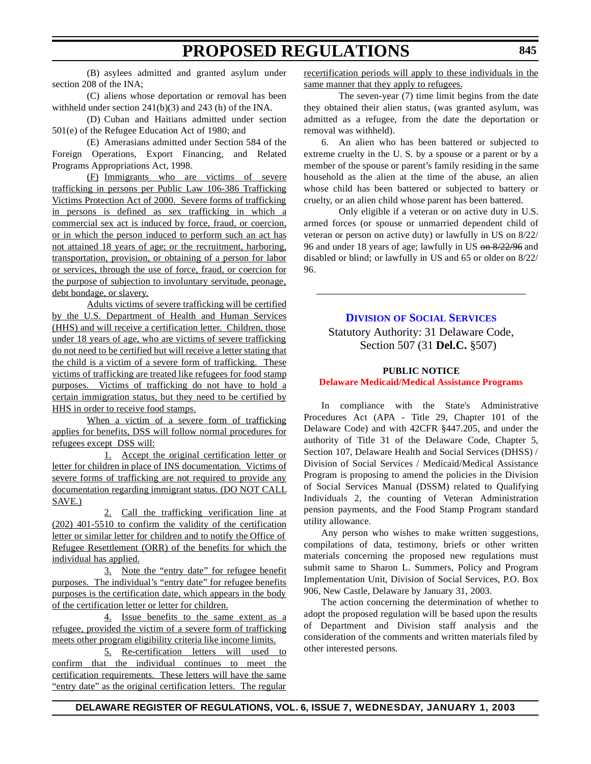<span id="page-23-0"></span>(B) asylees admitted and granted asylum under section 208 of the INA;

(C) aliens whose deportation or removal has been withheld under section 241(b)(3) and 243 (h) of the INA.

(D) Cuban and Haitians admitted under section 501(e) of the Refugee Education Act of 1980; and

(E) Amerasians admitted under Section 584 of the Foreign Operations, Export Financing, and Related Programs Appropriations Act, 1998.

(F) Immigrants who are victims of severe trafficking in persons per Public Law 106-386 Trafficking Victims Protection Act of 2000. Severe forms of trafficking in persons is defined as sex trafficking in which a commercial sex act is induced by force, fraud, or coercion, or in which the person induced to perform such an act has not attained 18 years of age; or the recruitment, harboring, transportation, provision, or obtaining of a person for labor or services, through the use of force, fraud, or coercion for the purpose of subjection to involuntary servitude, peonage, debt bondage, or slavery.

Adults victims of severe trafficking will be certified by the U.S. Department of Health and Human Services (HHS) and will receive a certification letter. Children, those under 18 years of age, who are victims of severe trafficking do not need to be certified but will receive a letter stating that the child is a victim of a severe form of trafficking. These victims of trafficking are treated like refugees for food stamp purposes. Victims of trafficking do not have to hold a certain immigration status, but they need to be certified by HHS in order to receive food stamps.

When a victim of a severe form of trafficking applies for benefits, DSS will follow normal procedures for refugees except DSS will:

1. Accept the original certification letter or letter for children in place of INS documentation. Victims of severe forms of trafficking are not required to provide any documentation regarding immigrant status. (DO NOT CALL SAVE.)

2. Call the trafficking verification line at (202) 401-5510 to confirm the validity of the certification letter or similar letter for children and to notify the Office of Refugee Resettlement (ORR) of the benefits for which the individual has applied.

3. Note the "entry date" for refugee benefit purposes. The individual's "entry date" for refugee benefits purposes is the certification date, which appears in the body of the certification letter or letter for children.

4. Issue benefits to the same extent as a refugee, provided the victim of a severe form of trafficking meets other program eligibility criteria like income limits.

5. Re-certification letters will used to confirm that the individual continues to meet the certification requirements. These letters will have the same "entry date" as the original certification letters. The regular

recertification periods will apply to these individuals in the same manner that they apply to refugees.

The seven-year (7) time limit begins from the date they obtained their alien status, (was granted asylum, was admitted as a refugee, from the date the deportation or removal was withheld).

6. An alien who has been battered or subjected to extreme cruelty in the U. S. by a spouse or a parent or by a member of the spouse or parent's family residing in the same household as the alien at the time of the abuse, an alien whose child has been battered or subjected to battery or cruelty, or an alien child whose parent has been battered.

Only eligible if a veteran or on active duty in U.S. armed forces (or spouse or unmarried dependent child of veteran or person on active duty) or lawfully in US on 8/22/ 96 and under 18 years of age; lawfully in US on 8/22/96 and disabled or blind; or lawfully in US and 65 or older on 8/22/ 96.

### **DIVISION OF SOCIAL [SERVICES](http://www.state.de.us/dhss/dss/dsshome.html)**

Statutory Authority: 31 Delaware Code, Section 507 (31 **Del.C.** §507)

## **PUBLIC NOTICE Delaware [Medicaid/Medical](#page-3-0) Assistance Programs**

In compliance with the State's Administrative Procedures Act (APA - Title 29, Chapter 101 of the Delaware Code) and with 42CFR §447.205, and under the authority of Title 31 of the Delaware Code, Chapter 5, Section 107, Delaware Health and Social Services (DHSS) / Division of Social Services / Medicaid/Medical Assistance Program is proposing to amend the policies in the Division of Social Services Manual (DSSM) related to Qualifying Individuals 2, the counting of Veteran Administration pension payments, and the Food Stamp Program standard utility allowance.

Any person who wishes to make written suggestions, compilations of data, testimony, briefs or other written materials concerning the proposed new regulations must submit same to Sharon L. Summers, Policy and Program Implementation Unit, Division of Social Services, P.O. Box 906, New Castle, Delaware by January 31, 2003.

The action concerning the determination of whether to adopt the proposed regulation will be based upon the results of Department and Division staff analysis and the consideration of the comments and written materials filed by other interested persons.

### **DELAWARE REGISTER OF REGULATIONS, VOL. 6, ISSUE 7, WEDNESDAY, JANUARY 1, 2003**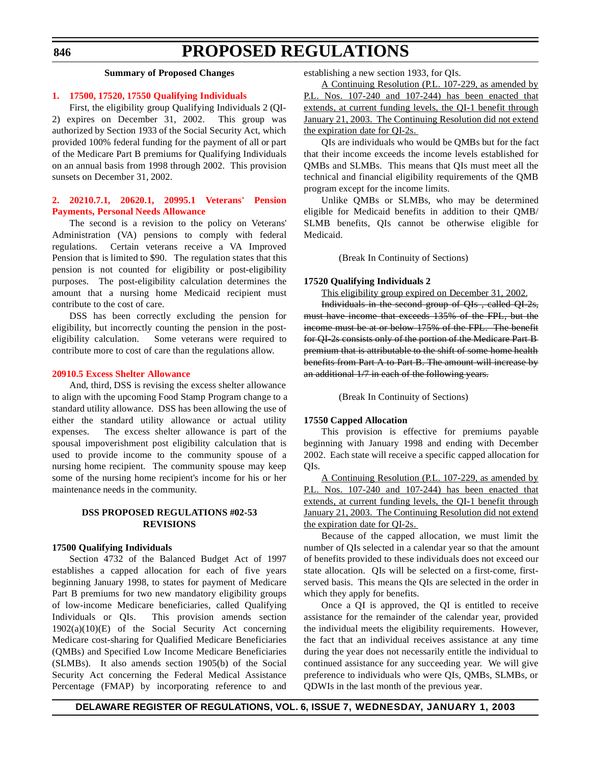#### <span id="page-24-0"></span>**846**

# **PROPOSED REGULATIONS**

#### **Summary of Proposed Changes**

#### **1. 17500, 17520, [17550 Qualifying](#page-3-0) Individuals**

First, the eligibility group Qualifying Individuals 2 (QI-2) expires on December 31, 2002. This group was authorized by Section 1933 of the Social Security Act, which provided 100% federal funding for the payment of all or part of the Medicare Part B premiums for Qualifying Individuals on an annual basis from 1998 through 2002. This provision sunsets on December 31, 2002.

#### **2. 20210.7.1, 20620.1, 20995.1 Veterans' Pension Payments, Personal Needs [Allowance](#page-3-0)**

The second is a revision to the policy on Veterans' Administration (VA) pensions to comply with federal regulations. Certain veterans receive a VA Improved Pension that is limited to \$90. The regulation states that this pension is not counted for eligibility or post-eligibility purposes. The post-eligibility calculation determines the amount that a nursing home Medicaid recipient must contribute to the cost of care.

DSS has been correctly excluding the pension for eligibility, but incorrectly counting the pension in the posteligibility calculation. Some veterans were required to contribute more to cost of care than the regulations allow.

#### **[20910.5 Excess](#page-3-0) Shelter Allowance**

And, third, DSS is revising the excess shelter allowance to align with the upcoming Food Stamp Program change to a standard utility allowance. DSS has been allowing the use of either the standard utility allowance or actual utility expenses. The excess shelter allowance is part of the spousal impoverishment post eligibility calculation that is used to provide income to the community spouse of a nursing home recipient. The community spouse may keep some of the nursing home recipient's income for his or her maintenance needs in the community.

#### **DSS PROPOSED REGULATIONS #02-53 REVISIONS**

#### **17500 Qualifying Individuals**

Section 4732 of the Balanced Budget Act of 1997 establishes a capped allocation for each of five years beginning January 1998, to states for payment of Medicare Part B premiums for two new mandatory eligibility groups of low-income Medicare beneficiaries, called Qualifying Individuals or QIs. This provision amends section  $1902(a)(10)(E)$  of the Social Security Act concerning Medicare cost-sharing for Qualified Medicare Beneficiaries (QMBs) and Specified Low Income Medicare Beneficiaries (SLMBs). It also amends section 1905(b) of the Social Security Act concerning the Federal Medical Assistance Percentage (FMAP) by incorporating reference to and establishing a new section 1933, for QIs.

A Continuing Resolution (P.L. 107-229, as amended by P.L. Nos. 107-240 and 107-244) has been enacted that extends, at current funding levels, the QI-1 benefit through January 21, 2003. The Continuing Resolution did not extend the expiration date for QI-2s.

QIs are individuals who would be QMBs but for the fact that their income exceeds the income levels established for QMBs and SLMBs. This means that QIs must meet all the technical and financial eligibility requirements of the QMB program except for the income limits.

Unlike QMBs or SLMBs, who may be determined eligible for Medicaid benefits in addition to their QMB/ SLMB benefits, QIs cannot be otherwise eligible for Medicaid.

(Break In Continuity of Sections)

#### **17520 Qualifying Individuals 2**

This eligibility group expired on December 31, 2002.

Individuals in the second group of QIs , called QI-2s, must have income that exceeds 135% of the FPL, but the income must be at or below 175% of the FPL. The benefit for QI-2s consists only of the portion of the Medicare Part B premium that is attributable to the shift of some home health benefits from Part A to Part B. The amount will increase by an additional 1/7 in each of the following years.

(Break In Continuity of Sections)

#### **17550 Capped Allocation**

This provision is effective for premiums payable beginning with January 1998 and ending with December 2002. Each state will receive a specific capped allocation for QIs.

A Continuing Resolution (P.L. 107-229, as amended by P.L. Nos. 107-240 and 107-244) has been enacted that extends, at current funding levels, the QI-1 benefit through January 21, 2003. The Continuing Resolution did not extend the expiration date for QI-2s.

Because of the capped allocation, we must limit the number of QIs selected in a calendar year so that the amount of benefits provided to these individuals does not exceed our state allocation. QIs will be selected on a first-come, firstserved basis. This means the QIs are selected in the order in which they apply for benefits.

Once a QI is approved, the QI is entitled to receive assistance for the remainder of the calendar year, provided the individual meets the eligibility requirements. However, the fact that an individual receives assistance at any time during the year does not necessarily entitle the individual to continued assistance for any succeeding year. We will give preference to individuals who were QIs, QMBs, SLMBs, or QDWIs in the last month of the previous year.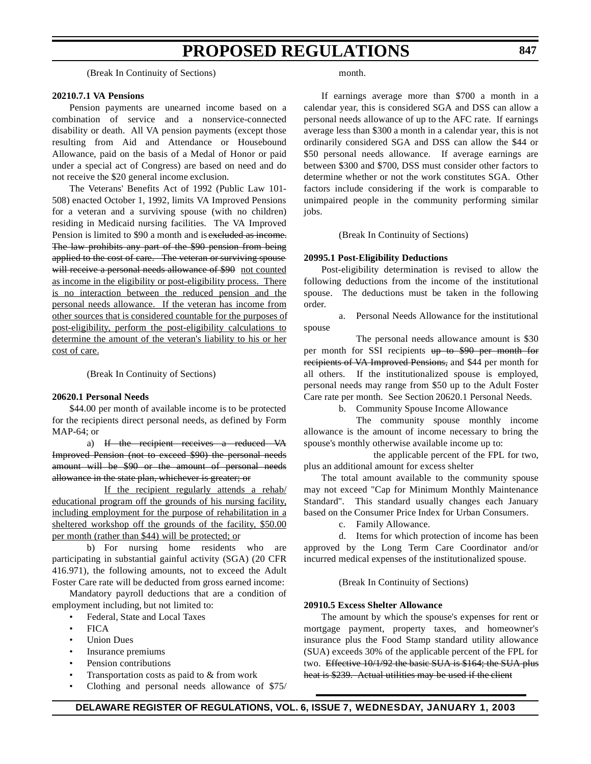(Break In Continuity of Sections)

#### **20210.7.1 VA Pensions**

Pension payments are unearned income based on a combination of service and a nonservice-connected disability or death. All VA pension payments (except those resulting from Aid and Attendance or Housebound Allowance, paid on the basis of a Medal of Honor or paid under a special act of Congress) are based on need and do not receive the \$20 general income exclusion.

The Veterans' Benefits Act of 1992 (Public Law 101- 508) enacted October 1, 1992, limits VA Improved Pensions for a veteran and a surviving spouse (with no children) residing in Medicaid nursing facilities. The VA Improved Pension is limited to \$90 a month and is excluded as income. The law prohibits any part of the \$90 pension from being applied to the cost of care. The veteran or surviving spouse will receive a personal needs allowance of \$90 not counted as income in the eligibility or post-eligibility process. There is no interaction between the reduced pension and the personal needs allowance. If the veteran has income from other sources that is considered countable for the purposes of post-eligibility, perform the post-eligibility calculations to determine the amount of the veteran's liability to his or her cost of care.

(Break In Continuity of Sections)

#### **20620.1 Personal Needs**

\$44.00 per month of available income is to be protected for the recipients direct personal needs, as defined by Form MAP-64; or

a) If the recipient receives a reduced VA Improved Pension (not to exceed \$90) the personal needs amount will be \$90 or the amount of personal needs allowance in the state plan, whichever is greater; or

If the recipient regularly attends a rehab/ educational program off the grounds of his nursing facility, including employment for the purpose of rehabilitation in a sheltered workshop off the grounds of the facility, \$50.00 per month (rather than \$44) will be protected; or

b) For nursing home residents who are participating in substantial gainful activity (SGA) (20 CFR 416.971), the following amounts, not to exceed the Adult Foster Care rate will be deducted from gross earned income:

Mandatory payroll deductions that are a condition of employment including, but not limited to:

• Federal, State and Local Taxes

- FICA
- *Union Dues*
- Insurance premiums
- Pension contributions
- Transportation costs as paid to & from work
- Clothing and personal needs allowance of \$75/

month.

If earnings average more than \$700 a month in a calendar year, this is considered SGA and DSS can allow a personal needs allowance of up to the AFC rate. If earnings average less than \$300 a month in a calendar year, this is not ordinarily considered SGA and DSS can allow the \$44 or \$50 personal needs allowance. If average earnings are between \$300 and \$700, DSS must consider other factors to determine whether or not the work constitutes SGA. Other factors include considering if the work is comparable to unimpaired people in the community performing similar jobs.

(Break In Continuity of Sections)

#### **20995.1 Post-Eligibility Deductions**

Post-eligibility determination is revised to allow the following deductions from the income of the institutional spouse. The deductions must be taken in the following order.

a. Personal Needs Allowance for the institutional spouse

The personal needs allowance amount is \$30 per month for SSI recipients up to \$90 per month for recipients of VA Improved Pensions, and \$44 per month for all others. If the institutionalized spouse is employed, personal needs may range from \$50 up to the Adult Foster Care rate per month. See Section 20620.1 Personal Needs.

b. Community Spouse Income Allowance

The community spouse monthly income allowance is the amount of income necessary to bring the spouse's monthly otherwise available income up to:

the applicable percent of the FPL for two, plus an additional amount for excess shelter

The total amount available to the community spouse may not exceed "Cap for Minimum Monthly Maintenance Standard". This standard usually changes each January based on the Consumer Price Index for Urban Consumers.

c. Family Allowance.

d. Items for which protection of income has been approved by the Long Term Care Coordinator and/or incurred medical expenses of the institutionalized spouse.

(Break In Continuity of Sections)

#### **20910.5 Excess Shelter Allowance**

The amount by which the spouse's expenses for rent or mortgage payment, property taxes, and homeowner's insurance plus the Food Stamp standard utility allowance (SUA) exceeds 30% of the applicable percent of the FPL for two. Effective 10/1/92 the basic SUA is \$164; the SUA plus heat is \$239. Actual utilities may be used if the client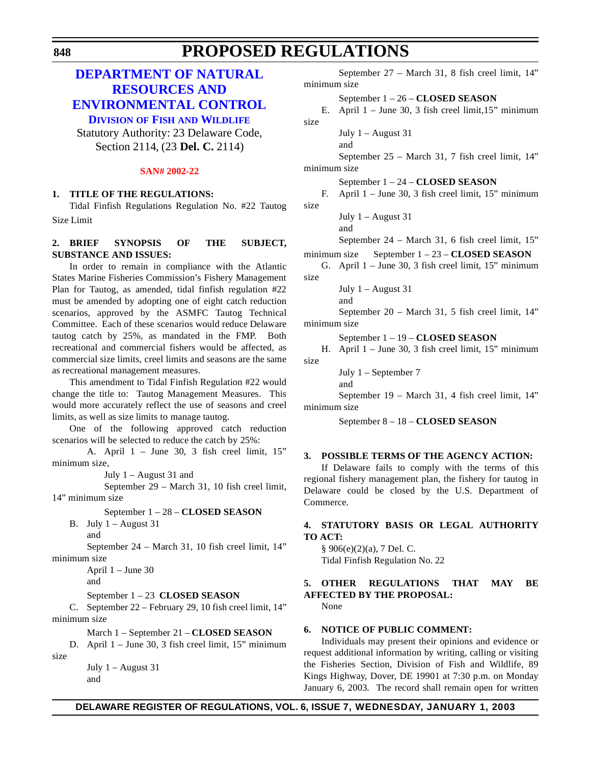# <span id="page-26-0"></span>**DEPARTMENT OF NATURAL RESOURCES AND [ENVIRONMENTAL CONTROL](http://www.dnrec.state.de.us/DNREC2000/Divisions/FW/FW.htm)**

**DIVISION OF FISH AND WILDLIFE**

Statutory Authority: 23 Delaware Code, Section 2114, (23 **Del. C.** 2114)

#### **SAN# [2002-22](#page-3-0)**

### **1. TITLE OF THE REGULATIONS:**

Tidal Finfish Regulations Regulation No. #22 Tautog Size Limit

### **2. BRIEF SYNOPSIS OF THE SUBJECT, SUBSTANCE AND ISSUES:**

In order to remain in compliance with the Atlantic States Marine Fisheries Commission's Fishery Management Plan for Tautog, as amended, tidal finfish regulation #22 must be amended by adopting one of eight catch reduction scenarios, approved by the ASMFC Tautog Technical Committee. Each of these scenarios would reduce Delaware tautog catch by 25%, as mandated in the FMP. Both recreational and commercial fishers would be affected, as commercial size limits, creel limits and seasons are the same as recreational management measures.

This amendment to Tidal Finfish Regulation #22 would change the title to: Tautog Management Measures. This would more accurately reflect the use of seasons and creel limits, as well as size limits to manage tautog.

One of the following approved catch reduction scenarios will be selected to reduce the catch by 25%:

A. April 1 – June 30, 3 fish creel limit, 15" minimum size,

July 1 – August 31 and

September 29 – March 31, 10 fish creel limit, 14" minimum size

September 1 – 28 – **CLOSED SEASON**

B. July  $1 -$ August 31 and

September 24 – March 31, 10 fish creel limit, 14" minimum size

April 1 – June 30

and

September 1 – 23 **CLOSED SEASON**

C. September 22 – February 29, 10 fish creel limit, 14" minimum size

March 1 – September 21 – **CLOSED SEASON**

D. April 1 – June 30, 3 fish creel limit, 15" minimum size

> July 1 – August 31 and

```
September 27 – March 31, 8 fish creel limit, 14"
minimum size
        September 1 – 26 – CLOSED SEASON
    E. April 1 – June 30, 3 fish creel limit,15" minimum
size 
        July 1 - August 31
        and
        September 25 – March 31, 7 fish creel limit, 14"
minimum size
        September 1 – 24 – CLOSED SEASON
```
F. April 1 – June 30, 3 fish creel limit, 15" minimum size

July  $1 -$  August 31

and

and

September 24 – March 31, 6 fish creel limit, 15"

minimum size September 1 – 23 – **CLOSED SEASON**

G. April 1 – June 30, 3 fish creel limit, 15" minimum size

July 1 – August 31

September 20 – March 31, 5 fish creel limit, 14" minimum size

September 1 – 19 – **CLOSED SEASON**

H. April 1 – June 30, 3 fish creel limit, 15" minimum size

July 1 – September 7

and

September 19 – March 31, 4 fish creel limit, 14" minimum size

September 8 – 18 – **CLOSED SEASON**

### **3. POSSIBLE TERMS OF THE AGENCY ACTION:**

If Delaware fails to comply with the terms of this regional fishery management plan, the fishery for tautog in Delaware could be closed by the U.S. Department of Commerce.

### **4. STATUTORY BASIS OR LEGAL AUTHORITY TO ACT:**

 $§ 906(e)(2)(a)$ , 7 Del. C. Tidal Finfish Regulation No. 22

### **5. OTHER REGULATIONS THAT MAY BE AFFECTED BY THE PROPOSAL:**

None

### **6. NOTICE OF PUBLIC COMMENT:**

Individuals may present their opinions and evidence or request additional information by writing, calling or visiting the Fisheries Section, Division of Fish and Wildlife, 89 Kings Highway, Dover, DE 19901 at 7:30 p.m. on Monday January 6, 2003. The record shall remain open for written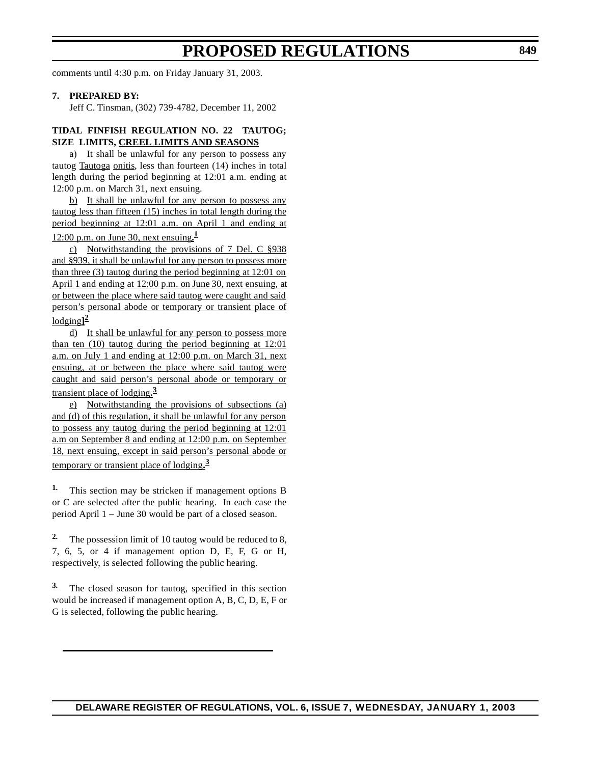comments until 4:30 p.m. on Friday January 31, 2003.

#### **7. PREPARED BY:**

Jeff C. Tinsman, (302) 739-4782, December 11, 2002

#### **TIDAL FINFISH REGULATION NO. 22 TAUTOG; SIZE LIMITS, CREEL LIMITS AND SEASONS**

a) It shall be unlawful for any person to possess any tautog Tautoga onitis, less than fourteen (14) inches in total length during the period beginning at 12:01 a.m. ending at 12:00 p.m. on March 31, next ensuing.

b) It shall be unlawful for any person to possess any tautog less than fifteen (15) inches in total length during the period beginning at 12:01 a.m. on April 1 and ending at

12:00 p.m. on June 30, next ensuing**. 1**

c) Notwithstanding the provisions of 7 Del. C §938 and §939, it shall be unlawful for any person to possess more than three  $(3)$  tautog during the period beginning at  $12:01$  on April 1 and ending at 12:00 p.m. on June 30, next ensuing, at or between the place where said tautog were caught and said person's personal abode or temporary or transient place of lodging**] 2**

d) It shall be unlawful for any person to possess more than ten  $(10)$  tautog during the period beginning at  $12:01$ a.m. on July 1 and ending at 12:00 p.m. on March 31, next ensuing, at or between the place where said tautog were caught and said person's personal abode or temporary or transient place of lodging**. 3**

e) Notwithstanding the provisions of subsections (a) and (d) of this regulation, it shall be unlawful for any person to possess any tautog during the period beginning at 12:01 a.m on September 8 and ending at 12:00 p.m. on September 18, next ensuing, except in said person's personal abode or temporary or transient place of lodging**. 3**

**1.** This section may be stricken if management options B or C are selected after the public hearing. In each case the period April 1 – June 30 would be part of a closed season.

**2.** The possession limit of 10 tautog would be reduced to 8, 7, 6, 5, or 4 if management option D, E, F, G or H, respectively, is selected following the public hearing.

**3.** The closed season for tautog, specified in this section would be increased if management option A, B, C, D, E, F or G is selected, following the public hearing.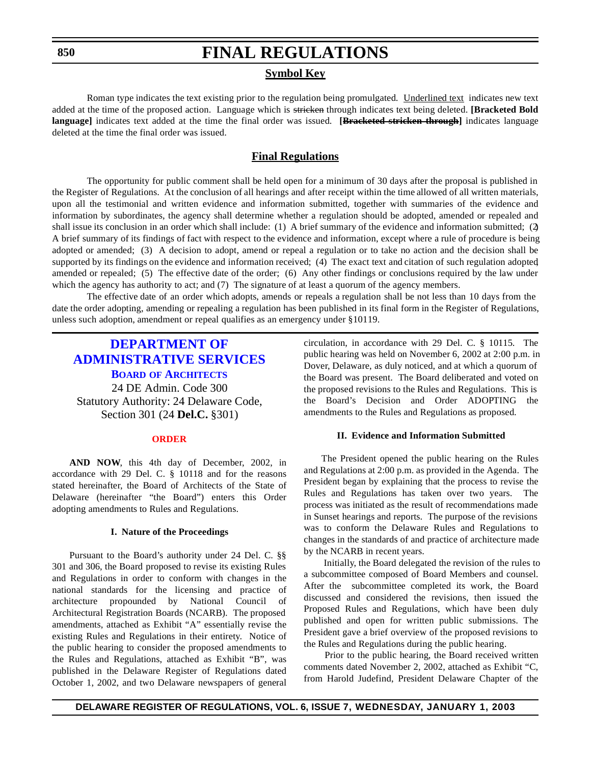### **Symbol Key**

<span id="page-28-0"></span>Roman type indicates the text existing prior to the regulation being promulgated. Underlined text indicates new text added at the time of the proposed action. Language which is stricken through indicates text being deleted. **[Bracketed Bold language]** indicates text added at the time the final order was issued. **[Bracketed stricken through]** indicates language deleted at the time the final order was issued.

## **Final Regulations**

The opportunity for public comment shall be held open for a minimum of 30 days after the proposal is published in the Register of Regulations. At the conclusion of all hearings and after receipt within the time allowed of all written materials, upon all the testimonial and written evidence and information submitted, together with summaries of the evidence and information by subordinates, the agency shall determine whether a regulation should be adopted, amended or repealed and shall issue its conclusion in an order which shall include: (1) A brief summary of the evidence and information submitted; (2) A brief summary of its findings of fact with respect to the evidence and information, except where a rule of procedure is being adopted or amended; (3) A decision to adopt, amend or repeal a regulation or to take no action and the decision shall be supported by its findings on the evidence and information received; (4) The exact text and citation of such regulation adopted, amended or repealed; (5) The effective date of the order; (6) Any other findings or conclusions required by the law under which the agency has authority to act; and (7) The signature of at least a quorum of the agency members.

The effective date of an order which adopts, amends or repeals a regulation shall be not less than 10 days from the date the order adopting, amending or repealing a regulation has been published in its final form in the Register of Regulations, unless such adoption, amendment or repeal qualifies as an emergency under §10119.

# **DEPARTMENT OF [ADMINISTRATIVE SERVICES](http://www.professionallicensing.state.de.us/boards/architects/index.shtml) BOARD OF ARCHITECTS** 24 DE Admin. Code 300 Statutory Authority: 24 Delaware Code, Section 301 (24 **Del.C.** §301)

#### **[ORDER](#page-3-0)**

**AND NOW**, this 4th day of December, 2002, in accordance with 29 Del. C. § 10118 and for the reasons stated hereinafter, the Board of Architects of the State of Delaware (hereinafter "the Board") enters this Order adopting amendments to Rules and Regulations.

#### **I. Nature of the Proceedings**

Pursuant to the Board's authority under 24 Del. C. §§ 301 and 306, the Board proposed to revise its existing Rules and Regulations in order to conform with changes in the national standards for the licensing and practice of architecture propounded by National Council of Architectural Registration Boards (NCARB). The proposed amendments, attached as Exhibit "A" essentially revise the existing Rules and Regulations in their entirety. Notice of the public hearing to consider the proposed amendments to the Rules and Regulations, attached as Exhibit "B", was published in the Delaware Register of Regulations dated October 1, 2002, and two Delaware newspapers of general circulation, in accordance with 29 Del. C. § 10115. The public hearing was held on November 6, 2002 at 2:00 p.m. in Dover, Delaware, as duly noticed, and at which a quorum of the Board was present. The Board deliberated and voted on the proposed revisions to the Rules and Regulations. This is the Board's Decision and Order ADOPTING the amendments to the Rules and Regulations as proposed.

#### **II. Evidence and Information Submitted**

The President opened the public hearing on the Rules and Regulations at 2:00 p.m. as provided in the Agenda. The President began by explaining that the process to revise the Rules and Regulations has taken over two years. The process was initiated as the result of recommendations made in Sunset hearings and reports. The purpose of the revisions was to conform the Delaware Rules and Regulations to changes in the standards of and practice of architecture made by the NCARB in recent years.

 Initially, the Board delegated the revision of the rules to a subcommittee composed of Board Members and counsel. After the subcommittee completed its work, the Board discussed and considered the revisions, then issued the Proposed Rules and Regulations, which have been duly published and open for written public submissions. The President gave a brief overview of the proposed revisions to the Rules and Regulations during the public hearing.

 Prior to the public hearing, the Board received written comments dated November 2, 2002, attached as Exhibit "C, from Harold Judefind, President Delaware Chapter of the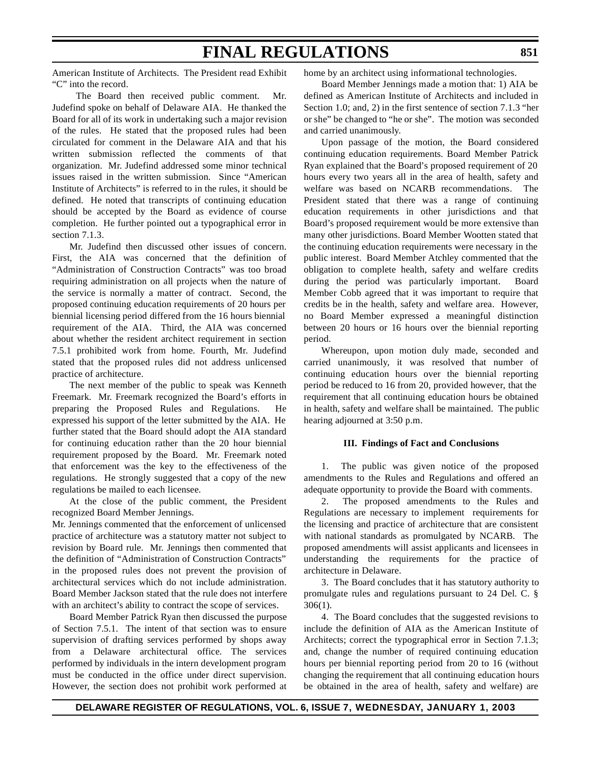American Institute of Architects. The President read Exhibit "C" into the record.

 The Board then received public comment. Mr. Judefind spoke on behalf of Delaware AIA. He thanked the Board for all of its work in undertaking such a major revision of the rules. He stated that the proposed rules had been circulated for comment in the Delaware AIA and that his written submission reflected the comments of that organization. Mr. Judefind addressed some minor technical issues raised in the written submission. Since "American Institute of Architects" is referred to in the rules, it should be defined. He noted that transcripts of continuing education should be accepted by the Board as evidence of course completion. He further pointed out a typographical error in section 7.1.3.

Mr. Judefind then discussed other issues of concern. First, the AIA was concerned that the definition of "Administration of Construction Contracts" was too broad requiring administration on all projects when the nature of the service is normally a matter of contract. Second, the proposed continuing education requirements of 20 hours per biennial licensing period differed from the 16 hours biennial requirement of the AIA. Third, the AIA was concerned about whether the resident architect requirement in section 7.5.1 prohibited work from home. Fourth, Mr. Judefind stated that the proposed rules did not address unlicensed practice of architecture.

The next member of the public to speak was Kenneth Freemark. Mr. Freemark recognized the Board's efforts in preparing the Proposed Rules and Regulations. He expressed his support of the letter submitted by the AIA. He further stated that the Board should adopt the AIA standard for continuing education rather than the 20 hour biennial requirement proposed by the Board. Mr. Freemark noted that enforcement was the key to the effectiveness of the regulations. He strongly suggested that a copy of the new regulations be mailed to each licensee.

At the close of the public comment, the President recognized Board Member Jennings.

Mr. Jennings commented that the enforcement of unlicensed practice of architecture was a statutory matter not subject to revision by Board rule. Mr. Jennings then commented that the definition of "Administration of Construction Contracts" in the proposed rules does not prevent the provision of architectural services which do not include administration. Board Member Jackson stated that the rule does not interfere with an architect's ability to contract the scope of services.

Board Member Patrick Ryan then discussed the purpose of Section 7.5.1. The intent of that section was to ensure supervision of drafting services performed by shops away from a Delaware architectural office. The services performed by individuals in the intern development program must be conducted in the office under direct supervision. However, the section does not prohibit work performed at home by an architect using informational technologies.

Board Member Jennings made a motion that: 1) AIA be defined as American Institute of Architects and included in Section 1.0; and, 2) in the first sentence of section 7.1.3 "her or she" be changed to "he or she". The motion was seconded and carried unanimously.

Upon passage of the motion, the Board considered continuing education requirements. Board Member Patrick Ryan explained that the Board's proposed requirement of 20 hours every two years all in the area of health, safety and welfare was based on NCARB recommendations. The President stated that there was a range of continuing education requirements in other jurisdictions and that Board's proposed requirement would be more extensive than many other jurisdictions. Board Member Wootten stated that the continuing education requirements were necessary in the public interest. Board Member Atchley commented that the obligation to complete health, safety and welfare credits during the period was particularly important. Board Member Cobb agreed that it was important to require that credits be in the health, safety and welfare area. However, no Board Member expressed a meaningful distinction between 20 hours or 16 hours over the biennial reporting period.

Whereupon, upon motion duly made, seconded and carried unanimously, it was resolved that number of continuing education hours over the biennial reporting period be reduced to 16 from 20, provided however, that the requirement that all continuing education hours be obtained in health, safety and welfare shall be maintained. The public hearing adjourned at 3:50 p.m.

#### **III. Findings of Fact and Conclusions**

1. The public was given notice of the proposed amendments to the Rules and Regulations and offered an adequate opportunity to provide the Board with comments.

2. The proposed amendments to the Rules and Regulations are necessary to implement requirements for the licensing and practice of architecture that are consistent with national standards as promulgated by NCARB. The proposed amendments will assist applicants and licensees in understanding the requirements for the practice of architecture in Delaware.

3. The Board concludes that it has statutory authority to promulgate rules and regulations pursuant to 24 Del. C. § 306(1).

4. The Board concludes that the suggested revisions to include the definition of AIA as the American Institute of Architects; correct the typographical error in Section 7.1.3; and, change the number of required continuing education hours per biennial reporting period from 20 to 16 (without changing the requirement that all continuing education hours be obtained in the area of health, safety and welfare) are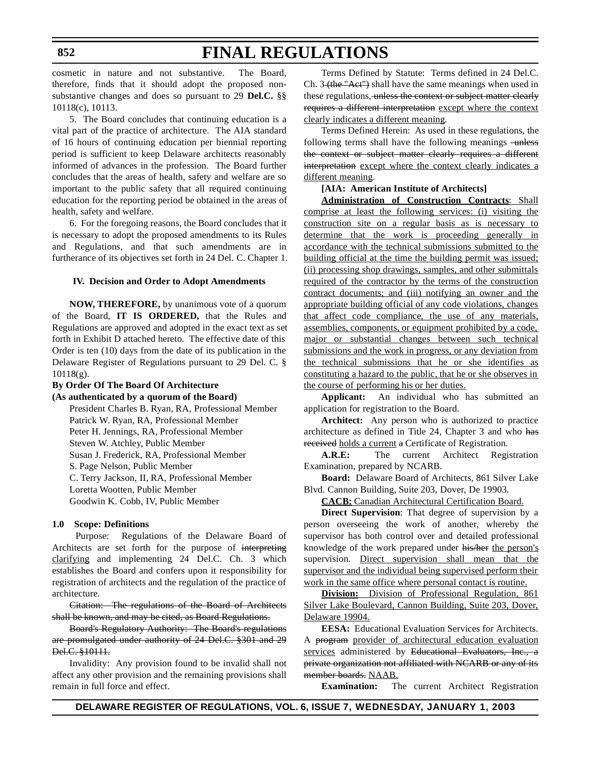cosmetic in nature and not substantive. The Board, therefore, finds that it should adopt the proposed nonsubstantive changes and does so pursuant to 29 **Del.C.** §§ 10118(c), 10113.

5. The Board concludes that continuing education is a vital part of the practice of architecture. The AIA standard of 16 hours of continuing education per biennial reporting period is sufficient to keep Delaware architects reasonably informed of advances in the profession. The Board further concludes that the areas of health, safety and welfare are so important to the public safety that all required continuing education for the reporting period be obtained in the areas of health, safety and welfare.

6. For the foregoing reasons, the Board concludes that it is necessary to adopt the proposed amendments to its Rules and Regulations, and that such amendments are in furtherance of its objectives set forth in 24 Del. C. Chapter 1.

#### **IV. Decision and Order to Adopt Amendments**

**NOW, THEREFORE,** by unanimous vote of a quorum of the Board, **IT IS ORDERED,** that the Rules and Regulations are approved and adopted in the exact text as set forth in Exhibit D attached hereto. The effective date of this Order is ten (10) days from the date of its publication in the Delaware Register of Regulations pursuant to 29 Del. C. §  $10118(g)$ .

### **By Order Of The Board Of Architecture**

**(As authenticated by a quorum of the Board)**

President Charles B. Ryan, RA, Professional Member Patrick W. Ryan, RA, Professional Member Peter H. Jennings, RA, Professional Member Steven W. Atchley, Public Member Susan J. Frederick, RA, Professional Member S. Page Nelson, Public Member C. Terry Jackson, II, RA, Professional Member Loretta Wootten, Public Member Goodwin K. Cobb, IV, Public Member

#### **1.0 Scope: Definitions**

 Purpose: Regulations of the Delaware Board of Architects are set forth for the purpose of interpreting clarifying and implementing 24 Del.C. Ch. 3 which establishes the Board and confers upon it responsibility for registration of architects and the regulation of the practice of architecture.

Citation: The regulations of the Board of Architects shall be known, and may be cited, as Board Regulations.

Board's Regulatory Authority: The Board's regulations are promulgated under authority of 24 Del.C. §301 and 29 Del.C. §10111.

Invalidity: Any provision found to be invalid shall not affect any other provision and the remaining provisions shall remain in full force and effect.

Terms Defined by Statute: Terms defined in 24 Del.C. Ch.  $3$  (the "Act") shall have the same meanings when used in these regulations, unless the context or subject matter clearly requires a different interpretation except where the context clearly indicates a different meaning.

Terms Defined Herein: As used in these regulations, the following terms shall have the following meanings -unless the context or subject matter clearly requires a different interpretation except where the context clearly indicates a different meaning.

#### **[AIA: American Institute of Architects]**

**Administration of Construction Contracts**: Shall comprise at least the following services: (i) visiting the construction site on a regular basis as is necessary to determine that the work is proceeding generally in accordance with the technical submissions submitted to the building official at the time the building permit was issued; (ii) processing shop drawings, samples, and other submittals required of the contractor by the terms of the construction contract documents; and (iii) notifying an owner and the appropriate building official of any code violations, changes that affect code compliance, the use of any materials, assemblies, components, or equipment prohibited by a code, major or substantial changes between such technical submissions and the work in progress, or any deviation from the technical submissions that he or she identifies as constituting a hazard to the public, that he or she observes in the course of performing his or her duties.

**Applicant:** An individual who has submitted an application for registration to the Board.

**Architect:** Any person who is authorized to practice architecture as defined in Title 24, Chapter 3 and who has received holds a current a Certificate of Registration.

**A.R.E:** The current Architect Registration Examination, prepared by NCARB.

**Board:** Delaware Board of Architects, 861 Silver Lake Blvd. Cannon Building, Suite 203, Dover, De 19903.

**CACB:** Canadian Architectural Certification Board.

**Direct Supervision**: That degree of supervision by a person overseeing the work of another, whereby the supervisor has both control over and detailed professional knowledge of the work prepared under his/her the person's supervision. Direct supervision shall mean that the supervisor and the individual being supervised perform their work in the same office where personal contact is routine.

**Division:** Division of Professional Regulation, 861 Silver Lake Boulevard, Cannon Building, Suite 203, Dover, Delaware 19904.

**EESA:** Educational Evaluation Services for Architects. A program provider of architectural education evaluation services administered by Educational Evaluators, Inc., a private organization not affiliated with NCARB or any of its member boards. NAAB.

**Examination:** The current Architect Registration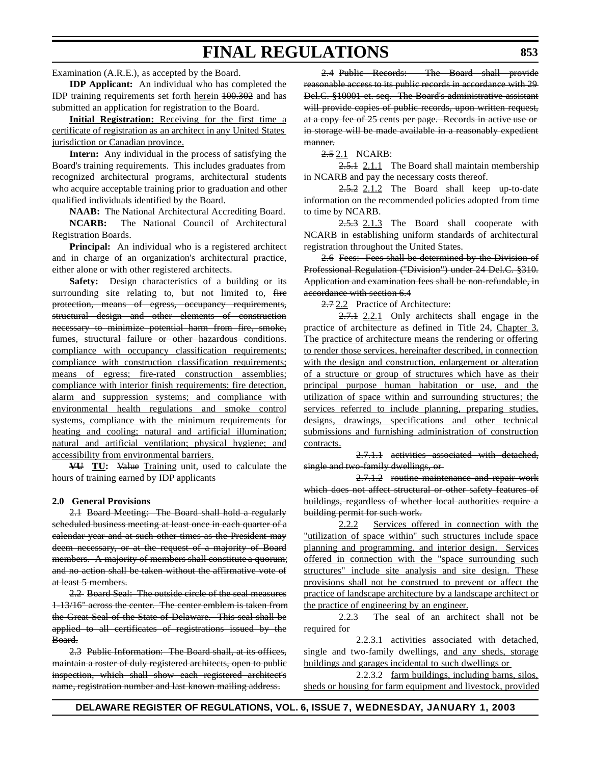Examination (A.R.E.), as accepted by the Board.

**IDP Applicant:** An individual who has completed the IDP training requirements set forth herein 100.302 and has submitted an application for registration to the Board.

**Initial Registration:** Receiving for the first time a certificate of registration as an architect in any United States jurisdiction or Canadian province.

**Intern:** Any individual in the process of satisfying the Board's training requirements. This includes graduates from recognized architectural programs, architectural students who acquire acceptable training prior to graduation and other qualified individuals identified by the Board.

**NAAB:** The National Architectural Accrediting Board. **NCARB:** The National Council of Architectural Registration Boards.

**Principal:** An individual who is a registered architect and in charge of an organization's architectural practice, either alone or with other registered architects.

**Safety:** Design characteristics of a building or its surrounding site relating to, but not limited to, fire protection, means of egress, occupancy requirements, structural design and other elements of construction necessary to minimize potential harm from fire, smoke, fumes, structural failure or other hazardous conditions. compliance with occupancy classification requirements; compliance with construction classification requirements; means of egress; fire-rated construction assemblies; compliance with interior finish requirements; fire detection, alarm and suppression systems; and compliance with environmental health regulations and smoke control systems, compliance with the minimum requirements for heating and cooling; natural and artificial illumination; natural and artificial ventilation; physical hygiene; and accessibility from environmental barriers.

**VU TU:** Value Training unit, used to calculate the hours of training earned by IDP applicants

#### **2.0 General Provisions**

2.1 Board Meeting: The Board shall hold a regularly scheduled business meeting at least once in each quarter of a calendar year and at such other times as the President may deem necessary, or at the request of a majority of Board members. A majority of members shall constitute a quorum; and no action shall be taken without the affirmative vote of at least 5 members.

2.2 Board Seal: The outside circle of the seal measures 1-13/16" across the center. The center emblem is taken from the Great Seal of the State of Delaware. This seal shall be applied to all certificates of registrations issued by the Board.

2.3 Public Information: The Board shall, at its offices, maintain a roster of duly registered architects, open to public inspection, which shall show each registered architect's name, registration number and last known mailing address.

2.4 Public Records: The Board shall provide reasonable access to its public records in accordance with 29 Del.C. §10001 et. seq. The Board's administrative assistant will provide copies of public records, upon written request, at a copy fee of 25 cents per page. Records in active use or in storage will be made available in a reasonably expedient manner.

2.5 2.1 NCARB:

2.5.1 2.1.1 The Board shall maintain membership in NCARB and pay the necessary costs thereof.

2.5.2 2.1.2 The Board shall keep up-to-date information on the recommended policies adopted from time to time by NCARB.

2.5.3 2.1.3 The Board shall cooperate with NCARB in establishing uniform standards of architectural registration throughout the United States.

2.6 Fees: Fees shall be determined by the Division of Professional Regulation ("Division") under 24 Del.C. §310. Application and examination fees shall be non-refundable, in accordance with section 6.4

2.7 2.2 Practice of Architecture:

 $2.7.1$  2.2.1 Only architects shall engage in the practice of architecture as defined in Title 24, Chapter 3. The practice of architecture means the rendering or offering to render those services, hereinafter described, in connection with the design and construction, enlargement or alteration of a structure or group of structures which have as their principal purpose human habitation or use, and the utilization of space within and surrounding structures; the services referred to include planning, preparing studies, designs, drawings, specifications and other technical submissions and furnishing administration of construction contracts.

2.7.1.1 activities associated with detached, single and two-family dwellings, or

2.7.1.2 routine maintenance and repair work which does not affect structural or other safety features of buildings, regardless of whether local authorities require a building permit for such work.

2.2.2 Services offered in connection with the "utilization of space within" such structures include space planning and programming, and interior design. Services offered in connection with the "space surrounding such structures" include site analysis and site design. These provisions shall not be construed to prevent or affect the practice of landscape architecture by a landscape architect or the practice of engineering by an engineer.

2.2.3 The seal of an architect shall not be required for

2.2.3.1 activities associated with detached, single and two-family dwellings, and any sheds, storage buildings and garages incidental to such dwellings or

2.2.3.2 farm buildings, including barns, silos, sheds or housing for farm equipment and livestock, provided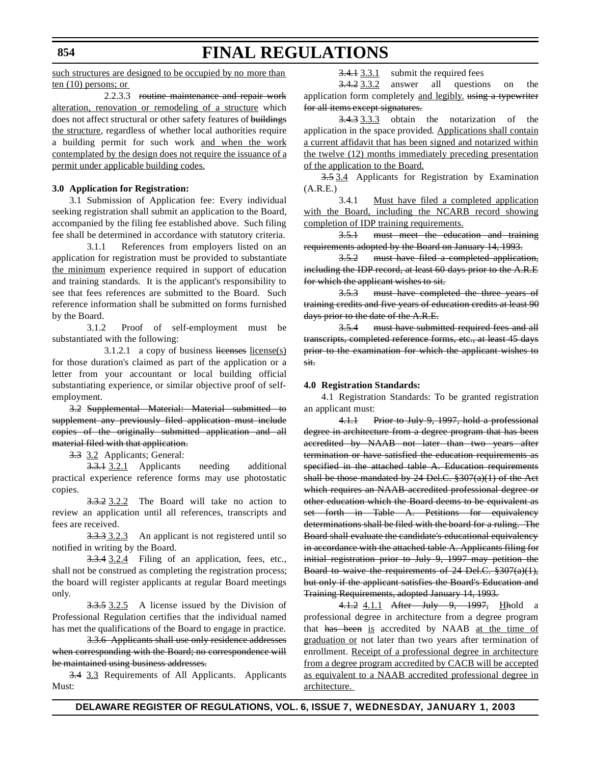#### **854**

# **FINAL REGULATIONS**

such structures are designed to be occupied by no more than ten (10) persons; or

2.2.3.3 routine maintenance and repair work alteration, renovation or remodeling of a structure which does not affect structural or other safety features of buildings the structure, regardless of whether local authorities require a building permit for such work and when the work contemplated by the design does not require the issuance of a permit under applicable building codes.

### **3.0 Application for Registration:**

3.1 Submission of Application fee: Every individual seeking registration shall submit an application to the Board, accompanied by the filing fee established above. Such filing fee shall be determined in accordance with statutory criteria.

3.1.1 References from employers listed on an application for registration must be provided to substantiate the minimum experience required in support of education and training standards. It is the applicant's responsibility to see that fees references are submitted to the Board. Such reference information shall be submitted on forms furnished by the Board.

3.1.2 Proof of self-employment must be substantiated with the following:

 $3.1.2.1$  a copy of business licenses license(s) for those duration's claimed as part of the application or a letter from your accountant or local building official substantiating experience, or similar objective proof of selfemployment.

3.2 Supplemental Material: Material submitted to supplement any previously filed application must include copies of the originally submitted application and all material filed with that application.

3.3 3.2 Applicants; General:

3.3.1 3.2.1 Applicants needing additional practical experience reference forms may use photostatic copies.

3.3.2 3.2.2 The Board will take no action to review an application until all references, transcripts and fees are received.

3.3.3 3.2.3 An applicant is not registered until so notified in writing by the Board.

3.3.4 3.2.4 Filing of an application, fees, etc., shall not be construed as completing the registration process; the board will register applicants at regular Board meetings only.

3.3.5 3.2.5 A license issued by the Division of Professional Regulation certifies that the individual named has met the qualifications of the Board to engage in practice.

3.3.6 Applicants shall use only residence addresses when corresponding with the Board; no correspondence will be maintained using business addresses.

3.4 3.3 Requirements of All Applicants. Applicants Must:

 $3.4.1$  3.3.1 submit the required fees

3.4.2 3.3.2 answer all questions on the application form completely and legibly, using a typewriter for all items except signatures.

3.4.3 3.3.3 obtain the notarization of the application in the space provided. Applications shall contain a current affidavit that has been signed and notarized within the twelve (12) months immediately preceding presentation of the application to the Board.

3.5 3.4 Applicants for Registration by Examination (A.R.E.)

3.4.1 Must have filed a completed application with the Board, including the NCARB record showing completion of IDP training requirements.

3.5.1 must meet the education and training requirements adopted by the Board on January 14, 1993.

3.5.2 must have filed a completed application, including the IDP record, at least 60 days prior to the A.R.E for which the applicant wishes to sit.

3.5.3 must have completed the three years of training credits and five years of education credits at least 90 days prior to the date of the A.R.E.

3.5.4 must have submitted required fees and all transcripts, completed reference forms, etc., at least 45 days prior to the examination for which the applicant wishes to sit.

#### **4.0 Registration Standards:**

4.1 Registration Standards: To be granted registration an applicant must:

4.1.1 Prior to July 9, 1997, hold a professional degree in architecture from a degree program that has been accredited by NAAB not later than two years after termination or have satisfied the education requirements as specified in the attached table A. Education requirements shall be those mandated by 24 Del.C. §307(a)(1) of the Act which requires an NAAB-accredited professional degree or other education which the Board deems to be equivalent as set forth in Table A. Petitions for equivalency determinations shall be filed with the board for a ruling. The Board shall evaluate the candidate's educational equivalency in accordance with the attached table A. Applicants filing for initial registration prior to July 9, 1997 may petition the Board to waive the requirements of 24 Del.C. §307(a)(1), but only if the applicant satisfies the Board's Education and Training Requirements, adopted January 14, 1993.

4.1.2 4.1.1 After July 9, 1997, Hhold a professional degree in architecture from a degree program that has been is accredited by NAAB at the time of graduation or not later than two years after termination of enrollment. Receipt of a professional degree in architecture from a degree program accredited by CACB will be accepted as equivalent to a NAAB accredited professional degree in architecture.

**DELAWARE REGISTER OF REGULATIONS, VOL. 6, ISSUE 7, WEDNESDAY, JANUARY 1, 2003**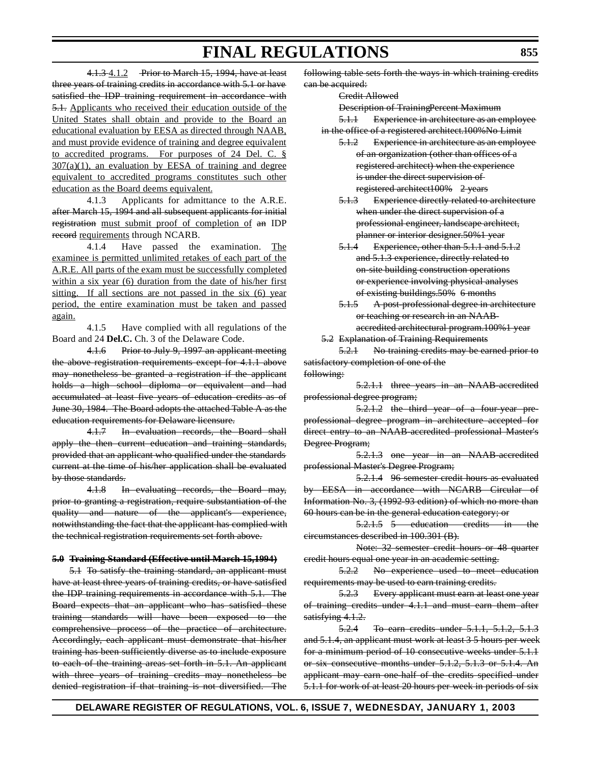4.1.3 4.1.2 Prior to March 15, 1994, have at least three years of training credits in accordance with 5.1 or have satisfied the IDP training requirement in accordance with 5.1. Applicants who received their education outside of the United States shall obtain and provide to the Board an educational evaluation by EESA as directed through NAAB, and must provide evidence of training and degree equivalent to accredited programs. For purposes of 24 Del. C. §  $307(a)(1)$ , an evaluation by EESA of training and degree equivalent to accredited programs constitutes such other education as the Board deems equivalent.

4.1.3 Applicants for admittance to the A.R.E. after March 15, 1994 and all subsequent applicants for initial registration must submit proof of completion of an IDP record requirements through NCARB.

4.1.4 Have passed the examination. The examinee is permitted unlimited retakes of each part of the A.R.E. All parts of the exam must be successfully completed within a six year (6) duration from the date of his/her first sitting. If all sections are not passed in the six (6) year period, the entire examination must be taken and passed again.

4.1.5 Have complied with all regulations of the Board and 24 **Del.C.** Ch. 3 of the Delaware Code.

4.1.6 Prior to July 9, 1997 an applicant meeting the above registration requirements except for 4.1.1 above may nonetheless be granted a registration if the applicant holds a high school diploma or equivalent and had accumulated at least five years of education credits as of June 30, 1984. The Board adopts the attached Table A as the education requirements for Delaware licensure.

4.1.7 In evaluation records, the Board shall apply the then current education and training standards, provided that an applicant who qualified under the standards current at the time of his/her application shall be evaluated by those standards.

4.1.8 In evaluating records, the Board may, prior to granting a registration, require substantiation of the quality and nature of the applicant's experience, notwithstanding the fact that the applicant has complied with the technical registration requirements set forth above.

#### **5.0 Training Standard (Effective until March 15,1994)**

5.1 To satisfy the training standard, an applicant must have at least three years of training credits, or have satisfied the IDP training requirements in accordance with 5.1. The Board expects that an applicant who has satisfied these training standards will have been exposed to the comprehensive process of the practice of architecture. Accordingly, each applicant must demonstrate that his/her training has been sufficiently diverse as to include exposure to each of the training areas set forth in 5.1. An applicant with three years of training credits may nonetheless be denied registration if that training is not diversified. The

following table sets forth the ways in which training credits can be acquired:

Credit Allowed

Description of TrainingPercent Maximum

5.1.1 Experience in architecture as an employee in the office of a registered architect.100%No Limit

- 5.1.2 Experience in architecture as an employee of an organization (other than offices of a registered architect) when the experience is under the direct supervision of registered architect100% 2 years
- 5.1.3 Experience directly related to architecture when under the direct supervision of a professional engineer, landscape architect, planner or interior designer.50%1 year
- 5.1.4 Experience, other than 5.1.1 and 5.1.2 and 5.1.3 experience, directly related to on-site building construction operations or experience involving physical analyses of existing buildings.50% 6 months
- 5.1.5 A post-professional degree in architecture or teaching or research in an NAABaccredited architectural program.100%1 year
- 5.2 Explanation of Training Requirements

5.2.1 No training credits may be earned prior to satisfactory completion of one of the following:

5.2.1.1 three years in an NAAB-accredited professional degree program;

5.2.1.2 the third year of a four-year preprofessional degree program in architecture accepted for direct entry to an NAAB-accredited professional Master's Degree Program;

5.2.1.3 one year in an NAAB-accredited professional Master's Degree Program;

5.2.1.4 96 semester credit hours as evaluated by EESA in accordance with NCARB Circular of Information No. 3, (1992-93 edition) of which no more than 60 hours can be in the general education category; or

5.2.1.5 5 education credits in the circumstances described in 100.301 (B).

Note: 32 semester credit hours or 48 quarter credit hours equal one year in an academic setting.

5.2.2 No experience used to meet education requirements may be used to earn training credits.

5.2.3 Every applicant must earn at least one year of training credits under 4.1.1 and must earn them after satisfying 4.1.2.

5.2.4 To earn credits under 5.1.1, 5.1.2, 5.1.3 and 5.1.4, an applicant must work at least 3 5 hours per week for a minimum period of 10 consecutive weeks under 5.1.1 or six consecutive months under 5.1.2, 5.1.3 or 5.1.4. An applicant may earn one-half of the credits specified under 5.1.1 for work of at least 20 hours per week in periods of six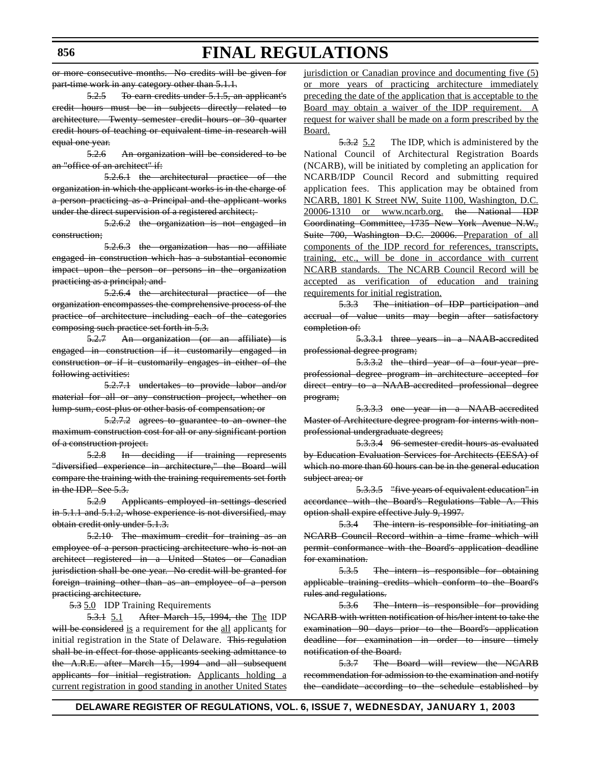or more consecutive months. No credits will be given for part-time work in any category other than 5.1.1.

**FINAL REGULATIONS**

5.2.5 To earn credits under 5.1.5, an applicant's credit hours must be in subjects directly related to architecture. Twenty semester credit hours or 30 quarter credit hours of teaching or equivalent time in research will equal one year.

5.2.6 An organization will be considered to be an "office of an architect" if:

5.2.6.1 the architectural practice of the organization in which the applicant works is in the charge of a person practicing as a Principal and the applicant works under the direct supervision of a registered architect;-

5.2.6.2 the organization is not engaged in construction;

5.2.6.3 the organization has no affiliate engaged in construction which has a substantial economic impact upon the person or persons in the organization practicing as a principal; and

5.2.6.4 the architectural practice of the organization encompasses the comprehensive process of the practice of architecture including each of the categories composing such practice set forth in 5.3.

5.2.7 An organization (or an affiliate) is engaged in construction if it customarily engaged in construction or if it customarily engages in either of the following activities:

5.2.7.1 undertakes to provide labor and/or material for all or any construction project, whether on lump-sum, cost-plus or other basis of compensation; or

5.2.7.2 agrees to guarantee to an owner the maximum construction cost for all or any significant portion of a construction project.

5.2.8 In deciding if training represents "diversified experience in architecture," the Board will compare the training with the training requirements set forth in the IDP. See 5.3.

5.2.9 Applicants employed in settings descried in 5.1.1 and 5.1.2, whose experience is not diversified, may obtain credit only under 5.1.3.

5.2.10 The maximum credit for training as an employee of a person practicing architecture who is not an architect registered in a United States or Canadian jurisdiction shall be one year. No credit will be granted for foreign training other than as an employee of a person practicing architecture.

5.3 5.0 IDP Training Requirements

5.3.1 5.1 After March 15, 1994, the The IDP will be considered is a requirement for the all applicants for initial registration in the State of Delaware. This regulation shall be in effect for those applicants seeking admittance to the A.R.E. after March 15, 1994 and all subsequent applicants for initial registration. Applicants holding a current registration in good standing in another United States jurisdiction or Canadian province and documenting five (5) or more years of practicing architecture immediately preceding the date of the application that is acceptable to the Board may obtain a waiver of the IDP requirement. A request for waiver shall be made on a form prescribed by the Board.

5.3.2 5.2 The IDP, which is administered by the National Council of Architectural Registration Boards (NCARB), will be initiated by completing an application for NCARB/IDP Council Record and submitting required application fees. This application may be obtained from NCARB, 1801 K Street NW, Suite 1100, Washington, D.C. 20006-1310 or www.ncarb.org. the National IDP Coordinating Committee, 1735 New York Avenue N.W., Suite 700, Washington D.C. 20006. Preparation of all components of the IDP record for references, transcripts, training, etc., will be done in accordance with current NCARB standards. The NCARB Council Record will be accepted as verification of education and training requirements for initial registration.

5.3.3 The initiation of IDP participation and accrual of value units may begin after satisfactory completion of:

5.3.3.1 three years in a NAAB-accredited professional degree program;

5.3.3.2 the third year of a four-year preprofessional degree program in architecture accepted for direct entry to a NAAB-accredited professional degree program;

5.3.3.3 one year in a NAAB-accredited Master of Architecture degree program for interns with nonprofessional undergraduate degrees;

5.3.3.4 96 semester credit hours as evaluated by Education Evaluation Services for Architects (EESA) of which no more than 60 hours can be in the general education subject area; or

5.3.3.5 "five years of equivalent education" in accordance with the Board's Regulations Table A. This option shall expire effective July 9, 1997.

5.3.4 The intern is responsible for initiating an NCARB Council Record within a time frame which will permit conformance with the Board's application deadline for examination.

5.3.5 The intern is responsible for obtaining applicable training credits which conform to the Board's rules and regulations.

5.3.6 The Intern is responsible for providing NCARB with written notification of his/her intent to take the examination 90 days prior to the Board's application deadline for examination in order to insure timely notification of the Board.

5.3.7 The Board will review the NCARB recommendation for admission to the examination and notify the candidate according to the schedule established by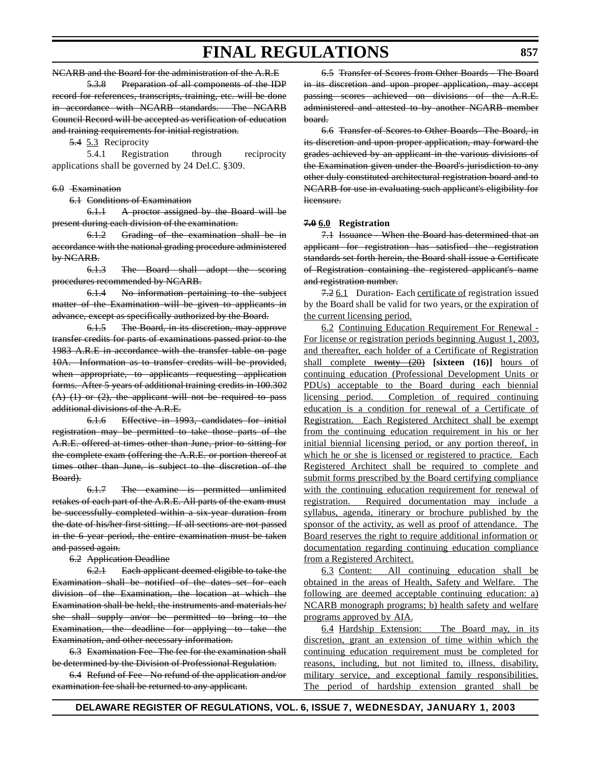NCARB and the Board for the administration of the A.R.E

5.3.8 Preparation of all components of the IDP record for references, transcripts, training, etc. will be done in accordance with NCARB standards. The NCARB Council Record will be accepted as verification of education and training requirements for initial registration.

5.4 5.3 Reciprocity

5.4.1 Registration through reciprocity applications shall be governed by 24 Del.C. §309.

#### 6.0 Examination

6.1 Conditions of Examination

6.1.1 A proctor assigned by the Board will be present during each division of the examination.

6.1.2 Grading of the examination shall be in accordance with the national grading procedure administered by NCARB.

6.1.3 The Board shall adopt the scoring procedures recommended by NCARB.

6.1.4 No information pertaining to the subject matter of the Examination will be given to applicants in advance, except as specifically authorized by the Board.

6.1.5 The Board, in its discretion, may approve transfer credits for parts of examinations passed prior to the 1983 A.R.E in accordance with the transfer table on page 10A. Information as to transfer credits will be provided, when appropriate, to applicants requesting application forms. After 5 years of additional training credits in 100.302  $(A)$   $(1)$  or  $(2)$ , the applicant will not be required to pass additional divisions of the A.R.E.

6.1.6 Effective in 1993, candidates for initial registration may be permitted to take those parts of the A.R.E. offered at times other than June, prior to sitting for the complete exam (offering the A.R.E. or portion thereof at times other than June, is subject to the discretion of the Board).

6.1.7 The examine is permitted unlimited retakes of each part of the A.R.E. All parts of the exam must be successfully completed within a six-year duration from the date of his/her first sitting. If all sections are not passed in the 6 year period, the entire examination must be taken and passed again.

#### 6.2 Application Deadline

6.2.1 Each applicant deemed eligible to take the Examination shall be notified of the dates set for each division of the Examination, the location at which the Examination shall be held, the instruments and materials he/ she shall supply an/or be permitted to bring to the Examination, the deadline for applying to take the Examination, and other necessary information.

6.3 Examination Fee- The fee for the examination shall be determined by the Division of Professional Regulation.

6.4 Refund of Fee - No refund of the application and/or examination fee shall be returned to any applicant.

6.5 Transfer of Scores from Other Boards - The Board in its discretion and upon proper application, may accept passing scores achieved on divisions of the A.R.E. administered and attested to by another NCARB member board.

6.6 Transfer of Scores to Other Boards- The Board, in its discretion and upon proper application, may forward the grades achieved by an applicant in the various divisions of the Examination given under the Board's jurisdiction to any other duly constituted architectural registration board and to NCARB for use in evaluating such applicant's eligibility for licensure.

#### **7.0 6.0 Registration**

7.1 Issuance - When the Board has determined that an applicant for registration has satisfied the registration standards set forth herein, the Board shall issue a Certificate of Registration containing the registered applicant's name and registration number.

7.2 6.1 Duration- Each certificate of registration issued by the Board shall be valid for two years, or the expiration of the current licensing period.

6.2 Continuing Education Requirement For Renewal - For license or registration periods beginning August 1, 2003, and thereafter, each holder of a Certificate of Registration shall complete twenty (20) **[sixteen (16)]** hours of continuing education (Professional Development Units or PDUs) acceptable to the Board during each biennial licensing period. Completion of required continuing education is a condition for renewal of a Certificate of Registration. Each Registered Architect shall be exempt from the continuing education requirement in his or her initial biennial licensing period, or any portion thereof, in which he or she is licensed or registered to practice. Each Registered Architect shall be required to complete and submit forms prescribed by the Board certifying compliance with the continuing education requirement for renewal of registration. Required documentation may include a syllabus, agenda, itinerary or brochure published by the sponsor of the activity, as well as proof of attendance. The Board reserves the right to require additional information or documentation regarding continuing education compliance from a Registered Architect.

6.3 Content: All continuing education shall be obtained in the areas of Health, Safety and Welfare. The following are deemed acceptable continuing education: a) NCARB monograph programs; b) health safety and welfare programs approved by AIA.

6.4 Hardship Extension: The Board may, in its discretion, grant an extension of time within which the continuing education requirement must be completed for reasons, including, but not limited to, illness, disability, military service, and exceptional family responsibilities. The period of hardship extension granted shall be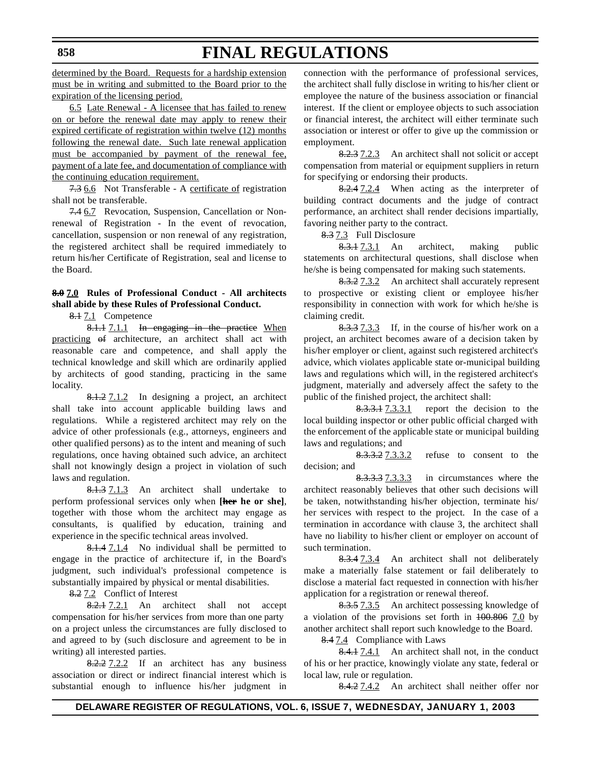determined by the Board. Requests for a hardship extension must be in writing and submitted to the Board prior to the expiration of the licensing period.

6.5 Late Renewal - A licensee that has failed to renew on or before the renewal date may apply to renew their expired certificate of registration within twelve (12) months following the renewal date. Such late renewal application must be accompanied by payment of the renewal fee, payment of a late fee, and documentation of compliance with the continuing education requirement.

7.3 6.6 Not Transferable - A certificate of registration shall not be transferable.

7.4 6.7 Revocation, Suspension, Cancellation or Nonrenewal of Registration - In the event of revocation, cancellation, suspension or non renewal of any registration, the registered architect shall be required immediately to return his/her Certificate of Registration, seal and license to the Board.

### **8.0 7.0 Rules of Professional Conduct - All architects shall abide by these Rules of Professional Conduct.**

8.1 7.1 Competence

8.1.1 7.1.1 In engaging in the practice When practicing of architecture, an architect shall act with reasonable care and competence, and shall apply the technical knowledge and skill which are ordinarily applied by architects of good standing, practicing in the same locality.

8.1.2 7.1.2 In designing a project, an architect shall take into account applicable building laws and regulations. While a registered architect may rely on the advice of other professionals (e.g., attorneys, engineers and other qualified persons) as to the intent and meaning of such regulations, once having obtained such advice, an architect shall not knowingly design a project in violation of such laws and regulation.

8.1.3 7.1.3 An architect shall undertake to perform professional services only when **[her he or she]**, together with those whom the architect may engage as consultants, is qualified by education, training and experience in the specific technical areas involved.

8.1.4 7.1.4 No individual shall be permitted to engage in the practice of architecture if, in the Board's judgment, such individual's professional competence is substantially impaired by physical or mental disabilities.

8.2 7.2 Conflict of Interest

8.2.1 7.2.1 An architect shall not accept compensation for his/her services from more than one party on a project unless the circumstances are fully disclosed to and agreed to by (such disclosure and agreement to be in writing) all interested parties.

8.2.2 7.2.2 If an architect has any business association or direct or indirect financial interest which is substantial enough to influence his/her judgment in

connection with the performance of professional services, the architect shall fully disclose in writing to his/her client or employee the nature of the business association or financial interest. If the client or employee objects to such association or financial interest, the architect will either terminate such association or interest or offer to give up the commission or employment.

8.2.3 7.2.3 An architect shall not solicit or accept compensation from material or equipment suppliers in return for specifying or endorsing their products.

8.2.4 7.2.4 When acting as the interpreter of building contract documents and the judge of contract performance, an architect shall render decisions impartially, favoring neither party to the contract.

8.3 7.3 Full Disclosure

**FINAL REGULATIONS**

8.3.1 7.3.1 An architect, making public statements on architectural questions, shall disclose when he/she is being compensated for making such statements.

8.3.2 7.3.2 An architect shall accurately represent to prospective or existing client or employee his/her responsibility in connection with work for which he/she is claiming credit.

8.3.3 7.3.3 If, in the course of his/her work on a project, an architect becomes aware of a decision taken by his/her employer or client, against such registered architect's advice, which violates applicable state or-municipal building laws and regulations which will, in the registered architect's judgment, materially and adversely affect the safety to the public of the finished project, the architect shall:

8.3.3.1 7.3.3.1 report the decision to the local building inspector or other public official charged with the enforcement of the applicable state or municipal building laws and regulations; and

8.3.3.2 7.3.3.2 refuse to consent to the decision; and

8.3.3.3 7.3.3.3 in circumstances where the architect reasonably believes that other such decisions will be taken, notwithstanding his/her objection, terminate his/ her services with respect to the project. In the case of a termination in accordance with clause 3, the architect shall have no liability to his/her client or employer on account of such termination.

8.3.4 7.3.4 An architect shall not deliberately make a materially false statement or fail deliberately to disclose a material fact requested in connection with his/her application for a registration or renewal thereof.

8.3.5 7.3.5 An architect possessing knowledge of a violation of the provisions set forth in 100.806 7.0 by another architect shall report such knowledge to the Board.

8.4 7.4 Compliance with Laws

8.4.1 7.4.1 An architect shall not, in the conduct of his or her practice, knowingly violate any state, federal or local law, rule or regulation.

8.4.2 7.4.2 An architect shall neither offer nor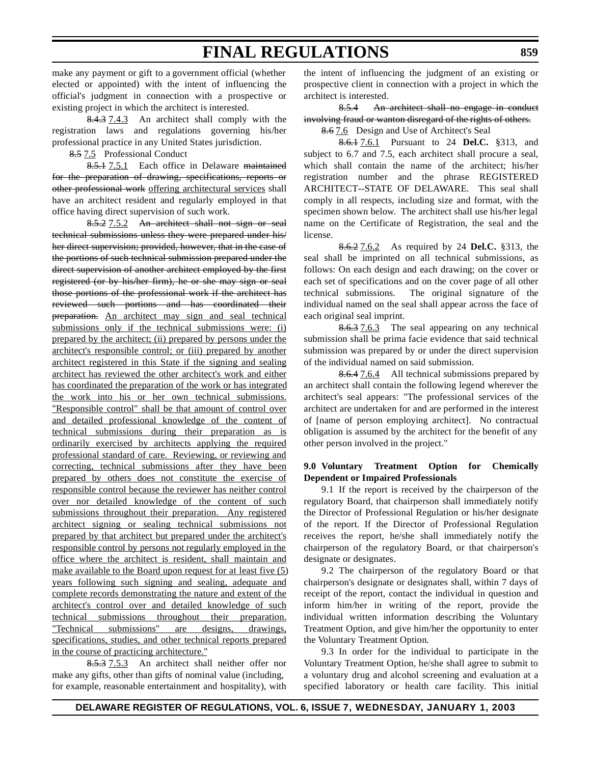make any payment or gift to a government official (whether elected or appointed) with the intent of influencing the official's judgment in connection with a prospective or existing project in which the architect is interested.

8.4.3 7.4.3 An architect shall comply with the registration laws and regulations governing his/her professional practice in any United States jurisdiction.

8.5 7.5 Professional Conduct

8.5.1 7.5.1 Each office in Delaware maintained for the preparation of drawing, specifications, reports or other professional work offering architectural services shall have an architect resident and regularly employed in that office having direct supervision of such work.

8.5.2 7.5.2 An architect shall not sign or seal technical submissions unless they were prepared under his/ her direct supervision; provided, however, that in the case of the portions of such technical submission prepared under the direct supervision of another architect employed by the first registered (or by his/her firm), he or she may sign or seal those portions of the professional work if the architect has reviewed such portions and has coordinated their preparation. An architect may sign and seal technical submissions only if the technical submissions were: (i) prepared by the architect; (ii) prepared by persons under the architect's responsible control; or (iii) prepared by another architect registered in this State if the signing and sealing architect has reviewed the other architect's work and either has coordinated the preparation of the work or has integrated the work into his or her own technical submissions. "Responsible control" shall be that amount of control over and detailed professional knowledge of the content of technical submissions during their preparation as is ordinarily exercised by architects applying the required professional standard of care. Reviewing, or reviewing and correcting, technical submissions after they have been prepared by others does not constitute the exercise of responsible control because the reviewer has neither control over nor detailed knowledge of the content of such submissions throughout their preparation. Any registered architect signing or sealing technical submissions not prepared by that architect but prepared under the architect's responsible control by persons not regularly employed in the office where the architect is resident, shall maintain and make available to the Board upon request for at least five (5) years following such signing and sealing, adequate and complete records demonstrating the nature and extent of the architect's control over and detailed knowledge of such technical submissions throughout their preparation. "Technical submissions" are designs, drawings, specifications, studies, and other technical reports prepared in the course of practicing architecture."

8.5.3 7.5.3 An architect shall neither offer nor make any gifts, other than gifts of nominal value (including, for example, reasonable entertainment and hospitality), with the intent of influencing the judgment of an existing or prospective client in connection with a project in which the architect is interested.

8.5.4 An architect shall no engage in conduct involving fraud or wanton disregard of the rights of others.

8.6 7.6 Design and Use of Architect's Seal

8.6.1 7.6.1 Pursuant to 24 **Del.C.** §313, and subject to 6.7 and 7.5, each architect shall procure a seal, which shall contain the name of the architect; his/her registration number and the phrase REGISTERED ARCHITECT--STATE OF DELAWARE. This seal shall comply in all respects, including size and format, with the specimen shown below. The architect shall use his/her legal name on the Certificate of Registration, the seal and the license.

8.6.2 7.6.2 As required by 24 **Del.C.** §313, the seal shall be imprinted on all technical submissions, as follows: On each design and each drawing; on the cover or each set of specifications and on the cover page of all other technical submissions. The original signature of the individual named on the seal shall appear across the face of each original seal imprint.

8.6.3 7.6.3 The seal appearing on any technical submission shall be prima facie evidence that said technical submission was prepared by or under the direct supervision of the individual named on said submission.

8.6.4 7.6.4 All technical submissions prepared by an architect shall contain the following legend wherever the architect's seal appears: "The professional services of the architect are undertaken for and are performed in the interest of [name of person employing architect]. No contractual obligation is assumed by the architect for the benefit of any other person involved in the project."

### **9.0 Voluntary Treatment Option for Chemically Dependent or Impaired Professionals**

9.1 If the report is received by the chairperson of the regulatory Board, that chairperson shall immediately notify the Director of Professional Regulation or his/her designate of the report. If the Director of Professional Regulation receives the report, he/she shall immediately notify the chairperson of the regulatory Board, or that chairperson's designate or designates.

9.2 The chairperson of the regulatory Board or that chairperson's designate or designates shall, within 7 days of receipt of the report, contact the individual in question and inform him/her in writing of the report, provide the individual written information describing the Voluntary Treatment Option, and give him/her the opportunity to enter the Voluntary Treatment Option.

9.3 In order for the individual to participate in the Voluntary Treatment Option, he/she shall agree to submit to a voluntary drug and alcohol screening and evaluation at a specified laboratory or health care facility. This initial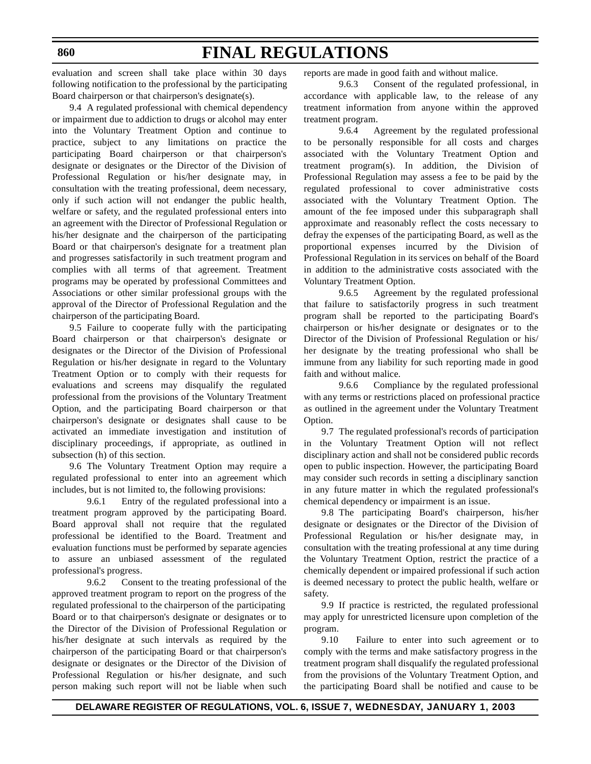#### **860**

# **FINAL REGULATIONS**

evaluation and screen shall take place within 30 days following notification to the professional by the participating Board chairperson or that chairperson's designate(s).

9.4 A regulated professional with chemical dependency or impairment due to addiction to drugs or alcohol may enter into the Voluntary Treatment Option and continue to practice, subject to any limitations on practice the participating Board chairperson or that chairperson's designate or designates or the Director of the Division of Professional Regulation or his/her designate may, in consultation with the treating professional, deem necessary, only if such action will not endanger the public health, welfare or safety, and the regulated professional enters into an agreement with the Director of Professional Regulation or his/her designate and the chairperson of the participating Board or that chairperson's designate for a treatment plan and progresses satisfactorily in such treatment program and complies with all terms of that agreement. Treatment programs may be operated by professional Committees and Associations or other similar professional groups with the approval of the Director of Professional Regulation and the chairperson of the participating Board.

9.5 Failure to cooperate fully with the participating Board chairperson or that chairperson's designate or designates or the Director of the Division of Professional Regulation or his/her designate in regard to the Voluntary Treatment Option or to comply with their requests for evaluations and screens may disqualify the regulated professional from the provisions of the Voluntary Treatment Option, and the participating Board chairperson or that chairperson's designate or designates shall cause to be activated an immediate investigation and institution of disciplinary proceedings, if appropriate, as outlined in subsection (h) of this section.

9.6 The Voluntary Treatment Option may require a regulated professional to enter into an agreement which includes, but is not limited to, the following provisions:

9.6.1 Entry of the regulated professional into a treatment program approved by the participating Board. Board approval shall not require that the regulated professional be identified to the Board. Treatment and evaluation functions must be performed by separate agencies to assure an unbiased assessment of the regulated professional's progress.

9.6.2 Consent to the treating professional of the approved treatment program to report on the progress of the regulated professional to the chairperson of the participating Board or to that chairperson's designate or designates or to the Director of the Division of Professional Regulation or his/her designate at such intervals as required by the chairperson of the participating Board or that chairperson's designate or designates or the Director of the Division of Professional Regulation or his/her designate, and such person making such report will not be liable when such reports are made in good faith and without malice.

9.6.3 Consent of the regulated professional, in accordance with applicable law, to the release of any treatment information from anyone within the approved treatment program.

9.6.4 Agreement by the regulated professional to be personally responsible for all costs and charges associated with the Voluntary Treatment Option and treatment program(s). In addition, the Division of Professional Regulation may assess a fee to be paid by the regulated professional to cover administrative costs associated with the Voluntary Treatment Option. The amount of the fee imposed under this subparagraph shall approximate and reasonably reflect the costs necessary to defray the expenses of the participating Board, as well as the proportional expenses incurred by the Division of Professional Regulation in its services on behalf of the Board in addition to the administrative costs associated with the Voluntary Treatment Option.

9.6.5 Agreement by the regulated professional that failure to satisfactorily progress in such treatment program shall be reported to the participating Board's chairperson or his/her designate or designates or to the Director of the Division of Professional Regulation or his/ her designate by the treating professional who shall be immune from any liability for such reporting made in good faith and without malice.

9.6.6 Compliance by the regulated professional with any terms or restrictions placed on professional practice as outlined in the agreement under the Voluntary Treatment Option.

9.7 The regulated professional's records of participation in the Voluntary Treatment Option will not reflect disciplinary action and shall not be considered public records open to public inspection. However, the participating Board may consider such records in setting a disciplinary sanction in any future matter in which the regulated professional's chemical dependency or impairment is an issue.

9.8 The participating Board's chairperson, his/her designate or designates or the Director of the Division of Professional Regulation or his/her designate may, in consultation with the treating professional at any time during the Voluntary Treatment Option, restrict the practice of a chemically dependent or impaired professional if such action is deemed necessary to protect the public health, welfare or safety.

9.9 If practice is restricted, the regulated professional may apply for unrestricted licensure upon completion of the program.

9.10 Failure to enter into such agreement or to comply with the terms and make satisfactory progress in the treatment program shall disqualify the regulated professional from the provisions of the Voluntary Treatment Option, and the participating Board shall be notified and cause to be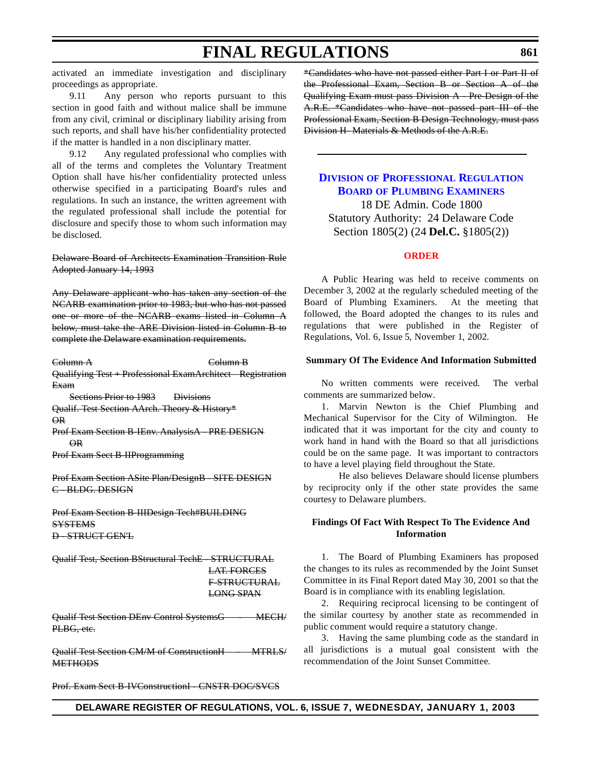activated an immediate investigation and disciplinary proceedings as appropriate.

9.11 Any person who reports pursuant to this section in good faith and without malice shall be immune from any civil, criminal or disciplinary liability arising from such reports, and shall have his/her confidentiality protected if the matter is handled in a non disciplinary matter.

9.12 Any regulated professional who complies with all of the terms and completes the Voluntary Treatment Option shall have his/her confidentiality protected unless otherwise specified in a participating Board's rules and regulations. In such an instance, the written agreement with the regulated professional shall include the potential for disclosure and specify those to whom such information may be disclosed.

Delaware Board of Architects Examination Transition Rule Adopted January 14, 1993

Any Delaware applicant who has taken any section of the NCARB examination prior to 1983, but who has not passed one or more of the NCARB exams listed in Column A below, must take the ARE Division listed in Column B to complete the Delaware examination requirements.

Column A Column B Qualifying Test + Professional ExamArchitect Registration

Exam

Sections Prior to 1983 Divisions

Qualif. Test Section AArch. Theory & History\* OR

Prof Exam Section B-IEnv. AnalysisA - PRE DESIGN OR

Prof Exam Sect B-IIProgramming

Prof Exam Section ASite Plan/DesignB - SITE DESIGN C - BLDG. DESIGN

Prof Exam Section B-IIIDesign Tech#BUILDING **SYSTEMS** D - STRUCT GEN'L

Qualif Test, Section BStructural TechE - STRUCTURAL LAT. FORCES F-STRUCTURAL

LONG SPAN

Qualif Test Section DEnv Control SystemsG - MECH/ PLBG, etc.

Qualif Test Section CM/M of ConstructionH - MTRLS/ **METHODS** 

Prof. Exam Sect B-IVConstructionI - CNSTR DOC/SVCS

\*Candidates who have not passed either Part I or Part II of the Professional Exam, Section B or Section A of the Qualifying Exam must pass Division A - Pre-Design of the A.R.E. \*Candidates who have not passed part III of the Professional Exam, Section B Design Technology, must pass Division H- Materials & Methods of the A.R.E.

### **DIVISION OF [PROFESSIONAL](http://www.professionallicensing.state.de.us/boards/plumbers/index.shtml) REGULATION BOARD OF PLUMBING EXAMINERS**

18 DE Admin. Code 1800 Statutory Authority: 24 Delaware Code Section 1805(2) (24 **Del.C.** §1805(2))

### **[ORDER](#page-3-0)**

A Public Hearing was held to receive comments on December 3, 2002 at the regularly scheduled meeting of the Board of Plumbing Examiners. At the meeting that followed, the Board adopted the changes to its rules and regulations that were published in the Register of Regulations, Vol. 6, Issue 5, November 1, 2002.

#### **Summary Of The Evidence And Information Submitted**

No written comments were received. The verbal comments are summarized below.

1. Marvin Newton is the Chief Plumbing and Mechanical Supervisor for the City of Wilmington. He indicated that it was important for the city and county to work hand in hand with the Board so that all jurisdictions could be on the same page. It was important to contractors to have a level playing field throughout the State.

He also believes Delaware should license plumbers by reciprocity only if the other state provides the same courtesy to Delaware plumbers.

#### **Findings Of Fact With Respect To The Evidence And Information**

1. The Board of Plumbing Examiners has proposed the changes to its rules as recommended by the Joint Sunset Committee in its Final Report dated May 30, 2001 so that the Board is in compliance with its enabling legislation.

2. Requiring reciprocal licensing to be contingent of the similar courtesy by another state as recommended in public comment would require a statutory change.

3. Having the same plumbing code as the standard in all jurisdictions is a mutual goal consistent with the recommendation of the Joint Sunset Committee.

**DELAWARE REGISTER OF REGULATIONS, VOL. 6, ISSUE 7, WEDNESDAY, JANUARY 1, 2003**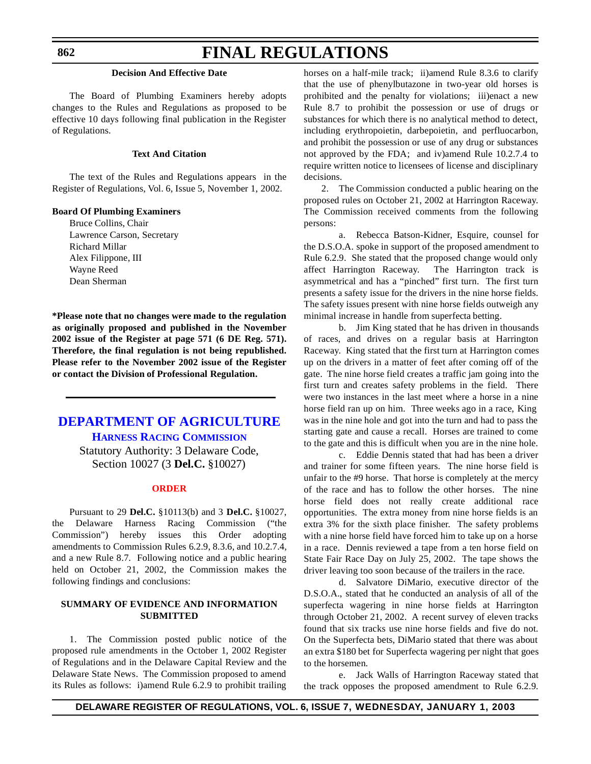### **862**

# **FINAL REGULATIONS**

#### **Decision And Effective Date**

The Board of Plumbing Examiners hereby adopts changes to the Rules and Regulations as proposed to be effective 10 days following final publication in the Register of Regulations.

### **Text And Citation**

The text of the Rules and Regulations appears in the Register of Regulations, Vol. 6, Issue 5, November 1, 2002.

#### **Board Of Plumbing Examiners**

Bruce Collins, Chair Lawrence Carson, Secretary Richard Millar Alex Filippone, III Wayne Reed Dean Sherman

**\*Please note that no changes were made to the regulation as originally proposed and published in the November 2002 issue of the Register at page 571 (6 DE Reg. 571). Therefore, the final regulation is not being republished. Please refer to the November 2002 issue of the Register or contact the Division of Professional Regulation.**

### **[DEPARTMENT OF](http://www.state.de.us/deptagri/harness/index.htm) AGRICULTURE HARNESS RACING COMMISSION**

Statutory Authority: 3 Delaware Code, Section 10027 (3 **Del.C.** §10027)

#### **[ORDER](#page-3-0)**

Pursuant to 29 **Del.C.** §10113(b) and 3 **Del.C.** §10027, the Delaware Harness Racing Commission ("the Commission") hereby issues this Order adopting amendments to Commission Rules 6.2.9, 8.3.6, and 10.2.7.4, and a new Rule 8.7. Following notice and a public hearing held on October 21, 2002, the Commission makes the following findings and conclusions:

#### **SUMMARY OF EVIDENCE AND INFORMATION SUBMITTED**

1. The Commission posted public notice of the proposed rule amendments in the October 1, 2002 Register of Regulations and in the Delaware Capital Review and the Delaware State News. The Commission proposed to amend its Rules as follows: i)amend Rule 6.2.9 to prohibit trailing horses on a half-mile track; ii)amend Rule 8.3.6 to clarify that the use of phenylbutazone in two-year old horses is prohibited and the penalty for violations; iii)enact a new Rule 8.7 to prohibit the possession or use of drugs or substances for which there is no analytical method to detect, including erythropoietin, darbepoietin, and perfluocarbon, and prohibit the possession or use of any drug or substances not approved by the FDA; and iv)amend Rule 10.2.7.4 to require written notice to licensees of license and disciplinary decisions.

2. The Commission conducted a public hearing on the proposed rules on October 21, 2002 at Harrington Raceway. The Commission received comments from the following persons:

a. Rebecca Batson-Kidner, Esquire, counsel for the D.S.O.A. spoke in support of the proposed amendment to Rule 6.2.9. She stated that the proposed change would only affect Harrington Raceway. The Harrington track is asymmetrical and has a "pinched" first turn. The first turn presents a safety issue for the drivers in the nine horse fields. The safety issues present with nine horse fields outweigh any minimal increase in handle from superfecta betting.

b. Jim King stated that he has driven in thousands of races, and drives on a regular basis at Harrington Raceway. King stated that the first turn at Harrington comes up on the drivers in a matter of feet after coming off of the gate. The nine horse field creates a traffic jam going into the first turn and creates safety problems in the field. There were two instances in the last meet where a horse in a nine horse field ran up on him. Three weeks ago in a race, King was in the nine hole and got into the turn and had to pass the starting gate and cause a recall. Horses are trained to come to the gate and this is difficult when you are in the nine hole.

c. Eddie Dennis stated that had has been a driver and trainer for some fifteen years. The nine horse field is unfair to the #9 horse. That horse is completely at the mercy of the race and has to follow the other horses. The nine horse field does not really create additional race opportunities. The extra money from nine horse fields is an extra 3% for the sixth place finisher. The safety problems with a nine horse field have forced him to take up on a horse in a race. Dennis reviewed a tape from a ten horse field on State Fair Race Day on July 25, 2002. The tape shows the driver leaving too soon because of the trailers in the race.

d. Salvatore DiMario, executive director of the D.S.O.A., stated that he conducted an analysis of all of the superfecta wagering in nine horse fields at Harrington through October 21, 2002. A recent survey of eleven tracks found that six tracks use nine horse fields and five do not. On the Superfecta bets, DiMario stated that there was about an extra \$180 bet for Superfecta wagering per night that goes to the horsemen.

e. Jack Walls of Harrington Raceway stated that the track opposes the proposed amendment to Rule 6.2.9.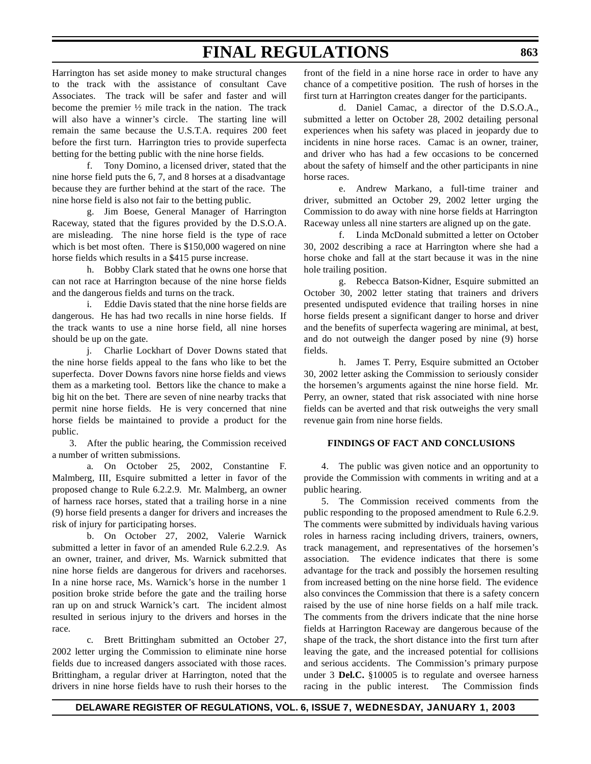Harrington has set aside money to make structural changes to the track with the assistance of consultant Cave Associates. The track will be safer and faster and will become the premier ½ mile track in the nation. The track will also have a winner's circle. The starting line will remain the same because the U.S.T.A. requires 200 feet before the first turn. Harrington tries to provide superfecta betting for the betting public with the nine horse fields.

f. Tony Domino, a licensed driver, stated that the nine horse field puts the 6, 7, and 8 horses at a disadvantage because they are further behind at the start of the race. The nine horse field is also not fair to the betting public.

g. Jim Boese, General Manager of Harrington Raceway, stated that the figures provided by the D.S.O.A. are misleading. The nine horse field is the type of race which is bet most often. There is \$150,000 wagered on nine horse fields which results in a \$415 purse increase.

h. Bobby Clark stated that he owns one horse that can not race at Harrington because of the nine horse fields and the dangerous fields and turns on the track.

i. Eddie Davis stated that the nine horse fields are dangerous. He has had two recalls in nine horse fields. If the track wants to use a nine horse field, all nine horses should be up on the gate.

j. Charlie Lockhart of Dover Downs stated that the nine horse fields appeal to the fans who like to bet the superfecta. Dover Downs favors nine horse fields and views them as a marketing tool. Bettors like the chance to make a big hit on the bet. There are seven of nine nearby tracks that permit nine horse fields. He is very concerned that nine horse fields be maintained to provide a product for the public.

3. After the public hearing, the Commission received a number of written submissions.

a. On October 25, 2002, Constantine F. Malmberg, III, Esquire submitted a letter in favor of the proposed change to Rule 6.2.2.9. Mr. Malmberg, an owner of harness race horses, stated that a trailing horse in a nine (9) horse field presents a danger for drivers and increases the risk of injury for participating horses.

b. On October 27, 2002, Valerie Warnick submitted a letter in favor of an amended Rule 6.2.2.9. As an owner, trainer, and driver, Ms. Warnick submitted that nine horse fields are dangerous for drivers and racehorses. In a nine horse race, Ms. Warnick's horse in the number 1 position broke stride before the gate and the trailing horse ran up on and struck Warnick's cart. The incident almost resulted in serious injury to the drivers and horses in the race.

c. Brett Brittingham submitted an October 27, 2002 letter urging the Commission to eliminate nine horse fields due to increased dangers associated with those races. Brittingham, a regular driver at Harrington, noted that the drivers in nine horse fields have to rush their horses to the front of the field in a nine horse race in order to have any chance of a competitive position. The rush of horses in the first turn at Harrington creates danger for the participants.

d. Daniel Camac, a director of the D.S.O.A., submitted a letter on October 28, 2002 detailing personal experiences when his safety was placed in jeopardy due to incidents in nine horse races. Camac is an owner, trainer, and driver who has had a few occasions to be concerned about the safety of himself and the other participants in nine horse races.

e. Andrew Markano, a full-time trainer and driver, submitted an October 29, 2002 letter urging the Commission to do away with nine horse fields at Harrington Raceway unless all nine starters are aligned up on the gate.

f. Linda McDonald submitted a letter on October 30, 2002 describing a race at Harrington where she had a horse choke and fall at the start because it was in the nine hole trailing position.

g. Rebecca Batson-Kidner, Esquire submitted an October 30, 2002 letter stating that trainers and drivers presented undisputed evidence that trailing horses in nine horse fields present a significant danger to horse and driver and the benefits of superfecta wagering are minimal, at best, and do not outweigh the danger posed by nine (9) horse fields.

h. James T. Perry, Esquire submitted an October 30, 2002 letter asking the Commission to seriously consider the horsemen's arguments against the nine horse field. Mr. Perry, an owner, stated that risk associated with nine horse fields can be averted and that risk outweighs the very small revenue gain from nine horse fields.

#### **FINDINGS OF FACT AND CONCLUSIONS**

4. The public was given notice and an opportunity to provide the Commission with comments in writing and at a public hearing.

5. The Commission received comments from the public responding to the proposed amendment to Rule 6.2.9. The comments were submitted by individuals having various roles in harness racing including drivers, trainers, owners, track management, and representatives of the horsemen's association. The evidence indicates that there is some advantage for the track and possibly the horsemen resulting from increased betting on the nine horse field. The evidence also convinces the Commission that there is a safety concern raised by the use of nine horse fields on a half mile track. The comments from the drivers indicate that the nine horse fields at Harrington Raceway are dangerous because of the shape of the track, the short distance into the first turn after leaving the gate, and the increased potential for collisions and serious accidents. The Commission's primary purpose under 3 **Del.C.** §10005 is to regulate and oversee harness racing in the public interest. The Commission finds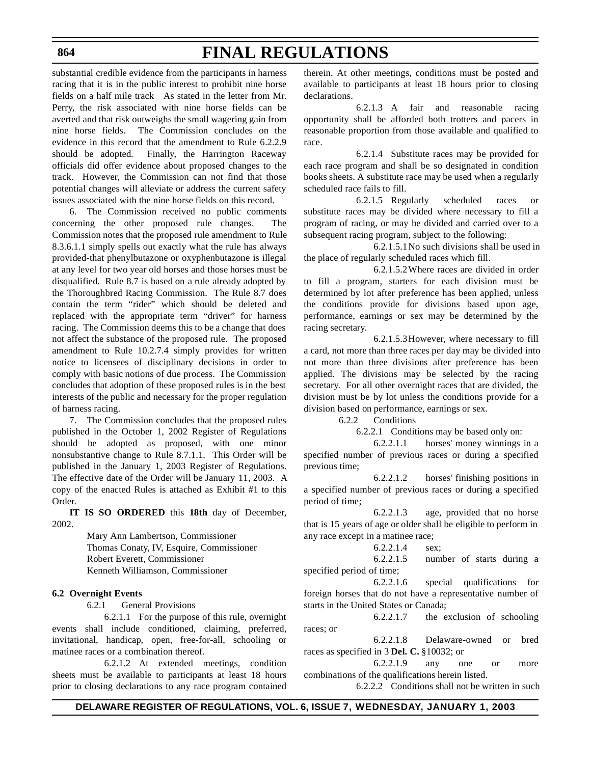### **864**

# **FINAL REGULATIONS**

substantial credible evidence from the participants in harness racing that it is in the public interest to prohibit nine horse fields on a half mile track As stated in the letter from Mr. Perry, the risk associated with nine horse fields can be averted and that risk outweighs the small wagering gain from nine horse fields. The Commission concludes on the evidence in this record that the amendment to Rule 6.2.2.9 should be adopted. Finally, the Harrington Raceway officials did offer evidence about proposed changes to the track. However, the Commission can not find that those potential changes will alleviate or address the current safety issues associated with the nine horse fields on this record.

6. The Commission received no public comments concerning the other proposed rule changes. The Commission notes that the proposed rule amendment to Rule 8.3.6.1.1 simply spells out exactly what the rule has always provided-that phenylbutazone or oxyphenbutazone is illegal at any level for two year old horses and those horses must be disqualified. Rule 8.7 is based on a rule already adopted by the Thoroughbred Racing Commission. The Rule 8.7 does contain the term "rider" which should be deleted and replaced with the appropriate term "driver" for harness racing. The Commission deems this to be a change that does not affect the substance of the proposed rule. The proposed amendment to Rule 10.2.7.4 simply provides for written notice to licensees of disciplinary decisions in order to comply with basic notions of due process. The Commission concludes that adoption of these proposed rules is in the best interests of the public and necessary for the proper regulation of harness racing.

7. The Commission concludes that the proposed rules published in the October 1, 2002 Register of Regulations should be adopted as proposed, with one minor nonsubstantive change to Rule 8.7.1.1. This Order will be published in the January 1, 2003 Register of Regulations. The effective date of the Order will be January 11, 2003. A copy of the enacted Rules is attached as Exhibit #1 to this Order.

**IT IS SO ORDERED** this **18th** day of December, 2002.

> Mary Ann Lambertson, Commissioner Thomas Conaty, IV, Esquire, Commissioner Robert Everett, Commissioner Kenneth Williamson, Commissioner

### **6.2 Overnight Events**

6.2.1 General Provisions

6.2.1.1 For the purpose of this rule, overnight events shall include conditioned, claiming, preferred, invitational, handicap, open, free-for-all, schooling or matinee races or a combination thereof.

6.2.1.2 At extended meetings, condition sheets must be available to participants at least 18 hours prior to closing declarations to any race program contained

therein. At other meetings, conditions must be posted and available to participants at least 18 hours prior to closing declarations.

6.2.1.3 A fair and reasonable racing opportunity shall be afforded both trotters and pacers in reasonable proportion from those available and qualified to race.

6.2.1.4 Substitute races may be provided for each race program and shall be so designated in condition books sheets. A substitute race may be used when a regularly scheduled race fails to fill.

6.2.1.5 Regularly scheduled races or substitute races may be divided where necessary to fill a program of racing, or may be divided and carried over to a subsequent racing program, subject to the following:

6.2.1.5.1No such divisions shall be used in the place of regularly scheduled races which fill.

6.2.1.5.2Where races are divided in order to fill a program, starters for each division must be determined by lot after preference has been applied, unless the conditions provide for divisions based upon age, performance, earnings or sex may be determined by the racing secretary.

6.2.1.5.3However, where necessary to fill a card, not more than three races per day may be divided into not more than three divisions after preference has been applied. The divisions may be selected by the racing secretary. For all other overnight races that are divided, the division must be by lot unless the conditions provide for a division based on performance, earnings or sex.

6.2.2 Conditions

6.2.2.1 Conditions may be based only on:

6.2.2.1.1 horses' money winnings in a specified number of previous races or during a specified previous time;

6.2.2.1.2 horses' finishing positions in a specified number of previous races or during a specified period of time;

6.2.2.1.3 age, provided that no horse that is 15 years of age or older shall be eligible to perform in any race except in a matinee race;

$$
6.2.2.1.4 \qquad \text{sex};
$$

6.2.2.1.5 number of starts during a specified period of time;

6.2.2.1.6 special qualifications for foreign horses that do not have a representative number of starts in the United States or Canada;

6.2.2.1.7 the exclusion of schooling races; or

6.2.2.1.8 Delaware-owned or bred races as specified in 3 **Del. C.** §10032; or

6.2.2.1.9 any one or more combinations of the qualifications herein listed.

6.2.2.2 Conditions shall not be written in such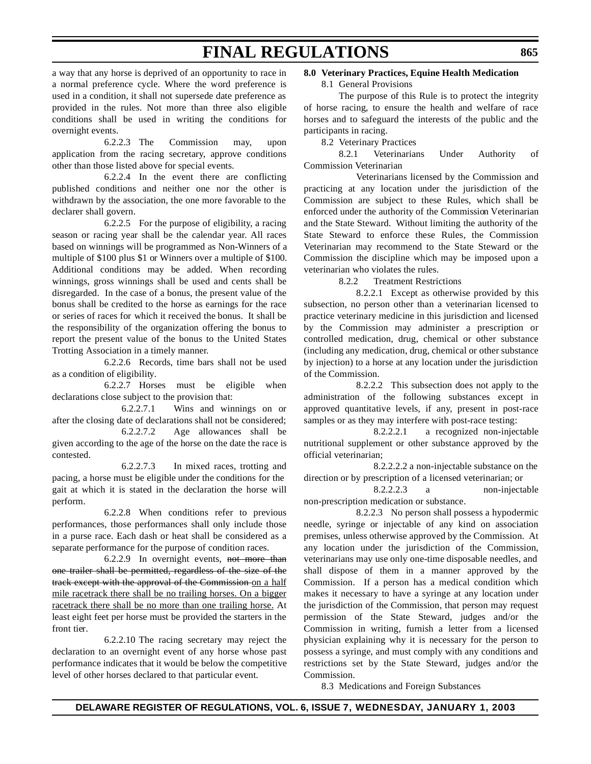a way that any horse is deprived of an opportunity to race in a normal preference cycle. Where the word preference is used in a condition, it shall not supersede date preference as provided in the rules. Not more than three also eligible conditions shall be used in writing the conditions for overnight events.

6.2.2.3 The Commission may, upon application from the racing secretary, approve conditions other than those listed above for special events.

6.2.2.4 In the event there are conflicting published conditions and neither one nor the other is withdrawn by the association, the one more favorable to the declarer shall govern.

6.2.2.5 For the purpose of eligibility, a racing season or racing year shall be the calendar year. All races based on winnings will be programmed as Non-Winners of a multiple of \$100 plus \$1 or Winners over a multiple of \$100. Additional conditions may be added. When recording winnings, gross winnings shall be used and cents shall be disregarded. In the case of a bonus, the present value of the bonus shall be credited to the horse as earnings for the race or series of races for which it received the bonus. It shall be the responsibility of the organization offering the bonus to report the present value of the bonus to the United States Trotting Association in a timely manner.

6.2.2.6 Records, time bars shall not be used as a condition of eligibility.

6.2.2.7 Horses must be eligible when declarations close subject to the provision that:

6.2.2.7.1 Wins and winnings on or after the closing date of declarations shall not be considered;

6.2.2.7.2 Age allowances shall be given according to the age of the horse on the date the race is contested.

6.2.2.7.3 In mixed races, trotting and pacing, a horse must be eligible under the conditions for the gait at which it is stated in the declaration the horse will perform.

6.2.2.8 When conditions refer to previous performances, those performances shall only include those in a purse race. Each dash or heat shall be considered as a separate performance for the purpose of condition races.

6.2.2.9 In overnight events, not more than one trailer shall be permitted, regardless of the size of the track except with the approval of the Commission on a half mile racetrack there shall be no trailing horses. On a bigger racetrack there shall be no more than one trailing horse. At least eight feet per horse must be provided the starters in the front tier.

6.2.2.10 The racing secretary may reject the declaration to an overnight event of any horse whose past performance indicates that it would be below the competitive level of other horses declared to that particular event.

### **8.0 Veterinary Practices, Equine Health Medication**

### 8.1 General Provisions

The purpose of this Rule is to protect the integrity of horse racing, to ensure the health and welfare of race horses and to safeguard the interests of the public and the participants in racing.

8.2 Veterinary Practices

8.2.1 Veterinarians Under Authority of Commission Veterinarian

Veterinarians licensed by the Commission and practicing at any location under the jurisdiction of the Commission are subject to these Rules, which shall be enforced under the authority of the Commission Veterinarian and the State Steward. Without limiting the authority of the State Steward to enforce these Rules, the Commission Veterinarian may recommend to the State Steward or the Commission the discipline which may be imposed upon a veterinarian who violates the rules.

8.2.2 Treatment Restrictions

8.2.2.1 Except as otherwise provided by this subsection, no person other than a veterinarian licensed to practice veterinary medicine in this jurisdiction and licensed by the Commission may administer a prescription or controlled medication, drug, chemical or other substance (including any medication, drug, chemical or other substance by injection) to a horse at any location under the jurisdiction of the Commission.

8.2.2.2 This subsection does not apply to the administration of the following substances except in approved quantitative levels, if any, present in post-race samples or as they may interfere with post-race testing:

8.2.2.2.1 a recognized non-injectable nutritional supplement or other substance approved by the official veterinarian;

8.2.2.2.2 a non-injectable substance on the direction or by prescription of a licensed veterinarian; or

8.2.2.2.3 a non-injectable non-prescription medication or substance.

8.2.2.3 No person shall possess a hypodermic needle, syringe or injectable of any kind on association premises, unless otherwise approved by the Commission. At any location under the jurisdiction of the Commission, veterinarians may use only one-time disposable needles, and shall dispose of them in a manner approved by the Commission. If a person has a medical condition which makes it necessary to have a syringe at any location under the jurisdiction of the Commission, that person may request permission of the State Steward, judges and/or the Commission in writing, furnish a letter from a licensed physician explaining why it is necessary for the person to possess a syringe, and must comply with any conditions and restrictions set by the State Steward, judges and/or the Commission.

8.3 Medications and Foreign Substances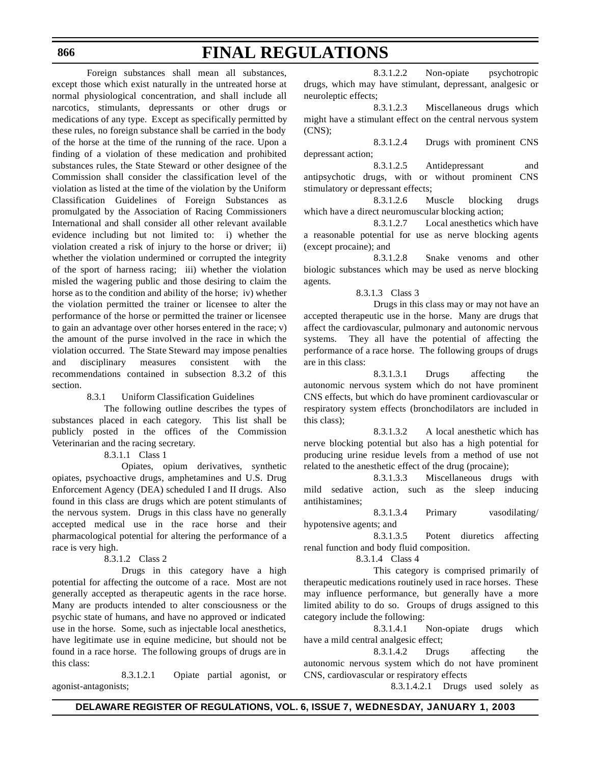#### **866**

## **FINAL REGULATIONS**

Foreign substances shall mean all substances, except those which exist naturally in the untreated horse at normal physiological concentration, and shall include all narcotics, stimulants, depressants or other drugs or medications of any type. Except as specifically permitted by these rules, no foreign substance shall be carried in the body of the horse at the time of the running of the race. Upon a finding of a violation of these medication and prohibited substances rules, the State Steward or other designee of the Commission shall consider the classification level of the violation as listed at the time of the violation by the Uniform Classification Guidelines of Foreign Substances as promulgated by the Association of Racing Commissioners International and shall consider all other relevant available evidence including but not limited to: i) whether the violation created a risk of injury to the horse or driver; ii) whether the violation undermined or corrupted the integrity of the sport of harness racing; iii) whether the violation misled the wagering public and those desiring to claim the horse as to the condition and ability of the horse; iv) whether the violation permitted the trainer or licensee to alter the performance of the horse or permitted the trainer or licensee to gain an advantage over other horses entered in the race; v) the amount of the purse involved in the race in which the violation occurred. The State Steward may impose penalties and disciplinary measures consistent with the recommendations contained in subsection 8.3.2 of this section.

8.3.1 Uniform Classification Guidelines

The following outline describes the types of substances placed in each category. This list shall be publicly posted in the offices of the Commission Veterinarian and the racing secretary.

8.3.1.1 Class 1

Opiates, opium derivatives, synthetic opiates, psychoactive drugs, amphetamines and U.S. Drug Enforcement Agency (DEA) scheduled I and II drugs. Also found in this class are drugs which are potent stimulants of the nervous system. Drugs in this class have no generally accepted medical use in the race horse and their pharmacological potential for altering the performance of a race is very high.

8.3.1.2 Class 2

Drugs in this category have a high potential for affecting the outcome of a race. Most are not generally accepted as therapeutic agents in the race horse. Many are products intended to alter consciousness or the psychic state of humans, and have no approved or indicated use in the horse. Some, such as injectable local anesthetics, have legitimate use in equine medicine, but should not be found in a race horse. The following groups of drugs are in this class:

8.3.1.2.1 Opiate partial agonist, or agonist-antagonists;

8.3.1.2.2 Non-opiate psychotropic drugs, which may have stimulant, depressant, analgesic or neuroleptic effects;

8.3.1.2.3 Miscellaneous drugs which might have a stimulant effect on the central nervous system (CNS);

8.3.1.2.4 Drugs with prominent CNS depressant action;

8.3.1.2.5 Antidepressant and antipsychotic drugs, with or without prominent CNS stimulatory or depressant effects;

8.3.1.2.6 Muscle blocking drugs which have a direct neuromuscular blocking action;

8.3.1.2.7 Local anesthetics which have a reasonable potential for use as nerve blocking agents (except procaine); and

8.3.1.2.8 Snake venoms and other biologic substances which may be used as nerve blocking agents.

8.3.1.3 Class 3

Drugs in this class may or may not have an accepted therapeutic use in the horse. Many are drugs that affect the cardiovascular, pulmonary and autonomic nervous systems. They all have the potential of affecting the performance of a race horse. The following groups of drugs are in this class:

8.3.1.3.1 Drugs affecting the autonomic nervous system which do not have prominent CNS effects, but which do have prominent cardiovascular or respiratory system effects (bronchodilators are included in this class);

8.3.1.3.2 A local anesthetic which has nerve blocking potential but also has a high potential for producing urine residue levels from a method of use not related to the anesthetic effect of the drug (procaine);

8.3.1.3.3 Miscellaneous drugs with mild sedative action, such as the sleep inducing antihistamines;

8.3.1.3.4 Primary vasodilating/ hypotensive agents; and

8.3.1.3.5 Potent diuretics affecting renal function and body fluid composition.

8.3.1.4 Class 4

This category is comprised primarily of therapeutic medications routinely used in race horses. These may influence performance, but generally have a more limited ability to do so. Groups of drugs assigned to this category include the following:

8.3.1.4.1 Non-opiate drugs which have a mild central analgesic effect;

8.3.1.4.2 Drugs affecting the autonomic nervous system which do not have prominent CNS, cardiovascular or respiratory effects

8.3.1.4.2.1 Drugs used solely as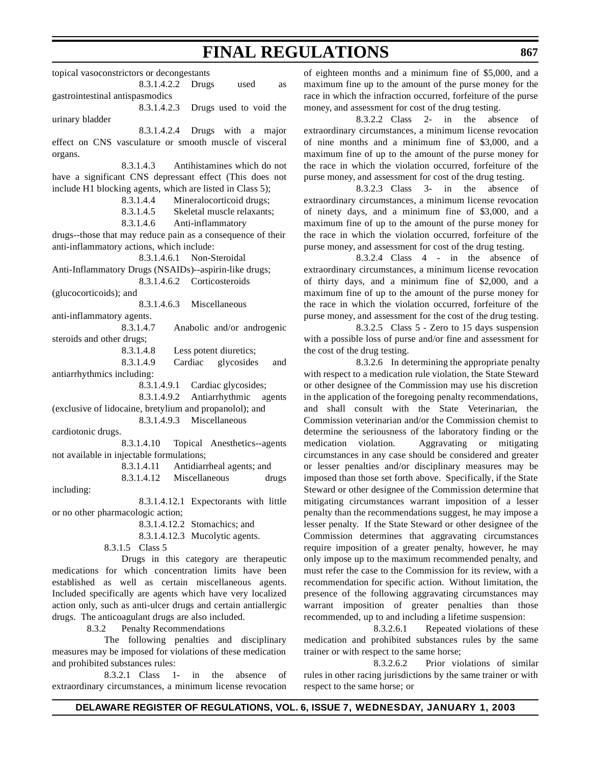topical vasoconstrictors or decongestants 8.3.1.4.2.2 Drugs used as gastrointestinal antispasmodics 8.3.1.4.2.3 Drugs used to void the urinary bladder 8.3.1.4.2.4 Drugs with a major effect on CNS vasculature or smooth muscle of visceral organs. 8.3.1.4.3 Antihistamines which do not have a significant CNS depressant effect (This does not include H1 blocking agents, which are listed in Class 5); 8.3.1.4.4 Mineralocorticoid drugs; 8.3.1.4.5 Skeletal muscle relaxants; 8.3.1.4.6 Anti-inflammatory drugs--those that may reduce pain as a consequence of their anti-inflammatory actions, which include: 8.3.1.4.6.1 Non-Steroidal Anti-Inflammatory Drugs (NSAIDs)--aspirin-like drugs; 8.3.1.4.6.2 Corticosteroids (glucocorticoids); and 8.3.1.4.6.3 Miscellaneous anti-inflammatory agents. 8.3.1.4.7 Anabolic and/or androgenic steroids and other drugs; 8.3.1.4.8 Less potent diuretics; 8.3.1.4.9 Cardiac glycosides and antiarrhythmics including: 8.3.1.4.9.1 Cardiac glycosides; 8.3.1.4.9.2 Antiarrhythmic agents (exclusive of lidocaine, bretylium and propanolol); and 8.3.1.4.9.3 Miscellaneous cardiotonic drugs. 8.3.1.4.10 Topical Anesthetics--agents not available in injectable formulations; 8.3.1.4.11 Antidiarrheal agents; and 8.3.1.4.12 Miscellaneous drugs including: 8.3.1.4.12.1 Expectorants with little or no other pharmacologic action; 8.3.1.4.12.2 Stomachics; and 8.3.1.4.12.3 Mucolytic agents. 8.3.1.5 Class 5 Drugs in this category are therapeutic medications for which concentration limits have been established as well as certain miscellaneous agents. Included specifically are agents which have very localized action only, such as anti-ulcer drugs and certain antiallergic drugs. The anticoagulant drugs are also included. 8.3.2 Penalty Recommendations The following penalties and disciplinary measures may be imposed for violations of these medication and prohibited substances rules:

8.3.2.1 Class 1- in the absence of extraordinary circumstances, a minimum license revocation of eighteen months and a minimum fine of \$5,000, and a maximum fine up to the amount of the purse money for the race in which the infraction occurred, forfeiture of the purse money, and assessment for cost of the drug testing.

8.3.2.2 Class 2- in the absence of extraordinary circumstances, a minimum license revocation of nine months and a minimum fine of \$3,000, and a maximum fine of up to the amount of the purse money for the race in which the violation occurred, forfeiture of the purse money, and assessment for cost of the drug testing.

8.3.2.3 Class 3- in the absence of extraordinary circumstances, a minimum license revocation of ninety days, and a minimum fine of \$3,000, and a maximum fine of up to the amount of the purse money for the race in which the violation occurred, forfeiture of the purse money, and assessment for cost of the drug testing.

8.3.2.4 Class 4 - in the absence of extraordinary circumstances, a minimum license revocation of thirty days, and a minimum fine of \$2,000, and a maximum fine of up to the amount of the purse money for the race in which the violation occurred, forfeiture of the purse money, and assessment for the cost of the drug testing.

8.3.2.5 Class 5 - Zero to 15 days suspension with a possible loss of purse and/or fine and assessment for the cost of the drug testing.

8.3.2.6 In determining the appropriate penalty with respect to a medication rule violation, the State Steward or other designee of the Commission may use his discretion in the application of the foregoing penalty recommendations, and shall consult with the State Veterinarian, the Commission veterinarian and/or the Commission chemist to determine the seriousness of the laboratory finding or the medication violation. Aggravating or mitigating circumstances in any case should be considered and greater or lesser penalties and/or disciplinary measures may be imposed than those set forth above. Specifically, if the State Steward or other designee of the Commission determine that mitigating circumstances warrant imposition of a lesser penalty than the recommendations suggest, he may impose a lesser penalty. If the State Steward or other designee of the Commission determines that aggravating circumstances require imposition of a greater penalty, however, he may only impose up to the maximum recommended penalty, and must refer the case to the Commission for its review, with a recommendation for specific action. Without limitation, the presence of the following aggravating circumstances may warrant imposition of greater penalties than those recommended, up to and including a lifetime suspension:

8.3.2.6.1 Repeated violations of these medication and prohibited substances rules by the same trainer or with respect to the same horse;

8.3.2.6.2 Prior violations of similar rules in other racing jurisdictions by the same trainer or with respect to the same horse; or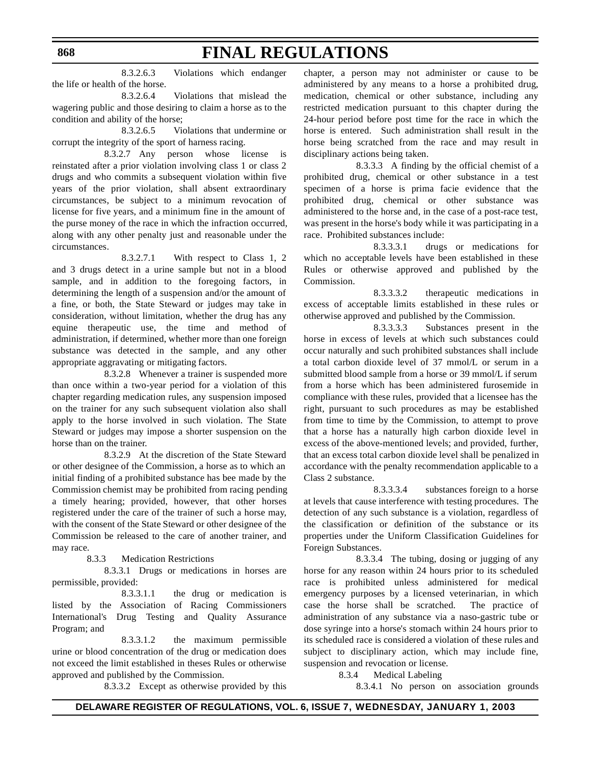8.3.2.6.3 Violations which endanger the life or health of the horse.

8.3.2.6.4 Violations that mislead the wagering public and those desiring to claim a horse as to the condition and ability of the horse;

8.3.2.6.5 Violations that undermine or corrupt the integrity of the sport of harness racing.

8.3.2.7 Any person whose license is reinstated after a prior violation involving class 1 or class 2 drugs and who commits a subsequent violation within five years of the prior violation, shall absent extraordinary circumstances, be subject to a minimum revocation of license for five years, and a minimum fine in the amount of the purse money of the race in which the infraction occurred, along with any other penalty just and reasonable under the circumstances.

8.3.2.7.1 With respect to Class 1, 2 and 3 drugs detect in a urine sample but not in a blood sample, and in addition to the foregoing factors, in determining the length of a suspension and/or the amount of a fine, or both, the State Steward or judges may take in consideration, without limitation, whether the drug has any equine therapeutic use, the time and method of administration, if determined, whether more than one foreign substance was detected in the sample, and any other appropriate aggravating or mitigating factors.

8.3.2.8 Whenever a trainer is suspended more than once within a two-year period for a violation of this chapter regarding medication rules, any suspension imposed on the trainer for any such subsequent violation also shall apply to the horse involved in such violation. The State Steward or judges may impose a shorter suspension on the horse than on the trainer.

8.3.2.9 At the discretion of the State Steward or other designee of the Commission, a horse as to which an initial finding of a prohibited substance has bee made by the Commission chemist may be prohibited from racing pending a timely hearing; provided, however, that other horses registered under the care of the trainer of such a horse may, with the consent of the State Steward or other designee of the Commission be released to the care of another trainer, and may race.

8.3.3 Medication Restrictions

8.3.3.1 Drugs or medications in horses are permissible, provided:

8.3.3.1.1 the drug or medication is listed by the Association of Racing Commissioners International's Drug Testing and Quality Assurance Program; and

8.3.3.1.2 the maximum permissible urine or blood concentration of the drug or medication does not exceed the limit established in theses Rules or otherwise approved and published by the Commission.

8.3.3.2 Except as otherwise provided by this

chapter, a person may not administer or cause to be administered by any means to a horse a prohibited drug, medication, chemical or other substance, including any restricted medication pursuant to this chapter during the 24-hour period before post time for the race in which the horse is entered. Such administration shall result in the horse being scratched from the race and may result in disciplinary actions being taken.

8.3.3.3 A finding by the official chemist of a prohibited drug, chemical or other substance in a test specimen of a horse is prima facie evidence that the prohibited drug, chemical or other substance was administered to the horse and, in the case of a post-race test, was present in the horse's body while it was participating in a race. Prohibited substances include:

8.3.3.3.1 drugs or medications for which no acceptable levels have been established in these Rules or otherwise approved and published by the Commission.

8.3.3.3.2 therapeutic medications in excess of acceptable limits established in these rules or otherwise approved and published by the Commission.

8.3.3.3.3 Substances present in the horse in excess of levels at which such substances could occur naturally and such prohibited substances shall include a total carbon dioxide level of 37 mmol/L or serum in a submitted blood sample from a horse or 39 mmol/L if serum from a horse which has been administered furosemide in compliance with these rules, provided that a licensee has the right, pursuant to such procedures as may be established from time to time by the Commission, to attempt to prove that a horse has a naturally high carbon dioxide level in excess of the above-mentioned levels; and provided, further, that an excess total carbon dioxide level shall be penalized in accordance with the penalty recommendation applicable to a Class 2 substance.

8.3.3.3.4 substances foreign to a horse at levels that cause interference with testing procedures. The detection of any such substance is a violation, regardless of the classification or definition of the substance or its properties under the Uniform Classification Guidelines for Foreign Substances.

8.3.3.4 The tubing, dosing or jugging of any horse for any reason within 24 hours prior to its scheduled race is prohibited unless administered for medical emergency purposes by a licensed veterinarian, in which case the horse shall be scratched. The practice of administration of any substance via a naso-gastric tube or dose syringe into a horse's stomach within 24 hours prior to its scheduled race is considered a violation of these rules and subject to disciplinary action, which may include fine, suspension and revocation or license.

8.3.4 Medical Labeling

8.3.4.1 No person on association grounds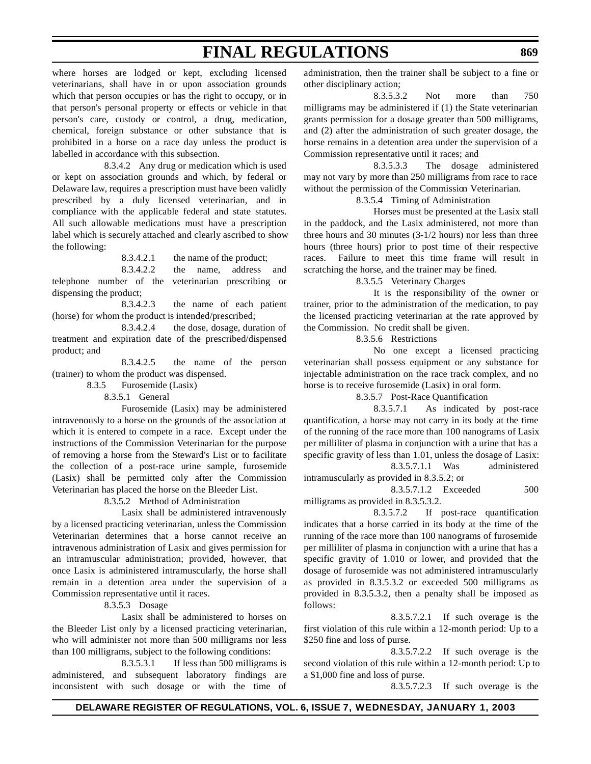where horses are lodged or kept, excluding licensed veterinarians, shall have in or upon association grounds which that person occupies or has the right to occupy, or in that person's personal property or effects or vehicle in that person's care, custody or control, a drug, medication, chemical, foreign substance or other substance that is prohibited in a horse on a race day unless the product is labelled in accordance with this subsection.

8.3.4.2 Any drug or medication which is used or kept on association grounds and which, by federal or Delaware law, requires a prescription must have been validly prescribed by a duly licensed veterinarian, and in compliance with the applicable federal and state statutes. All such allowable medications must have a prescription label which is securely attached and clearly ascribed to show the following:

8.3.4.2.1 the name of the product;

8.3.4.2.2 the name, address and telephone number of the veterinarian prescribing or dispensing the product;

8.3.4.2.3 the name of each patient (horse) for whom the product is intended/prescribed;

8.3.4.2.4 the dose, dosage, duration of treatment and expiration date of the prescribed/dispensed product; and

8.3.4.2.5 the name of the person (trainer) to whom the product was dispensed.

8.3.5 Furosemide (Lasix)

8.3.5.1 General

Furosemide (Lasix) may be administered intravenously to a horse on the grounds of the association at which it is entered to compete in a race. Except under the instructions of the Commission Veterinarian for the purpose of removing a horse from the Steward's List or to facilitate the collection of a post-race urine sample, furosemide (Lasix) shall be permitted only after the Commission Veterinarian has placed the horse on the Bleeder List.

8.3.5.2 Method of Administration

Lasix shall be administered intravenously by a licensed practicing veterinarian, unless the Commission Veterinarian determines that a horse cannot receive an intravenous administration of Lasix and gives permission for an intramuscular administration; provided, however, that once Lasix is administered intramuscularly, the horse shall remain in a detention area under the supervision of a Commission representative until it races.

8.3.5.3 Dosage

Lasix shall be administered to horses on the Bleeder List only by a licensed practicing veterinarian, who will administer not more than 500 milligrams nor less than 100 milligrams, subject to the following conditions:

8.3.5.3.1 If less than 500 milligrams is administered, and subsequent laboratory findings are inconsistent with such dosage or with the time of administration, then the trainer shall be subject to a fine or other disciplinary action;

8.3.5.3.2 Not more than 750 milligrams may be administered if (1) the State veterinarian grants permission for a dosage greater than 500 milligrams, and (2) after the administration of such greater dosage, the horse remains in a detention area under the supervision of a Commission representative until it races; and

8.3.5.3.3 The dosage administered may not vary by more than 250 milligrams from race to race without the permission of the Commission Veterinarian.

8.3.5.4 Timing of Administration

Horses must be presented at the Lasix stall in the paddock, and the Lasix administered, not more than three hours and 30 minutes (3-1/2 hours) nor less than three hours (three hours) prior to post time of their respective races. Failure to meet this time frame will result in scratching the horse, and the trainer may be fined.

### 8.3.5.5 Veterinary Charges

It is the responsibility of the owner or trainer, prior to the administration of the medication, to pay the licensed practicing veterinarian at the rate approved by the Commission. No credit shall be given.

8.3.5.6 Restrictions

No one except a licensed practicing veterinarian shall possess equipment or any substance for injectable administration on the race track complex, and no horse is to receive furosemide (Lasix) in oral form.

8.3.5.7 Post-Race Quantification

8.3.5.7.1 As indicated by post-race quantification, a horse may not carry in its body at the time of the running of the race more than 100 nanograms of Lasix per milliliter of plasma in conjunction with a urine that has a specific gravity of less than 1.01, unless the dosage of Lasix: 8.3.5.7.1.1 Was administered

intramuscularly as provided in 8.3.5.2; or 8.3.5.7.1.2 Exceeded 500 milligrams as provided in 8.3.5.3.2.

8.3.5.7.2 If post-race quantification indicates that a horse carried in its body at the time of the running of the race more than 100 nanograms of furosemide per milliliter of plasma in conjunction with a urine that has a specific gravity of 1.010 or lower, and provided that the dosage of furosemide was not administered intramuscularly as provided in 8.3.5.3.2 or exceeded 500 milligrams as provided in 8.3.5.3.2, then a penalty shall be imposed as follows:

8.3.5.7.2.1 If such overage is the first violation of this rule within a 12-month period: Up to a \$250 fine and loss of purse.

8.3.5.7.2.2 If such overage is the second violation of this rule within a 12-month period: Up to a \$1,000 fine and loss of purse.

8.3.5.7.2.3 If such overage is the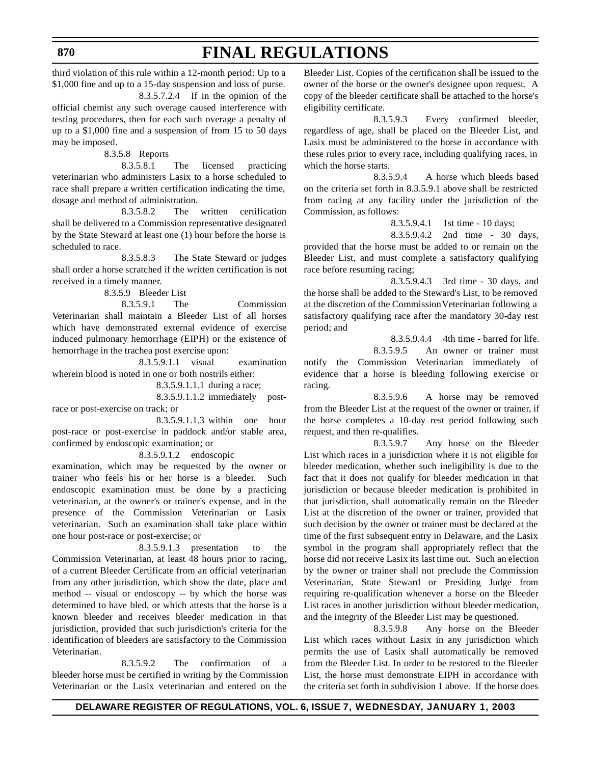third violation of this rule within a 12-month period: Up to a \$1,000 fine and up to a 15-day suspension and loss of purse.

**FINAL REGULATIONS**

8.3.5.7.2.4 If in the opinion of the official chemist any such overage caused interference with testing procedures, then for each such overage a penalty of up to a \$1,000 fine and a suspension of from 15 to 50 days may be imposed.

8.3.5.8 Reports

8.3.5.8.1 The licensed practicing veterinarian who administers Lasix to a horse scheduled to race shall prepare a written certification indicating the time, dosage and method of administration.

8.3.5.8.2 The written certification shall be delivered to a Commission representative designated by the State Steward at least one (1) hour before the horse is scheduled to race.

8.3.5.8.3 The State Steward or judges shall order a horse scratched if the written certification is not received in a timely manner.

8.3.5.9 Bleeder List

8.3.5.9.1 The Commission Veterinarian shall maintain a Bleeder List of all horses which have demonstrated external evidence of exercise induced pulmonary hemorrhage (EIPH) or the existence of hemorrhage in the trachea post exercise upon:

8.3.5.9.1.1 visual examination wherein blood is noted in one or both nostrils either:

8.3.5.9.1.1.1 during a race;

8.3.5.9.1.1.2 immediately postrace or post-exercise on track; or

8.3.5.9.1.1.3 within one hour post-race or post-exercise in paddock and/or stable area, confirmed by endoscopic examination; or

8.3.5.9.1.2 endoscopic

examination, which may be requested by the owner or trainer who feels his or her horse is a bleeder. Such endoscopic examination must be done by a practicing veterinarian, at the owner's or trainer's expense, and in the presence of the Commission Veterinarian or Lasix veterinarian. Such an examination shall take place within one hour post-race or post-exercise; or

8.3.5.9.1.3 presentation to the Commission Veterinarian, at least 48 hours prior to racing, of a current Bleeder Certificate from an official veterinarian from any other jurisdiction, which show the date, place and method -- visual or endoscopy -- by which the horse was determined to have bled, or which attests that the horse is a known bleeder and receives bleeder medication in that jurisdiction, provided that such jurisdiction's criteria for the identification of bleeders are satisfactory to the Commission Veterinarian.

8.3.5.9.2 The confirmation of a bleeder horse must be certified in writing by the Commission Veterinarian or the Lasix veterinarian and entered on the

Bleeder List. Copies of the certification shall be issued to the owner of the horse or the owner's designee upon request. A copy of the bleeder certificate shall be attached to the horse's eligibility certificate.

8.3.5.9.3 Every confirmed bleeder, regardless of age, shall be placed on the Bleeder List, and Lasix must be administered to the horse in accordance with these rules prior to every race, including qualifying races, in which the horse starts.

8.3.5.9.4 A horse which bleeds based on the criteria set forth in 8.3.5.9.1 above shall be restricted from racing at any facility under the jurisdiction of the Commission, as follows:

8.3.5.9.4.1 1st time - 10 days;

8.3.5.9.4.2 2nd time - 30 days, provided that the horse must be added to or remain on the Bleeder List, and must complete a satisfactory qualifying race before resuming racing;

8.3.5.9.4.3 3rd time - 30 days, and the horse shall be added to the Steward's List, to be removed at the discretion of the Commission Veterinarian following a satisfactory qualifying race after the mandatory 30-day rest period; and

8.3.5.9.4.4 4th time - barred for life.

8.3.5.9.5 An owner or trainer must notify the Commission Veterinarian immediately of evidence that a horse is bleeding following exercise or racing.

8.3.5.9.6 A horse may be removed from the Bleeder List at the request of the owner or trainer, if the horse completes a 10-day rest period following such request, and then re-qualifies.

8.3.5.9.7 Any horse on the Bleeder List which races in a jurisdiction where it is not eligible for bleeder medication, whether such ineligibility is due to the fact that it does not qualify for bleeder medication in that jurisdiction or because bleeder medication is prohibited in that jurisdiction, shall automatically remain on the Bleeder List at the discretion of the owner or trainer, provided that such decision by the owner or trainer must be declared at the time of the first subsequent entry in Delaware, and the Lasix symbol in the program shall appropriately reflect that the horse did not receive Lasix its last time out. Such an election by the owner or trainer shall not preclude the Commission Veterinarian, State Steward or Presiding Judge from requiring re-qualification whenever a horse on the Bleeder List races in another jurisdiction without bleeder medication, and the integrity of the Bleeder List may be questioned.

8.3.5.9.8 Any horse on the Bleeder List which races without Lasix in any jurisdiction which permits the use of Lasix shall automatically be removed from the Bleeder List. In order to be restored to the Bleeder List, the horse must demonstrate EIPH in accordance with the criteria set forth in subdivision 1 above. If the horse does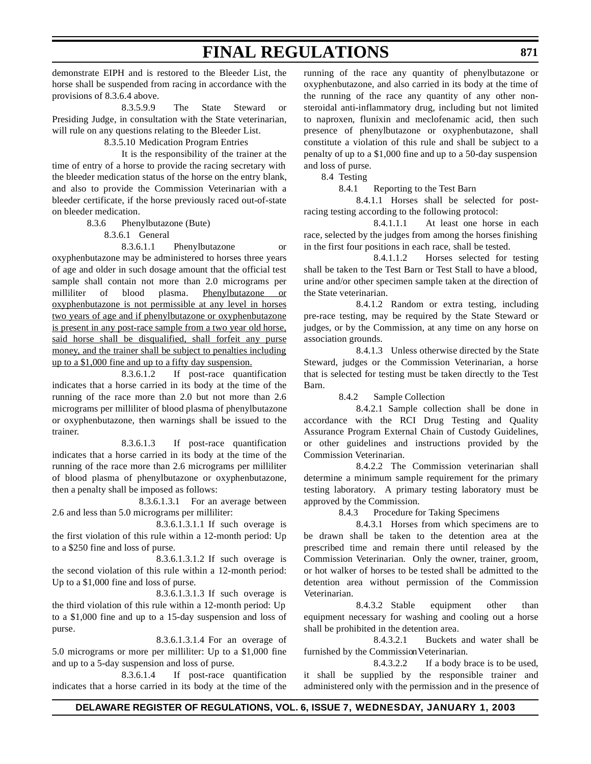demonstrate EIPH and is restored to the Bleeder List, the horse shall be suspended from racing in accordance with the provisions of 8.3.6.4 above.

8.3.5.9.9 The State Steward or Presiding Judge, in consultation with the State veterinarian, will rule on any questions relating to the Bleeder List.

8.3.5.10 Medication Program Entries

It is the responsibility of the trainer at the time of entry of a horse to provide the racing secretary with the bleeder medication status of the horse on the entry blank, and also to provide the Commission Veterinarian with a bleeder certificate, if the horse previously raced out-of-state on bleeder medication.

8.3.6 Phenylbutazone (Bute)

8.3.6.1 General

8.3.6.1.1 Phenylbutazone or oxyphenbutazone may be administered to horses three years of age and older in such dosage amount that the official test sample shall contain not more than 2.0 micrograms per milliliter of blood plasma. Phenylbutazone or oxyphenbutazone is not permissible at any level in horses two years of age and if phenylbutazone or oxyphenbutazone is present in any post-race sample from a two year old horse, said horse shall be disqualified, shall forfeit any purse money, and the trainer shall be subject to penalties including up to a \$1,000 fine and up to a fifty day suspension.

8.3.6.1.2 If post-race quantification indicates that a horse carried in its body at the time of the running of the race more than 2.0 but not more than 2.6 micrograms per milliliter of blood plasma of phenylbutazone or oxyphenbutazone, then warnings shall be issued to the trainer.

8.3.6.1.3 If post-race quantification indicates that a horse carried in its body at the time of the running of the race more than 2.6 micrograms per milliliter of blood plasma of phenylbutazone or oxyphenbutazone, then a penalty shall be imposed as follows:

8.3.6.1.3.1 For an average between 2.6 and less than 5.0 micrograms per milliliter:

8.3.6.1.3.1.1 If such overage is the first violation of this rule within a 12-month period: Up to a \$250 fine and loss of purse.

8.3.6.1.3.1.2 If such overage is the second violation of this rule within a 12-month period: Up to a \$1,000 fine and loss of purse.

8.3.6.1.3.1.3 If such overage is the third violation of this rule within a 12-month period: Up to a \$1,000 fine and up to a 15-day suspension and loss of purse.

8.3.6.1.3.1.4 For an overage of 5.0 micrograms or more per milliliter: Up to a \$1,000 fine and up to a 5-day suspension and loss of purse.

8.3.6.1.4 If post-race quantification indicates that a horse carried in its body at the time of the

running of the race any quantity of phenylbutazone or oxyphenbutazone, and also carried in its body at the time of the running of the race any quantity of any other nonsteroidal anti-inflammatory drug, including but not limited to naproxen, flunixin and meclofenamic acid, then such presence of phenylbutazone or oxyphenbutazone, shall constitute a violation of this rule and shall be subject to a penalty of up to a \$1,000 fine and up to a 50-day suspension and loss of purse.

8.4 Testing

8.4.1 Reporting to the Test Barn

8.4.1.1 Horses shall be selected for postracing testing according to the following protocol:

8.4.1.1.1 At least one horse in each race, selected by the judges from among the horses finishing in the first four positions in each race, shall be tested.

8.4.1.1.2 Horses selected for testing shall be taken to the Test Barn or Test Stall to have a blood, urine and/or other specimen sample taken at the direction of the State veterinarian.

8.4.1.2 Random or extra testing, including pre-race testing, may be required by the State Steward or judges, or by the Commission, at any time on any horse on association grounds.

8.4.1.3 Unless otherwise directed by the State Steward, judges or the Commission Veterinarian, a horse that is selected for testing must be taken directly to the Test Barn.

8.4.2 Sample Collection

8.4.2.1 Sample collection shall be done in accordance with the RCI Drug Testing and Quality Assurance Program External Chain of Custody Guidelines, or other guidelines and instructions provided by the Commission Veterinarian.

8.4.2.2 The Commission veterinarian shall determine a minimum sample requirement for the primary testing laboratory. A primary testing laboratory must be approved by the Commission.

8.4.3 Procedure for Taking Specimens

8.4.3.1 Horses from which specimens are to be drawn shall be taken to the detention area at the prescribed time and remain there until released by the Commission Veterinarian. Only the owner, trainer, groom, or hot walker of horses to be tested shall be admitted to the detention area without permission of the Commission Veterinarian.

8.4.3.2 Stable equipment other than equipment necessary for washing and cooling out a horse shall be prohibited in the detention area.

8.4.3.2.1 Buckets and water shall be furnished by the Commission Veterinarian.

8.4.3.2.2 If a body brace is to be used, it shall be supplied by the responsible trainer and administered only with the permission and in the presence of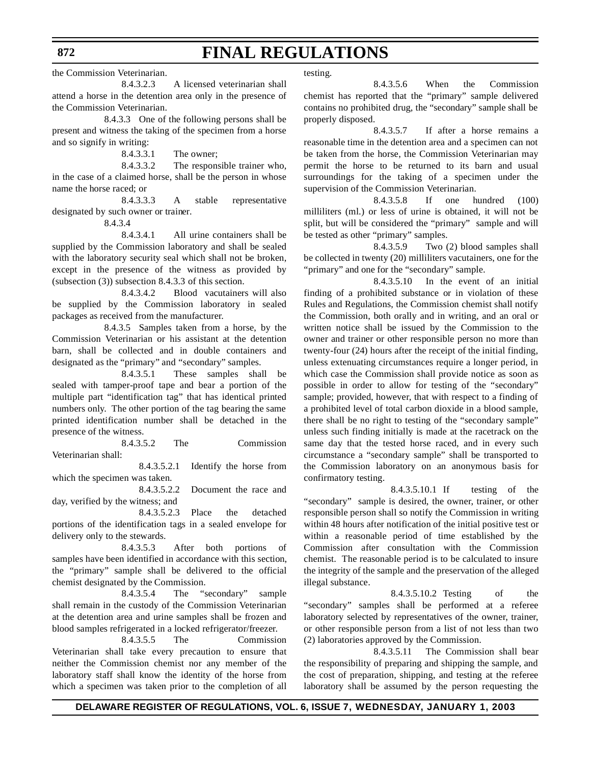the Commission Veterinarian.

8.4.3.2.3 A licensed veterinarian shall attend a horse in the detention area only in the presence of the Commission Veterinarian.

8.4.3.3 One of the following persons shall be present and witness the taking of the specimen from a horse and so signify in writing:

8.4.3.3.1 The owner;

8.4.3.3.2 The responsible trainer who, in the case of a claimed horse, shall be the person in whose name the horse raced; or

8.4.3.3.3 A stable representative designated by such owner or trainer.

8.4.3.4

8.4.3.4.1 All urine containers shall be supplied by the Commission laboratory and shall be sealed with the laboratory security seal which shall not be broken, except in the presence of the witness as provided by (subsection (3)) subsection 8.4.3.3 of this section.

8.4.3.4.2 Blood vacutainers will also be supplied by the Commission laboratory in sealed packages as received from the manufacturer.

8.4.3.5 Samples taken from a horse, by the Commission Veterinarian or his assistant at the detention barn, shall be collected and in double containers and designated as the "primary" and "secondary" samples.

8.4.3.5.1 These samples shall be sealed with tamper-proof tape and bear a portion of the multiple part "identification tag" that has identical printed numbers only. The other portion of the tag bearing the same printed identification number shall be detached in the presence of the witness.

8.4.3.5.2 The Commission Veterinarian shall:

8.4.3.5.2.1 Identify the horse from which the specimen was taken.

8.4.3.5.2.2 Document the race and day, verified by the witness; and

8.4.3.5.2.3 Place the detached portions of the identification tags in a sealed envelope for delivery only to the stewards.

8.4.3.5.3 After both portions of samples have been identified in accordance with this section, the "primary" sample shall be delivered to the official chemist designated by the Commission.

8.4.3.5.4 The "secondary" sample shall remain in the custody of the Commission Veterinarian at the detention area and urine samples shall be frozen and blood samples refrigerated in a locked refrigerator/freezer.

8.4.3.5.5 The Commission Veterinarian shall take every precaution to ensure that neither the Commission chemist nor any member of the laboratory staff shall know the identity of the horse from which a specimen was taken prior to the completion of all

testing.

8.4.3.5.6 When the Commission chemist has reported that the "primary" sample delivered contains no prohibited drug, the "secondary" sample shall be properly disposed.

8.4.3.5.7 If after a horse remains a reasonable time in the detention area and a specimen can not be taken from the horse, the Commission Veterinarian may permit the horse to be returned to its barn and usual surroundings for the taking of a specimen under the supervision of the Commission Veterinarian.

8.4.3.5.8 If one hundred (100) milliliters (ml.) or less of urine is obtained, it will not be split, but will be considered the "primary" sample and will be tested as other "primary" samples.

8.4.3.5.9 Two (2) blood samples shall be collected in twenty (20) milliliters vacutainers, one for the "primary" and one for the "secondary" sample.

8.4.3.5.10 In the event of an initial finding of a prohibited substance or in violation of these Rules and Regulations, the Commission chemist shall notify the Commission, both orally and in writing, and an oral or written notice shall be issued by the Commission to the owner and trainer or other responsible person no more than twenty-four (24) hours after the receipt of the initial finding, unless extenuating circumstances require a longer period, in which case the Commission shall provide notice as soon as possible in order to allow for testing of the "secondary" sample; provided, however, that with respect to a finding of a prohibited level of total carbon dioxide in a blood sample, there shall be no right to testing of the "secondary sample" unless such finding initially is made at the racetrack on the same day that the tested horse raced, and in every such circumstance a "secondary sample" shall be transported to the Commission laboratory on an anonymous basis for confirmatory testing.

8.4.3.5.10.1 If testing of the "secondary" sample is desired, the owner, trainer, or other responsible person shall so notify the Commission in writing within 48 hours after notification of the initial positive test or within a reasonable period of time established by the Commission after consultation with the Commission chemist. The reasonable period is to be calculated to insure the integrity of the sample and the preservation of the alleged illegal substance.

8.4.3.5.10.2 Testing of the "secondary" samples shall be performed at a referee laboratory selected by representatives of the owner, trainer, or other responsible person from a list of not less than two (2) laboratories approved by the Commission.

8.4.3.5.11 The Commission shall bear the responsibility of preparing and shipping the sample, and the cost of preparation, shipping, and testing at the referee laboratory shall be assumed by the person requesting the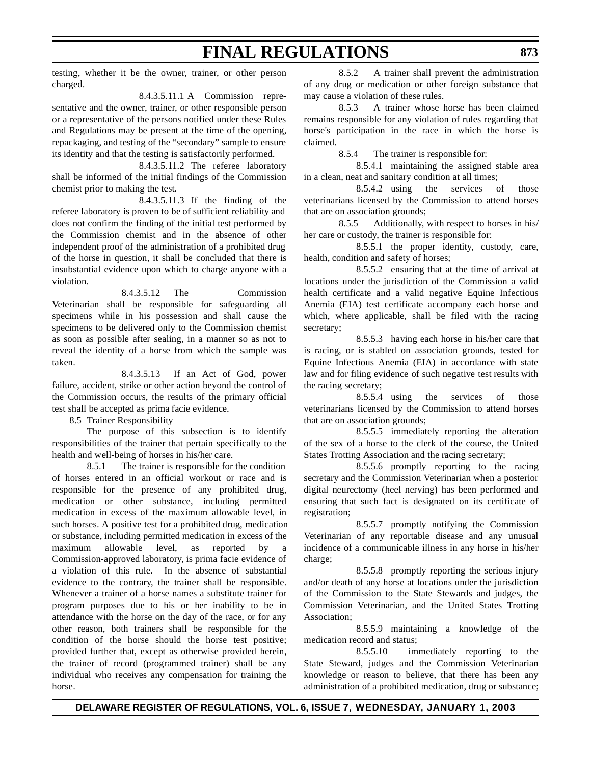testing, whether it be the owner, trainer, or other person charged.

8.4.3.5.11.1 A Commission representative and the owner, trainer, or other responsible person or a representative of the persons notified under these Rules and Regulations may be present at the time of the opening, repackaging, and testing of the "secondary" sample to ensure its identity and that the testing is satisfactorily performed.

8.4.3.5.11.2 The referee laboratory shall be informed of the initial findings of the Commission chemist prior to making the test.

8.4.3.5.11.3 If the finding of the referee laboratory is proven to be of sufficient reliability and does not confirm the finding of the initial test performed by the Commission chemist and in the absence of other independent proof of the administration of a prohibited drug of the horse in question, it shall be concluded that there is insubstantial evidence upon which to charge anyone with a violation.

8.4.3.5.12 The Commission Veterinarian shall be responsible for safeguarding all specimens while in his possession and shall cause the specimens to be delivered only to the Commission chemist as soon as possible after sealing, in a manner so as not to reveal the identity of a horse from which the sample was taken.

8.4.3.5.13 If an Act of God, power failure, accident, strike or other action beyond the control of the Commission occurs, the results of the primary official test shall be accepted as prima facie evidence.

8.5 Trainer Responsibility

The purpose of this subsection is to identify responsibilities of the trainer that pertain specifically to the health and well-being of horses in his/her care.

8.5.1 The trainer is responsible for the condition of horses entered in an official workout or race and is responsible for the presence of any prohibited drug, medication or other substance, including permitted medication in excess of the maximum allowable level, in such horses. A positive test for a prohibited drug, medication or substance, including permitted medication in excess of the maximum allowable level, as reported by a Commission-approved laboratory, is prima facie evidence of a violation of this rule. In the absence of substantial evidence to the contrary, the trainer shall be responsible. Whenever a trainer of a horse names a substitute trainer for program purposes due to his or her inability to be in attendance with the horse on the day of the race, or for any other reason, both trainers shall be responsible for the condition of the horse should the horse test positive; provided further that, except as otherwise provided herein, the trainer of record (programmed trainer) shall be any individual who receives any compensation for training the horse.

8.5.2 A trainer shall prevent the administration of any drug or medication or other foreign substance that may cause a violation of these rules.

8.5.3 A trainer whose horse has been claimed remains responsible for any violation of rules regarding that horse's participation in the race in which the horse is claimed.

8.5.4 The trainer is responsible for:

8.5.4.1 maintaining the assigned stable area in a clean, neat and sanitary condition at all times;

8.5.4.2 using the services of those veterinarians licensed by the Commission to attend horses that are on association grounds;

8.5.5 Additionally, with respect to horses in his/ her care or custody, the trainer is responsible for:

8.5.5.1 the proper identity, custody, care, health, condition and safety of horses;

8.5.5.2 ensuring that at the time of arrival at locations under the jurisdiction of the Commission a valid health certificate and a valid negative Equine Infectious Anemia (EIA) test certificate accompany each horse and which, where applicable, shall be filed with the racing secretary;

8.5.5.3 having each horse in his/her care that is racing, or is stabled on association grounds, tested for Equine Infectious Anemia (EIA) in accordance with state law and for filing evidence of such negative test results with the racing secretary;

8.5.5.4 using the services of those veterinarians licensed by the Commission to attend horses that are on association grounds;

8.5.5.5 immediately reporting the alteration of the sex of a horse to the clerk of the course, the United States Trotting Association and the racing secretary;

8.5.5.6 promptly reporting to the racing secretary and the Commission Veterinarian when a posterior digital neurectomy (heel nerving) has been performed and ensuring that such fact is designated on its certificate of registration;

8.5.5.7 promptly notifying the Commission Veterinarian of any reportable disease and any unusual incidence of a communicable illness in any horse in his/her charge;

8.5.5.8 promptly reporting the serious injury and/or death of any horse at locations under the jurisdiction of the Commission to the State Stewards and judges, the Commission Veterinarian, and the United States Trotting Association;

8.5.5.9 maintaining a knowledge of the medication record and status;

8.5.5.10 immediately reporting to the State Steward, judges and the Commission Veterinarian knowledge or reason to believe, that there has been any administration of a prohibited medication, drug or substance;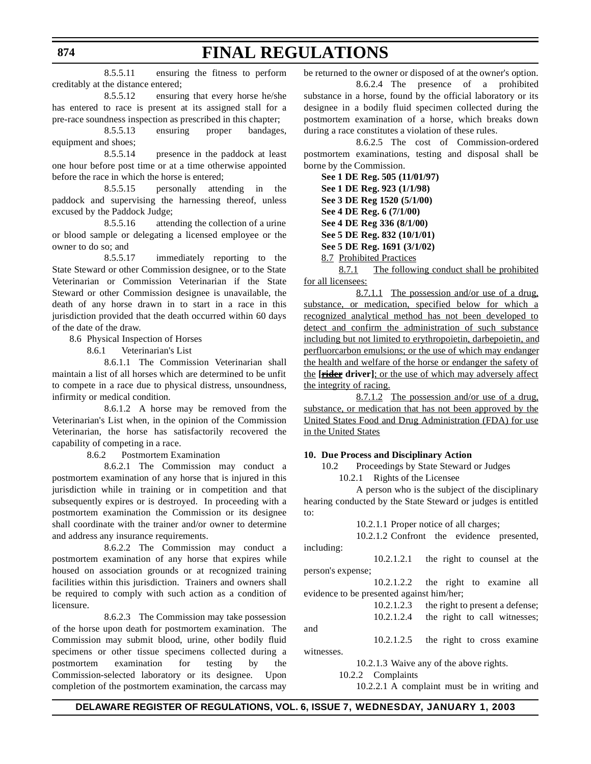8.5.5.11 ensuring the fitness to perform creditably at the distance entered;

8.5.5.12 ensuring that every horse he/she has entered to race is present at its assigned stall for a pre-race soundness inspection as prescribed in this chapter;

8.5.5.13 ensuring proper bandages, equipment and shoes;

8.5.5.14 presence in the paddock at least one hour before post time or at a time otherwise appointed before the race in which the horse is entered;

8.5.5.15 personally attending in the paddock and supervising the harnessing thereof, unless excused by the Paddock Judge;

8.5.5.16 attending the collection of a urine or blood sample or delegating a licensed employee or the owner to do so; and

8.5.5.17 immediately reporting to the State Steward or other Commission designee, or to the State Veterinarian or Commission Veterinarian if the State Steward or other Commission designee is unavailable, the death of any horse drawn in to start in a race in this jurisdiction provided that the death occurred within 60 days of the date of the draw.

8.6 Physical Inspection of Horses

8.6.1 Veterinarian's List

8.6.1.1 The Commission Veterinarian shall maintain a list of all horses which are determined to be unfit to compete in a race due to physical distress, unsoundness, infirmity or medical condition.

8.6.1.2 A horse may be removed from the Veterinarian's List when, in the opinion of the Commission Veterinarian, the horse has satisfactorily recovered the capability of competing in a race.

8.6.2 Postmortem Examination

8.6.2.1 The Commission may conduct a postmortem examination of any horse that is injured in this jurisdiction while in training or in competition and that subsequently expires or is destroyed. In proceeding with a postmortem examination the Commission or its designee shall coordinate with the trainer and/or owner to determine and address any insurance requirements.

8.6.2.2 The Commission may conduct a postmortem examination of any horse that expires while housed on association grounds or at recognized training facilities within this jurisdiction. Trainers and owners shall be required to comply with such action as a condition of licensure.

8.6.2.3 The Commission may take possession of the horse upon death for postmortem examination. The Commission may submit blood, urine, other bodily fluid specimens or other tissue specimens collected during a postmortem examination for testing by the Commission-selected laboratory or its designee. Upon completion of the postmortem examination, the carcass may

be returned to the owner or disposed of at the owner's option.

8.6.2.4 The presence of a prohibited substance in a horse, found by the official laboratory or its designee in a bodily fluid specimen collected during the postmortem examination of a horse, which breaks down during a race constitutes a violation of these rules.

8.6.2.5 The cost of Commission-ordered postmortem examinations, testing and disposal shall be borne by the Commission.

**See 1 DE Reg. 505 (11/01/97) See 1 DE Reg. 923 (1/1/98) See 3 DE Reg 1520 (5/1/00) See 4 DE Reg. 6 (7/1/00) See 4 DE Reg 336 (8/1/00) See 5 DE Reg. 832 (10/1/01) See 5 DE Reg. 1691 (3/1/02)** 8.7 Prohibited Practices

8.7.1 The following conduct shall be prohibited for all licensees:

8.7.1.1 The possession and/or use of a drug, substance, or medication, specified below for which a recognized analytical method has not been developed to detect and confirm the administration of such substance including but not limited to erythropoietin, darbepoietin, and perfluorcarbon emulsions; or the use of which may endanger the health and welfare of the horse or endanger the safety of the **[rider driver]**; or the use of which may adversely affect the integrity of racing.

8.7.1.2 The possession and/or use of a drug, substance, or medication that has not been approved by the United States Food and Drug Administration (FDA) for use in the United States

#### **10. Due Process and Disciplinary Action**

10.2 Proceedings by State Steward or Judges

10.2.1 Rights of the Licensee

A person who is the subject of the disciplinary hearing conducted by the State Steward or judges is entitled to:

10.2.1.1 Proper notice of all charges;

10.2.1.2 Confront the evidence presented, including:

10.2.1.2.1 the right to counsel at the person's expense;

10.2.1.2.2 the right to examine all evidence to be presented against him/her;

> 10.2.1.2.3 the right to present a defense; 10.2.1.2.4 the right to call witnesses;

and

witnesses.

10.2.1.2.5 the right to cross examine

10.2.1.3 Waive any of the above rights.

10.2.2 Complaints

10.2.2.1 A complaint must be in writing and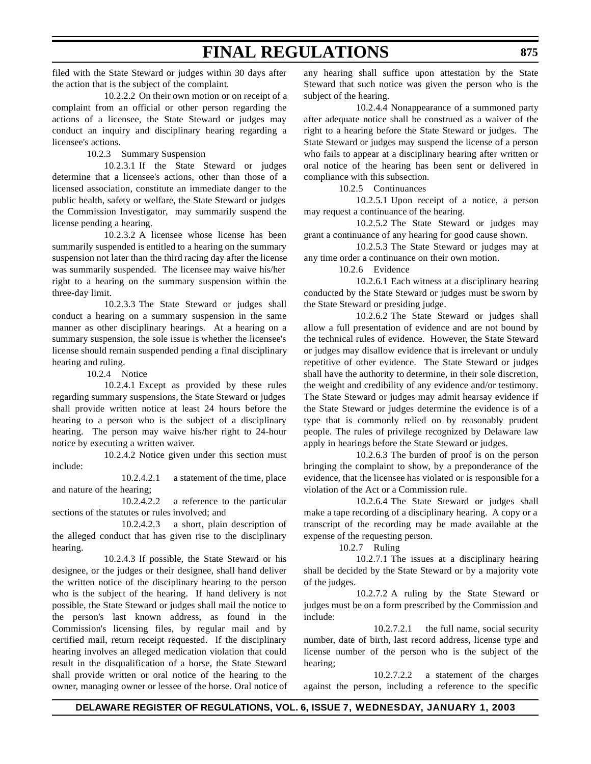filed with the State Steward or judges within 30 days after the action that is the subject of the complaint.

10.2.2.2 On their own motion or on receipt of a complaint from an official or other person regarding the actions of a licensee, the State Steward or judges may conduct an inquiry and disciplinary hearing regarding a licensee's actions.

10.2.3 Summary Suspension

10.2.3.1 If the State Steward or judges determine that a licensee's actions, other than those of a licensed association, constitute an immediate danger to the public health, safety or welfare, the State Steward or judges the Commission Investigator, may summarily suspend the license pending a hearing.

10.2.3.2 A licensee whose license has been summarily suspended is entitled to a hearing on the summary suspension not later than the third racing day after the license was summarily suspended. The licensee may waive his/her right to a hearing on the summary suspension within the three-day limit.

10.2.3.3 The State Steward or judges shall conduct a hearing on a summary suspension in the same manner as other disciplinary hearings. At a hearing on a summary suspension, the sole issue is whether the licensee's license should remain suspended pending a final disciplinary hearing and ruling.

10.2.4 Notice

10.2.4.1 Except as provided by these rules regarding summary suspensions, the State Steward or judges shall provide written notice at least 24 hours before the hearing to a person who is the subject of a disciplinary hearing. The person may waive his/her right to 24-hour notice by executing a written waiver.

10.2.4.2 Notice given under this section must include:

10.2.4.2.1 a statement of the time, place and nature of the hearing;

10.2.4.2.2 a reference to the particular sections of the statutes or rules involved; and

10.2.4.2.3 a short, plain description of the alleged conduct that has given rise to the disciplinary hearing.

10.2.4.3 If possible, the State Steward or his designee, or the judges or their designee, shall hand deliver the written notice of the disciplinary hearing to the person who is the subject of the hearing. If hand delivery is not possible, the State Steward or judges shall mail the notice to the person's last known address, as found in the Commission's licensing files, by regular mail and by certified mail, return receipt requested. If the disciplinary hearing involves an alleged medication violation that could result in the disqualification of a horse, the State Steward shall provide written or oral notice of the hearing to the owner, managing owner or lessee of the horse. Oral notice of any hearing shall suffice upon attestation by the State Steward that such notice was given the person who is the subject of the hearing.

10.2.4.4 Nonappearance of a summoned party after adequate notice shall be construed as a waiver of the right to a hearing before the State Steward or judges. The State Steward or judges may suspend the license of a person who fails to appear at a disciplinary hearing after written or oral notice of the hearing has been sent or delivered in compliance with this subsection.

10.2.5 Continuances

10.2.5.1 Upon receipt of a notice, a person may request a continuance of the hearing.

10.2.5.2 The State Steward or judges may grant a continuance of any hearing for good cause shown.

10.2.5.3 The State Steward or judges may at any time order a continuance on their own motion.

10.2.6 Evidence

10.2.6.1 Each witness at a disciplinary hearing conducted by the State Steward or judges must be sworn by the State Steward or presiding judge.

10.2.6.2 The State Steward or judges shall allow a full presentation of evidence and are not bound by the technical rules of evidence. However, the State Steward or judges may disallow evidence that is irrelevant or unduly repetitive of other evidence. The State Steward or judges shall have the authority to determine, in their sole discretion, the weight and credibility of any evidence and/or testimony. The State Steward or judges may admit hearsay evidence if the State Steward or judges determine the evidence is of a type that is commonly relied on by reasonably prudent people. The rules of privilege recognized by Delaware law apply in hearings before the State Steward or judges.

10.2.6.3 The burden of proof is on the person bringing the complaint to show, by a preponderance of the evidence, that the licensee has violated or is responsible for a violation of the Act or a Commission rule.

10.2.6.4 The State Steward or judges shall make a tape recording of a disciplinary hearing. A copy or a transcript of the recording may be made available at the expense of the requesting person.

10.2.7 Ruling

10.2.7.1 The issues at a disciplinary hearing shall be decided by the State Steward or by a majority vote of the judges.

10.2.7.2 A ruling by the State Steward or judges must be on a form prescribed by the Commission and include:

10.2.7.2.1 the full name, social security number, date of birth, last record address, license type and license number of the person who is the subject of the hearing;

10.2.7.2.2 a statement of the charges against the person, including a reference to the specific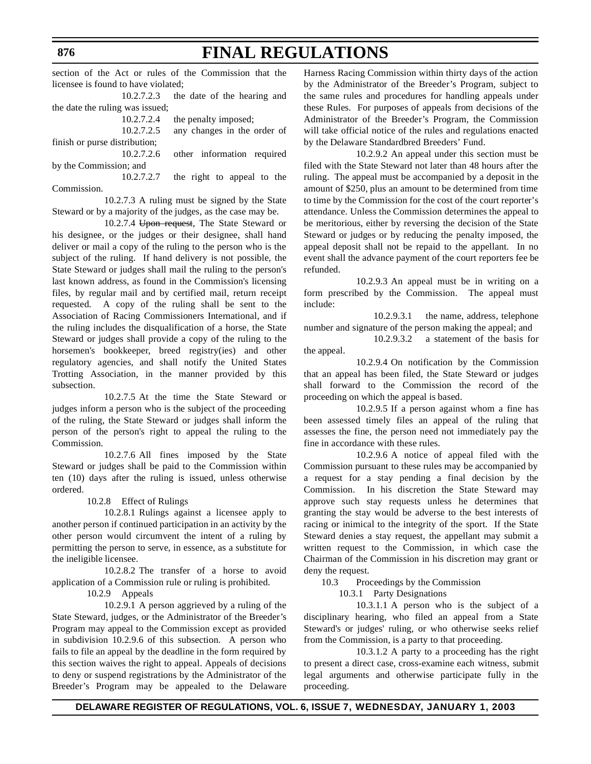**FINAL REGULATIONS** section of the Act or rules of the Commission that the

licensee is found to have violated; 10.2.7.2.3 the date of the hearing and

| $10.2.7.2.3$ and date of the nearing and      |
|-----------------------------------------------|
|                                               |
| the penalty imposed;                          |
| any changes in the order of                   |
|                                               |
| 10.2.7.2.6 other information required         |
|                                               |
| the right to appeal to the                    |
| the date the ruling was issued;<br>10.2.7.2.5 |

Commission.

10.2.7.3 A ruling must be signed by the State Steward or by a majority of the judges, as the case may be.

10.2.7.4 Upon request, The State Steward or his designee, or the judges or their designee, shall hand deliver or mail a copy of the ruling to the person who is the subject of the ruling. If hand delivery is not possible, the State Steward or judges shall mail the ruling to the person's last known address, as found in the Commission's licensing files, by regular mail and by certified mail, return receipt requested. A copy of the ruling shall be sent to the Association of Racing Commissioners International, and if the ruling includes the disqualification of a horse, the State Steward or judges shall provide a copy of the ruling to the horsemen's bookkeeper, breed registry(ies) and other regulatory agencies, and shall notify the United States Trotting Association, in the manner provided by this subsection.

10.2.7.5 At the time the State Steward or judges inform a person who is the subject of the proceeding of the ruling, the State Steward or judges shall inform the person of the person's right to appeal the ruling to the Commission.

10.2.7.6 All fines imposed by the State Steward or judges shall be paid to the Commission within ten (10) days after the ruling is issued, unless otherwise ordered.

10.2.8 Effect of Rulings

10.2.8.1 Rulings against a licensee apply to another person if continued participation in an activity by the other person would circumvent the intent of a ruling by permitting the person to serve, in essence, as a substitute for the ineligible licensee.

10.2.8.2 The transfer of a horse to avoid application of a Commission rule or ruling is prohibited.

10.2.9 Appeals

10.2.9.1 A person aggrieved by a ruling of the State Steward, judges, or the Administrator of the Breeder's Program may appeal to the Commission except as provided in subdivision 10.2.9.6 of this subsection. A person who fails to file an appeal by the deadline in the form required by this section waives the right to appeal. Appeals of decisions to deny or suspend registrations by the Administrator of the Breeder's Program may be appealed to the Delaware

Harness Racing Commission within thirty days of the action by the Administrator of the Breeder's Program, subject to the same rules and procedures for handling appeals under these Rules. For purposes of appeals from decisions of the Administrator of the Breeder's Program, the Commission will take official notice of the rules and regulations enacted by the Delaware Standardbred Breeders' Fund.

10.2.9.2 An appeal under this section must be filed with the State Steward not later than 48 hours after the ruling. The appeal must be accompanied by a deposit in the amount of \$250, plus an amount to be determined from time to time by the Commission for the cost of the court reporter's attendance. Unless the Commission determines the appeal to be meritorious, either by reversing the decision of the State Steward or judges or by reducing the penalty imposed, the appeal deposit shall not be repaid to the appellant. In no event shall the advance payment of the court reporters fee be refunded.

10.2.9.3 An appeal must be in writing on a form prescribed by the Commission. The appeal must include:

10.2.9.3.1 the name, address, telephone number and signature of the person making the appeal; and

10.2.9.3.2 a statement of the basis for the appeal.

10.2.9.4 On notification by the Commission that an appeal has been filed, the State Steward or judges shall forward to the Commission the record of the proceeding on which the appeal is based.

10.2.9.5 If a person against whom a fine has been assessed timely files an appeal of the ruling that assesses the fine, the person need not immediately pay the fine in accordance with these rules.

10.2.9.6 A notice of appeal filed with the Commission pursuant to these rules may be accompanied by a request for a stay pending a final decision by the Commission. In his discretion the State Steward may approve such stay requests unless he determines that granting the stay would be adverse to the best interests of racing or inimical to the integrity of the sport. If the State Steward denies a stay request, the appellant may submit a written request to the Commission, in which case the Chairman of the Commission in his discretion may grant or deny the request.

10.3 Proceedings by the Commission

10.3.1 Party Designations

10.3.1.1 A person who is the subject of a disciplinary hearing, who filed an appeal from a State Steward's or judges' ruling, or who otherwise seeks relief from the Commission, is a party to that proceeding.

10.3.1.2 A party to a proceeding has the right to present a direct case, cross-examine each witness, submit legal arguments and otherwise participate fully in the proceeding.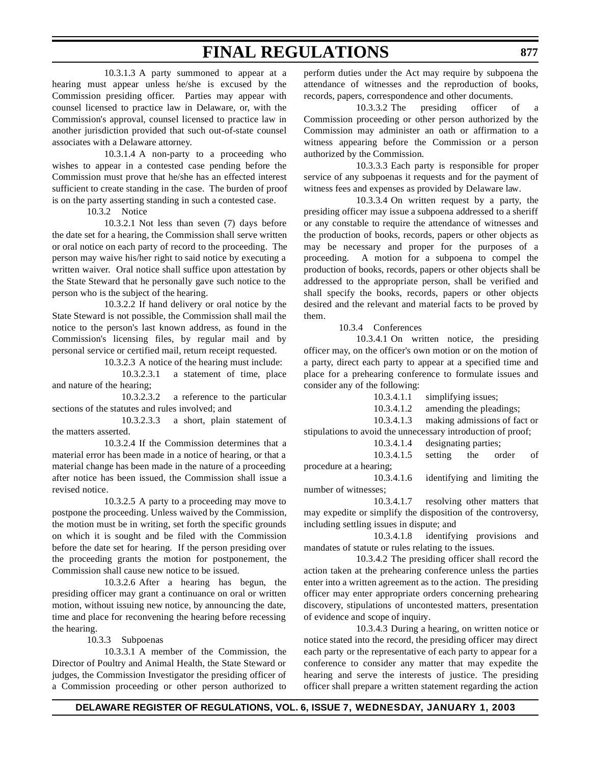10.3.1.3 A party summoned to appear at a hearing must appear unless he/she is excused by the Commission presiding officer. Parties may appear with counsel licensed to practice law in Delaware, or, with the Commission's approval, counsel licensed to practice law in another jurisdiction provided that such out-of-state counsel associates with a Delaware attorney.

10.3.1.4 A non-party to a proceeding who wishes to appear in a contested case pending before the Commission must prove that he/she has an effected interest sufficient to create standing in the case. The burden of proof is on the party asserting standing in such a contested case.

10.3.2 Notice

10.3.2.1 Not less than seven (7) days before the date set for a hearing, the Commission shall serve written or oral notice on each party of record to the proceeding. The person may waive his/her right to said notice by executing a written waiver. Oral notice shall suffice upon attestation by the State Steward that he personally gave such notice to the person who is the subject of the hearing.

10.3.2.2 If hand delivery or oral notice by the State Steward is not possible, the Commission shall mail the notice to the person's last known address, as found in the Commission's licensing files, by regular mail and by personal service or certified mail, return receipt requested.

10.3.2.3 A notice of the hearing must include:

10.3.2.3.1 a statement of time, place and nature of the hearing;

10.3.2.3.2 a reference to the particular sections of the statutes and rules involved; and

10.3.2.3.3 a short, plain statement of the matters asserted.

10.3.2.4 If the Commission determines that a material error has been made in a notice of hearing, or that a material change has been made in the nature of a proceeding after notice has been issued, the Commission shall issue a revised notice.

10.3.2.5 A party to a proceeding may move to postpone the proceeding. Unless waived by the Commission, the motion must be in writing, set forth the specific grounds on which it is sought and be filed with the Commission before the date set for hearing. If the person presiding over the proceeding grants the motion for postponement, the Commission shall cause new notice to be issued.

10.3.2.6 After a hearing has begun, the presiding officer may grant a continuance on oral or written motion, without issuing new notice, by announcing the date, time and place for reconvening the hearing before recessing the hearing.

10.3.3 Subpoenas

10.3.3.1 A member of the Commission, the Director of Poultry and Animal Health, the State Steward or judges, the Commission Investigator the presiding officer of a Commission proceeding or other person authorized to perform duties under the Act may require by subpoena the attendance of witnesses and the reproduction of books, records, papers, correspondence and other documents.

10.3.3.2 The presiding officer of a Commission proceeding or other person authorized by the Commission may administer an oath or affirmation to a witness appearing before the Commission or a person authorized by the Commission.

10.3.3.3 Each party is responsible for proper service of any subpoenas it requests and for the payment of witness fees and expenses as provided by Delaware law.

10.3.3.4 On written request by a party, the presiding officer may issue a subpoena addressed to a sheriff or any constable to require the attendance of witnesses and the production of books, records, papers or other objects as may be necessary and proper for the purposes of a proceeding. A motion for a subpoena to compel the production of books, records, papers or other objects shall be addressed to the appropriate person, shall be verified and shall specify the books, records, papers or other objects desired and the relevant and material facts to be proved by them.

10.3.4 Conferences

10.3.4.1 On written notice, the presiding officer may, on the officer's own motion or on the motion of a party, direct each party to appear at a specified time and place for a prehearing conference to formulate issues and consider any of the following:

| 10.3.4.1.1                                                   | simplifying issues;             |
|--------------------------------------------------------------|---------------------------------|
| 10.3.4.1.2                                                   | amending the pleadings;         |
| 10.3.4.1.3                                                   | making admissions of fact or    |
| stipulations to avoid the unnecessary introduction of proof; |                                 |
|                                                              | 10.3.4.1.4 designating parties; |

10.3.4.1.5 setting the order of procedure at a hearing;

10.3.4.1.6 identifying and limiting the number of witnesses;

10.3.4.1.7 resolving other matters that may expedite or simplify the disposition of the controversy, including settling issues in dispute; and

10.3.4.1.8 identifying provisions and mandates of statute or rules relating to the issues.

10.3.4.2 The presiding officer shall record the action taken at the prehearing conference unless the parties enter into a written agreement as to the action. The presiding officer may enter appropriate orders concerning prehearing discovery, stipulations of uncontested matters, presentation of evidence and scope of inquiry.

10.3.4.3 During a hearing, on written notice or notice stated into the record, the presiding officer may direct each party or the representative of each party to appear for a conference to consider any matter that may expedite the hearing and serve the interests of justice. The presiding officer shall prepare a written statement regarding the action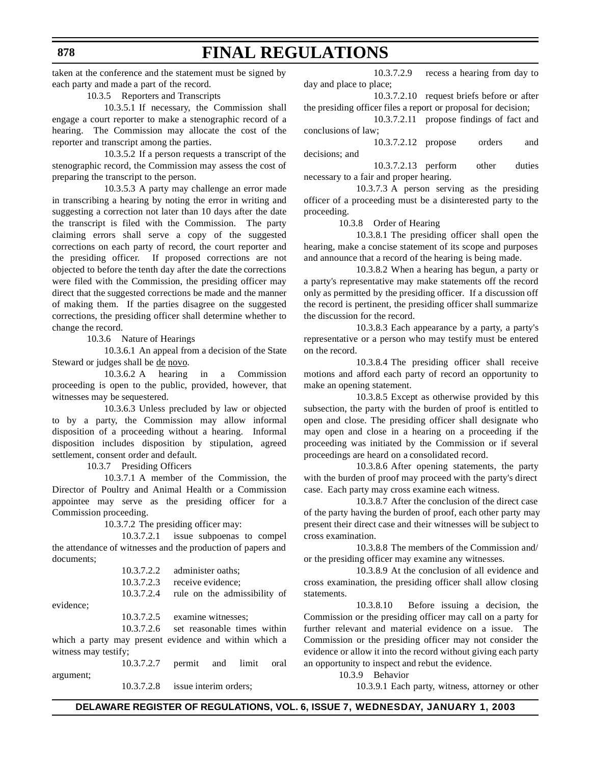taken at the conference and the statement must be signed by each party and made a part of the record.

**FINAL REGULATIONS**

10.3.5 Reporters and Transcripts

10.3.5.1 If necessary, the Commission shall engage a court reporter to make a stenographic record of a hearing. The Commission may allocate the cost of the reporter and transcript among the parties.

10.3.5.2 If a person requests a transcript of the stenographic record, the Commission may assess the cost of preparing the transcript to the person.

10.3.5.3 A party may challenge an error made in transcribing a hearing by noting the error in writing and suggesting a correction not later than 10 days after the date the transcript is filed with the Commission. The party claiming errors shall serve a copy of the suggested corrections on each party of record, the court reporter and the presiding officer. If proposed corrections are not objected to before the tenth day after the date the corrections were filed with the Commission, the presiding officer may direct that the suggested corrections be made and the manner of making them. If the parties disagree on the suggested corrections, the presiding officer shall determine whether to change the record.

10.3.6 Nature of Hearings

10.3.6.1 An appeal from a decision of the State Steward or judges shall be de novo.

10.3.6.2 A hearing in a Commission proceeding is open to the public, provided, however, that witnesses may be sequestered.

10.3.6.3 Unless precluded by law or objected to by a party, the Commission may allow informal disposition of a proceeding without a hearing. Informal disposition includes disposition by stipulation, agreed settlement, consent order and default.

10.3.7 Presiding Officers

10.3.7.1 A member of the Commission, the Director of Poultry and Animal Health or a Commission appointee may serve as the presiding officer for a Commission proceeding.

10.3.7.2 The presiding officer may:

10.3.7.2.1 issue subpoenas to compel the attendance of witnesses and the production of papers and documents;

| 10.3.7.2.2 | administer oaths; |
|------------|-------------------|
| 10.3.7.2.3 | receive evidence: |

10.3.7.2.4 rule on the admissibility of

evidence;

10.3.7.2.5 examine witnesses;

10.3.7.2.6 set reasonable times within which a party may present evidence and within which a witness may testify;

10.3.7.2.7 permit and limit oral argument;

10.3.7.2.8 issue interim orders;

10.3.7.2.9 recess a hearing from day to day and place to place;

10.3.7.2.10 request briefs before or after the presiding officer files a report or proposal for decision;

10.3.7.2.11 propose findings of fact and conclusions of law;

10.3.7.2.12 propose orders and decisions; and

10.3.7.2.13 perform other duties necessary to a fair and proper hearing.

10.3.7.3 A person serving as the presiding officer of a proceeding must be a disinterested party to the proceeding.

10.3.8 Order of Hearing

10.3.8.1 The presiding officer shall open the hearing, make a concise statement of its scope and purposes and announce that a record of the hearing is being made.

10.3.8.2 When a hearing has begun, a party or a party's representative may make statements off the record only as permitted by the presiding officer. If a discussion off the record is pertinent, the presiding officer shall summarize the discussion for the record.

10.3.8.3 Each appearance by a party, a party's representative or a person who may testify must be entered on the record.

10.3.8.4 The presiding officer shall receive motions and afford each party of record an opportunity to make an opening statement.

10.3.8.5 Except as otherwise provided by this subsection, the party with the burden of proof is entitled to open and close. The presiding officer shall designate who may open and close in a hearing on a proceeding if the proceeding was initiated by the Commission or if several proceedings are heard on a consolidated record.

10.3.8.6 After opening statements, the party with the burden of proof may proceed with the party's direct case. Each party may cross examine each witness.

10.3.8.7 After the conclusion of the direct case of the party having the burden of proof, each other party may present their direct case and their witnesses will be subject to cross examination.

10.3.8.8 The members of the Commission and/ or the presiding officer may examine any witnesses.

10.3.8.9 At the conclusion of all evidence and cross examination, the presiding officer shall allow closing statements.

10.3.8.10 Before issuing a decision, the Commission or the presiding officer may call on a party for further relevant and material evidence on a issue. The Commission or the presiding officer may not consider the evidence or allow it into the record without giving each party an opportunity to inspect and rebut the evidence.

10.3.9 Behavior

10.3.9.1 Each party, witness, attorney or other

**DELAWARE REGISTER OF REGULATIONS, VOL. 6, ISSUE 7, WEDNESDAY, JANUARY 1, 2003**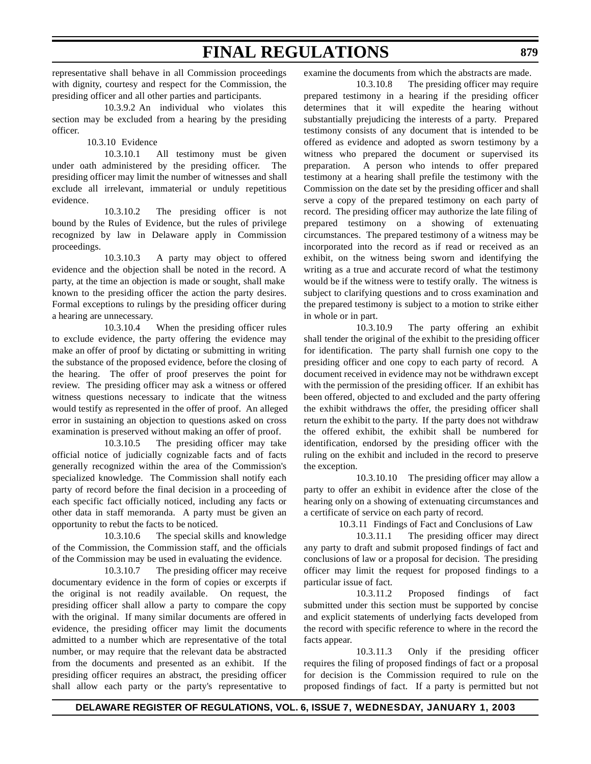representative shall behave in all Commission proceedings with dignity, courtesy and respect for the Commission, the presiding officer and all other parties and participants.

10.3.9.2 An individual who violates this section may be excluded from a hearing by the presiding officer.

10.3.10 Evidence

10.3.10.1 All testimony must be given under oath administered by the presiding officer. The presiding officer may limit the number of witnesses and shall exclude all irrelevant, immaterial or unduly repetitious evidence.

10.3.10.2 The presiding officer is not bound by the Rules of Evidence, but the rules of privilege recognized by law in Delaware apply in Commission proceedings.

10.3.10.3 A party may object to offered evidence and the objection shall be noted in the record. A party, at the time an objection is made or sought, shall make known to the presiding officer the action the party desires. Formal exceptions to rulings by the presiding officer during a hearing are unnecessary.

10.3.10.4 When the presiding officer rules to exclude evidence, the party offering the evidence may make an offer of proof by dictating or submitting in writing the substance of the proposed evidence, before the closing of the hearing. The offer of proof preserves the point for review. The presiding officer may ask a witness or offered witness questions necessary to indicate that the witness would testify as represented in the offer of proof. An alleged error in sustaining an objection to questions asked on cross examination is preserved without making an offer of proof.

10.3.10.5 The presiding officer may take official notice of judicially cognizable facts and of facts generally recognized within the area of the Commission's specialized knowledge. The Commission shall notify each party of record before the final decision in a proceeding of each specific fact officially noticed, including any facts or other data in staff memoranda. A party must be given an opportunity to rebut the facts to be noticed.

10.3.10.6 The special skills and knowledge of the Commission, the Commission staff, and the officials of the Commission may be used in evaluating the evidence.

10.3.10.7 The presiding officer may receive documentary evidence in the form of copies or excerpts if the original is not readily available. On request, the presiding officer shall allow a party to compare the copy with the original. If many similar documents are offered in evidence, the presiding officer may limit the documents admitted to a number which are representative of the total number, or may require that the relevant data be abstracted from the documents and presented as an exhibit. If the presiding officer requires an abstract, the presiding officer shall allow each party or the party's representative to examine the documents from which the abstracts are made.

10.3.10.8 The presiding officer may require prepared testimony in a hearing if the presiding officer determines that it will expedite the hearing without substantially prejudicing the interests of a party. Prepared testimony consists of any document that is intended to be offered as evidence and adopted as sworn testimony by a witness who prepared the document or supervised its preparation. A person who intends to offer prepared testimony at a hearing shall prefile the testimony with the Commission on the date set by the presiding officer and shall serve a copy of the prepared testimony on each party of record. The presiding officer may authorize the late filing of prepared testimony on a showing of extenuating circumstances. The prepared testimony of a witness may be incorporated into the record as if read or received as an exhibit, on the witness being sworn and identifying the writing as a true and accurate record of what the testimony would be if the witness were to testify orally. The witness is subject to clarifying questions and to cross examination and the prepared testimony is subject to a motion to strike either in whole or in part.

10.3.10.9 The party offering an exhibit shall tender the original of the exhibit to the presiding officer for identification. The party shall furnish one copy to the presiding officer and one copy to each party of record. A document received in evidence may not be withdrawn except with the permission of the presiding officer. If an exhibit has been offered, objected to and excluded and the party offering the exhibit withdraws the offer, the presiding officer shall return the exhibit to the party. If the party does not withdraw the offered exhibit, the exhibit shall be numbered for identification, endorsed by the presiding officer with the ruling on the exhibit and included in the record to preserve the exception.

10.3.10.10 The presiding officer may allow a party to offer an exhibit in evidence after the close of the hearing only on a showing of extenuating circumstances and a certificate of service on each party of record.

10.3.11 Findings of Fact and Conclusions of Law

10.3.11.1 The presiding officer may direct any party to draft and submit proposed findings of fact and conclusions of law or a proposal for decision. The presiding officer may limit the request for proposed findings to a particular issue of fact.

10.3.11.2 Proposed findings of fact submitted under this section must be supported by concise and explicit statements of underlying facts developed from the record with specific reference to where in the record the facts appear.

10.3.11.3 Only if the presiding officer requires the filing of proposed findings of fact or a proposal for decision is the Commission required to rule on the proposed findings of fact. If a party is permitted but not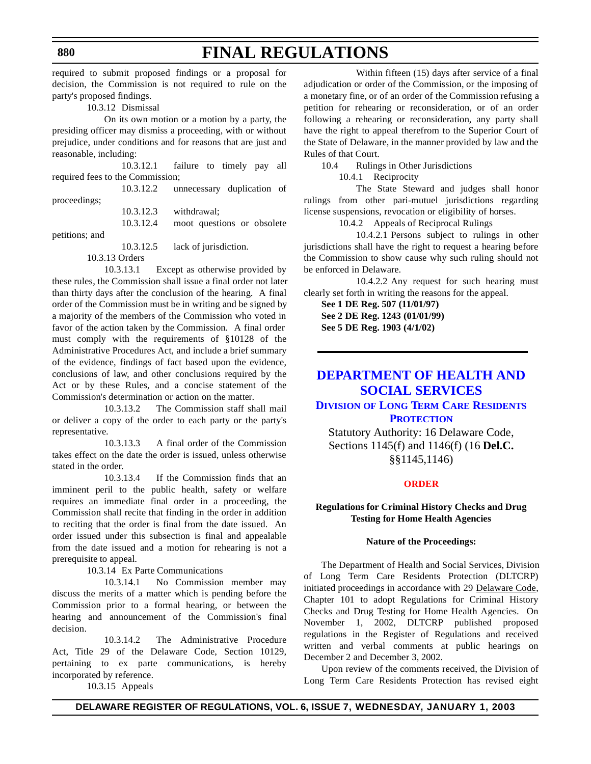required to submit proposed findings or a proposal for decision, the Commission is not required to rule on the party's proposed findings.

10.3.12 Dismissal

On its own motion or a motion by a party, the presiding officer may dismiss a proceeding, with or without prejudice, under conditions and for reasons that are just and reasonable, including:

10.3.12.1 failure to timely pay all required fees to the Commission;

|              | 10.3.12.2 | unnecessary duplication of |  |
|--------------|-----------|----------------------------|--|
| proceedings; |           |                            |  |
|              |           | $10.3.12.3$ withdrawal;    |  |

10.3.12.4 moot questions or obsolete

petitions; and

10.3.12.5 lack of jurisdiction.

10.3.13 Orders

10.3.13.1 Except as otherwise provided by these rules, the Commission shall issue a final order not later than thirty days after the conclusion of the hearing. A final order of the Commission must be in writing and be signed by a majority of the members of the Commission who voted in favor of the action taken by the Commission. A final order must comply with the requirements of §10128 of the Administrative Procedures Act, and include a brief summary of the evidence, findings of fact based upon the evidence, conclusions of law, and other conclusions required by the Act or by these Rules, and a concise statement of the Commission's determination or action on the matter.

10.3.13.2 The Commission staff shall mail or deliver a copy of the order to each party or the party's representative.

10.3.13.3 A final order of the Commission takes effect on the date the order is issued, unless otherwise stated in the order.

10.3.13.4 If the Commission finds that an imminent peril to the public health, safety or welfare requires an immediate final order in a proceeding, the Commission shall recite that finding in the order in addition to reciting that the order is final from the date issued. An order issued under this subsection is final and appealable from the date issued and a motion for rehearing is not a prerequisite to appeal.

10.3.14 Ex Parte Communications

10.3.14.1 No Commission member may discuss the merits of a matter which is pending before the Commission prior to a formal hearing, or between the hearing and announcement of the Commission's final decision.

10.3.14.2 The Administrative Procedure Act, Title 29 of the Delaware Code, Section 10129, pertaining to ex parte communications, is hereby incorporated by reference.

10.3.15 Appeals

Within fifteen (15) days after service of a final adjudication or order of the Commission, or the imposing of a monetary fine, or of an order of the Commission refusing a petition for rehearing or reconsideration, or of an order following a rehearing or reconsideration, any party shall have the right to appeal therefrom to the Superior Court of the State of Delaware, in the manner provided by law and the Rules of that Court.

10.4 Rulings in Other Jurisdictions

10.4.1 Reciprocity

The State Steward and judges shall honor rulings from other pari-mutuel jurisdictions regarding license suspensions, revocation or eligibility of horses.

10.4.2 Appeals of Reciprocal Rulings

10.4.2.1 Persons subject to rulings in other jurisdictions shall have the right to request a hearing before the Commission to show cause why such ruling should not be enforced in Delaware.

10.4.2.2 Any request for such hearing must clearly set forth in writing the reasons for the appeal.

**See 1 DE Reg. 507 (11/01/97) See 2 DE Reg. 1243 (01/01/99) See 5 DE Reg. 1903 (4/1/02)**

## **DEPARTMENT OF HEALTH AND [SOCIAL SERVICES](http://www.state.de.us/dhss/dltc/dltchome.htm)**

**DIVISION OF LONG TERM CARE RESIDENTS PROTECTION**

Statutory Authority: 16 Delaware Code, Sections 1145(f) and 1146(f) (16 **Del.C.** §§1145,1146)

#### **[ORDER](#page-3-0)**

### **Regulations for Criminal History Checks and Drug Testing for Home Health Agencies**

#### **Nature of the Proceedings:**

The Department of Health and Social Services, Division of Long Term Care Residents Protection (DLTCRP) initiated proceedings in accordance with 29 Delaware Code, Chapter 101 to adopt Regulations for Criminal History Checks and Drug Testing for Home Health Agencies. On November 1, 2002, DLTCRP published proposed regulations in the Register of Regulations and received written and verbal comments at public hearings on December 2 and December 3, 2002.

Upon review of the comments received, the Division of Long Term Care Residents Protection has revised eight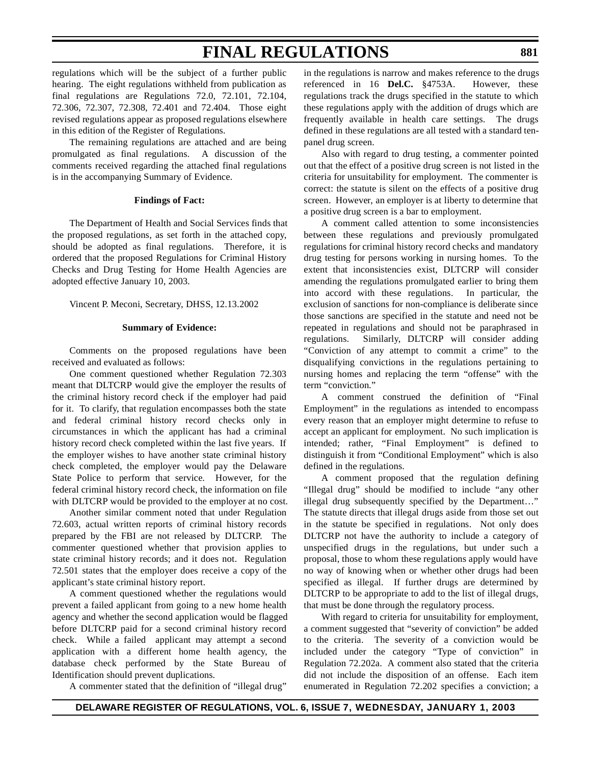regulations which will be the subject of a further public hearing. The eight regulations withheld from publication as final regulations are Regulations 72.0, 72.101, 72.104, 72.306, 72.307, 72.308, 72.401 and 72.404. Those eight revised regulations appear as proposed regulations elsewhere in this edition of the Register of Regulations.

The remaining regulations are attached and are being promulgated as final regulations. A discussion of the comments received regarding the attached final regulations is in the accompanying Summary of Evidence.

#### **Findings of Fact:**

The Department of Health and Social Services finds that the proposed regulations, as set forth in the attached copy, should be adopted as final regulations. Therefore, it is ordered that the proposed Regulations for Criminal History Checks and Drug Testing for Home Health Agencies are adopted effective January 10, 2003.

Vincent P. Meconi, Secretary, DHSS, 12.13.2002

#### **Summary of Evidence:**

Comments on the proposed regulations have been received and evaluated as follows:

One comment questioned whether Regulation 72.303 meant that DLTCRP would give the employer the results of the criminal history record check if the employer had paid for it. To clarify, that regulation encompasses both the state and federal criminal history record checks only in circumstances in which the applicant has had a criminal history record check completed within the last five years. If the employer wishes to have another state criminal history check completed, the employer would pay the Delaware State Police to perform that service. However, for the federal criminal history record check, the information on file with DLTCRP would be provided to the employer at no cost.

Another similar comment noted that under Regulation 72.603, actual written reports of criminal history records prepared by the FBI are not released by DLTCRP. The commenter questioned whether that provision applies to state criminal history records; and it does not. Regulation 72.501 states that the employer does receive a copy of the applicant's state criminal history report.

A comment questioned whether the regulations would prevent a failed applicant from going to a new home health agency and whether the second application would be flagged before DLTCRP paid for a second criminal history record check. While a failed applicant may attempt a second application with a different home health agency, the database check performed by the State Bureau of Identification should prevent duplications.

A commenter stated that the definition of "illegal drug"

in the regulations is narrow and makes reference to the drugs referenced in 16 **Del.C.** §4753A. However, these regulations track the drugs specified in the statute to which these regulations apply with the addition of drugs which are frequently available in health care settings. The drugs defined in these regulations are all tested with a standard tenpanel drug screen.

Also with regard to drug testing, a commenter pointed out that the effect of a positive drug screen is not listed in the criteria for unsuitability for employment. The commenter is correct: the statute is silent on the effects of a positive drug screen. However, an employer is at liberty to determine that a positive drug screen is a bar to employment.

A comment called attention to some inconsistencies between these regulations and previously promulgated regulations for criminal history record checks and mandatory drug testing for persons working in nursing homes. To the extent that inconsistencies exist, DLTCRP will consider amending the regulations promulgated earlier to bring them into accord with these regulations. In particular, the exclusion of sanctions for non-compliance is deliberate since those sanctions are specified in the statute and need not be repeated in regulations and should not be paraphrased in regulations. Similarly, DLTCRP will consider adding "Conviction of any attempt to commit a crime" to the disqualifying convictions in the regulations pertaining to nursing homes and replacing the term "offense" with the term "conviction."

A comment construed the definition of "Final Employment" in the regulations as intended to encompass every reason that an employer might determine to refuse to accept an applicant for employment. No such implication is intended; rather, "Final Employment" is defined to distinguish it from "Conditional Employment" which is also defined in the regulations.

A comment proposed that the regulation defining "Illegal drug" should be modified to include "any other illegal drug subsequently specified by the Department…" The statute directs that illegal drugs aside from those set out in the statute be specified in regulations. Not only does DLTCRP not have the authority to include a category of unspecified drugs in the regulations, but under such a proposal, those to whom these regulations apply would have no way of knowing when or whether other drugs had been specified as illegal. If further drugs are determined by DLTCRP to be appropriate to add to the list of illegal drugs, that must be done through the regulatory process.

With regard to criteria for unsuitability for employment, a comment suggested that "severity of conviction" be added to the criteria. The severity of a conviction would be included under the category "Type of conviction" in Regulation 72.202a. A comment also stated that the criteria did not include the disposition of an offense. Each item enumerated in Regulation 72.202 specifies a conviction; a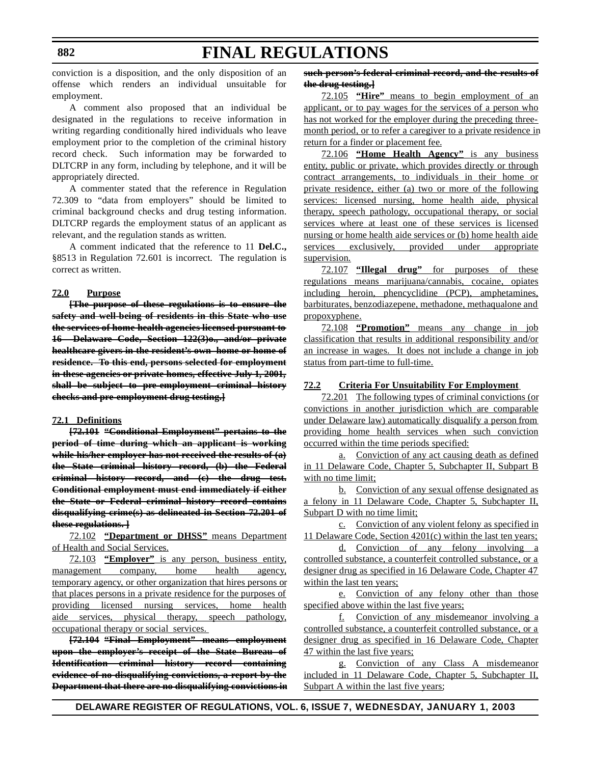conviction is a disposition, and the only disposition of an offense which renders an individual unsuitable for employment.

A comment also proposed that an individual be designated in the regulations to receive information in writing regarding conditionally hired individuals who leave employment prior to the completion of the criminal history record check. Such information may be forwarded to DLTCRP in any form, including by telephone, and it will be appropriately directed.

A commenter stated that the reference in Regulation 72.309 to "data from employers" should be limited to criminal background checks and drug testing information. DLTCRP regards the employment status of an applicant as relevant, and the regulation stands as written.

A comment indicated that the reference to 11 **Del.C.,** §8513 in Regulation 72.601 is incorrect. The regulation is correct as written.

#### **72.0 Purpose**

**[The purpose of these regulations is to ensure the safety and well-being of residents in this State who use the services of home health agencies licensed pursuant to 16 Delaware Code, Section 122(3)o., and/or private healthcare givers in the resident's own home or home of residence. To this end, persons selected for employment in these agencies or private homes, effective July 1, 2001, shall be subject to pre-employment criminal history checks and pre-employment drug testing.]**

#### **72.1 Definitions**

**[72.101 "Conditional Employment" pertains to the period of time during which an applicant is working while his/her employer has not received the results of (a) the State criminal history record, (b) the Federal criminal history record, and (c) the drug test. Conditional employment must end immediately if either the State or Federal criminal history record contains disqualifying crime(s) as delineated in Section 72.201 of these regulations. ]**

72.102 **"Department or DHSS"** means Department of Health and Social Services.

72.103 **"Employer"** is any person, business entity, management company, home health agency, temporary agency, or other organization that hires persons or that places persons in a private residence for the purposes of providing licensed nursing services, home health aide services, physical therapy, speech pathology, occupational therapy or social services.

**[72.104 "Final Employment" means employment upon the employer's receipt of the State Bureau of Identification criminal history record containing evidence of no disqualifying convictions, a report by the Department that there are no disqualifying convictions in**

### **such person's federal criminal record, and the results of the drug testing.]**

72.105 **"Hire"** means to begin employment of an applicant, or to pay wages for the services of a person who has not worked for the employer during the preceding threemonth period, or to refer a caregiver to a private residence in return for a finder or placement fee.

72.106 **"Home Health Agency"** is any business entity, public or private, which provides directly or through contract arrangements, to individuals in their home or private residence, either (a) two or more of the following services: licensed nursing, home health aide, physical therapy, speech pathology, occupational therapy, or social services where at least one of these services is licensed nursing or home health aide services or (b) home health aide services exclusively, provided under appropriate supervision.

72.107 **"Illegal drug"** for purposes of these regulations means marijuana/cannabis, cocaine, opiates including heroin, phencyclidine (PCP), amphetamines, barbiturates, benzodiazepene, methadone, methaqualone and propoxyphene.

72.108 **"Promotion"** means any change in job classification that results in additional responsibility and/or an increase in wages. It does not include a change in job status from part-time to full-time.

#### **72.2 Criteria For Unsuitability For Employment**

72.201 The following types of criminal convictions (or convictions in another jurisdiction which are comparable under Delaware law) automatically disqualify a person from providing home health services when such conviction occurred within the time periods specified:

a. Conviction of any act causing death as defined in 11 Delaware Code, Chapter 5, Subchapter II, Subpart B with no time limit;

b. Conviction of any sexual offense designated as a felony in 11 Delaware Code, Chapter 5, Subchapter II, Subpart D with no time limit;

c. Conviction of any violent felony as specified in 11 Delaware Code, Section 4201(c) within the last ten years;

d. Conviction of any felony involving a controlled substance, a counterfeit controlled substance, or a designer drug as specified in 16 Delaware Code, Chapter 47 within the last ten years;

e. Conviction of any felony other than those specified above within the last five years;

f. Conviction of any misdemeanor involving a controlled substance, a counterfeit controlled substance, or a designer drug as specified in 16 Delaware Code, Chapter 47 within the last five years;

g. Conviction of any Class A misdemeanor included in 11 Delaware Code, Chapter 5, Subchapter II, Subpart A within the last five years;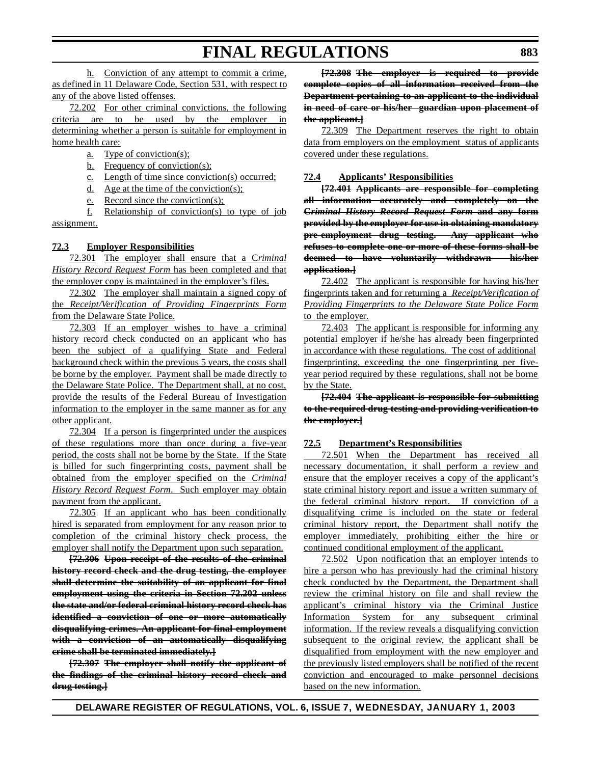h. Conviction of any attempt to commit a crime, as defined in 11 Delaware Code, Section 531, with respect to any of the above listed offenses.

72.202 For other criminal convictions, the following criteria are to be used by the employer in determining whether a person is suitable for employment in home health care:

a. Type of conviction(s);

- b. Frequency of conviction(s);
- c. Length of time since conviction(s) occurred;
- d. Age at the time of the conviction(s);
- e. Record since the conviction(s);

f. Relationship of conviction(s) to type of job assignment.

#### **72.3 Employer Responsibilities**

72.301 The employer shall ensure that a C*riminal History Record Request Form* has been completed and that the employer copy is maintained in the employer's files.

72.302 The employer shall maintain a signed copy of the *Receipt/Verification of Providing Fingerprints Form* from the Delaware State Police.

72.303 If an employer wishes to have a criminal history record check conducted on an applicant who has been the subject of a qualifying State and Federal background check within the previous 5 years, the costs shall be borne by the employer. Payment shall be made directly to the Delaware State Police. The Department shall, at no cost, provide the results of the Federal Bureau of Investigation information to the employer in the same manner as for any other applicant.

72.304 If a person is fingerprinted under the auspices of these regulations more than once during a five-year period, the costs shall not be borne by the State. If the State is billed for such fingerprinting costs, payment shall be obtained from the employer specified on the *Criminal History Record Request Form*. Such employer may obtain payment from the applicant.

72.305 If an applicant who has been conditionally hired is separated from employment for any reason prior to completion of the criminal history check process, the employer shall notify the Department upon such separation.

**[72.306 Upon receipt of the results of the criminal history record check and the drug testing, the employer shall determine the suitability of an applicant for final employment using the criteria in Section 72.202 unless the state and/or federal criminal history record check has identified a conviction of one or more automatically disqualifying crimes. An applicant for final employment with a conviction of an automatically disqualifying crime shall be terminated immediately.]**

**[72.307 The employer shall notify the applicant of the findings of the criminal history record check and drug testing.]**

**[72.308 The employer is required to provide complete copies of all information received from the Department pertaining to an applicant to the individual in need of care or his/her guardian upon placement of the applicant.]**

72.309 The Department reserves the right to obtain data from employers on the employment status of applicants covered under these regulations.

#### **72.4 Applicants' Responsibilities**

**[72.401 Applicants are responsible for completing all information accurately and completely on the C***riminal History Record Request Form* **and any form provided by the employer for use in obtaining mandatory pre-employment drug testing. Any applicant who refuses to complete one or more of these forms shall be deemed to have voluntarily withdrawn his/her application.]**

72.402 The applicant is responsible for having his/her fingerprints taken and for returning a *Receipt/Verification of Providing Fingerprints to the Delaware State Police Form* to the employer.

72.403 The applicant is responsible for informing any potential employer if he/she has already been fingerprinted in accordance with these regulations. The cost of additional fingerprinting, exceeding the one fingerprinting per fiveyear period required by these regulations, shall not be borne by the State.

**[72.404 The applicant is responsible for submitting to the required drug testing and providing verification to the employer.]**

#### **72.5 Department's Responsibilities**

72.501 When the Department has received all necessary documentation, it shall perform a review and ensure that the employer receives a copy of the applicant's state criminal history report and issue a written summary of the federal criminal history report. If conviction of a disqualifying crime is included on the state or federal criminal history report, the Department shall notify the employer immediately, prohibiting either the hire or continued conditional employment of the applicant.

72.502 Upon notification that an employer intends to hire a person who has previously had the criminal history check conducted by the Department, the Department shall review the criminal history on file and shall review the applicant's criminal history via the Criminal Justice Information System for any subsequent criminal information. If the review reveals a disqualifying conviction subsequent to the original review, the applicant shall be disqualified from employment with the new employer and the previously listed employers shall be notified of the recent conviction and encouraged to make personnel decisions based on the new information.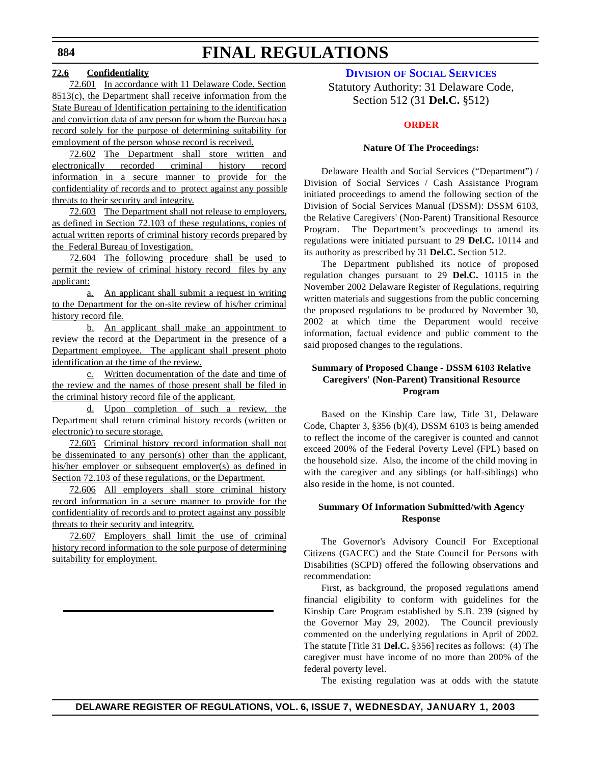### **72.6 Confidentiality**

72.601 In accordance with 11 Delaware Code, Section 8513(c), the Department shall receive information from the State Bureau of Identification pertaining to the identification and conviction data of any person for whom the Bureau has a record solely for the purpose of determining suitability for employment of the person whose record is received.

72.602 The Department shall store written and electronically recorded criminal history record information in a secure manner to provide for the confidentiality of records and to protect against any possible threats to their security and integrity.

72.603 The Department shall not release to employers, as defined in Section 72.103 of these regulations, copies of actual written reports of criminal history records prepared by the Federal Bureau of Investigation.

72.604 The following procedure shall be used to permit the review of criminal history record files by any applicant:

a. An applicant shall submit a request in writing to the Department for the on-site review of his/her criminal history record file.

b. An applicant shall make an appointment to review the record at the Department in the presence of a Department employee. The applicant shall present photo identification at the time of the review.

c. Written documentation of the date and time of the review and the names of those present shall be filed in the criminal history record file of the applicant.

d. Upon completion of such a review, the Department shall return criminal history records (written or electronic) to secure storage.

72.605 Criminal history record information shall not be disseminated to any person(s) other than the applicant, his/her employer or subsequent employer(s) as defined in Section 72.103 of these regulations, or the Department.

72.606 All employers shall store criminal history record information in a secure manner to provide for the confidentiality of records and to protect against any possible threats to their security and integrity.

72.607 Employers shall limit the use of criminal history record information to the sole purpose of determining suitability for employment.

**DIVISION OF SOCIAL [SERVICES](http://www.state.de.us/dhss/dss/dsshome.html)**

Statutory Authority: 31 Delaware Code, Section 512 (31 **Del.C.** §512)

#### **[ORDER](#page-3-0)**

#### **Nature Of The Proceedings:**

Delaware Health and Social Services ("Department") / Division of Social Services / Cash Assistance Program initiated proceedings to amend the following section of the Division of Social Services Manual (DSSM): DSSM 6103, the Relative Caregivers' (Non-Parent) Transitional Resource Program. The Department's proceedings to amend its regulations were initiated pursuant to 29 **Del.C.** 10114 and its authority as prescribed by 31 **Del.C.** Section 512.

The Department published its notice of proposed regulation changes pursuant to 29 **Del.C.** 10115 in the November 2002 Delaware Register of Regulations, requiring written materials and suggestions from the public concerning the proposed regulations to be produced by November 30, 2002 at which time the Department would receive information, factual evidence and public comment to the said proposed changes to the regulations.

### **Summary of Proposed Change - DSSM 6103 Relative Caregivers' (Non-Parent) Transitional Resource Program**

Based on the Kinship Care law, Title 31, Delaware Code, Chapter 3, §356 (b)(4), DSSM 6103 is being amended to reflect the income of the caregiver is counted and cannot exceed 200% of the Federal Poverty Level (FPL) based on the household size. Also, the income of the child moving in with the caregiver and any siblings (or half-siblings) who also reside in the home, is not counted.

#### **Summary Of Information Submitted/with Agency Response**

The Governor's Advisory Council For Exceptional Citizens (GACEC) and the State Council for Persons with Disabilities (SCPD) offered the following observations and recommendation:

First, as background, the proposed regulations amend financial eligibility to conform with guidelines for the Kinship Care Program established by S.B. 239 (signed by the Governor May 29, 2002). The Council previously commented on the underlying regulations in April of 2002. The statute [Title 31 **Del.C.** §356] recites as follows: (4) The caregiver must have income of no more than 200% of the federal poverty level.

The existing regulation was at odds with the statute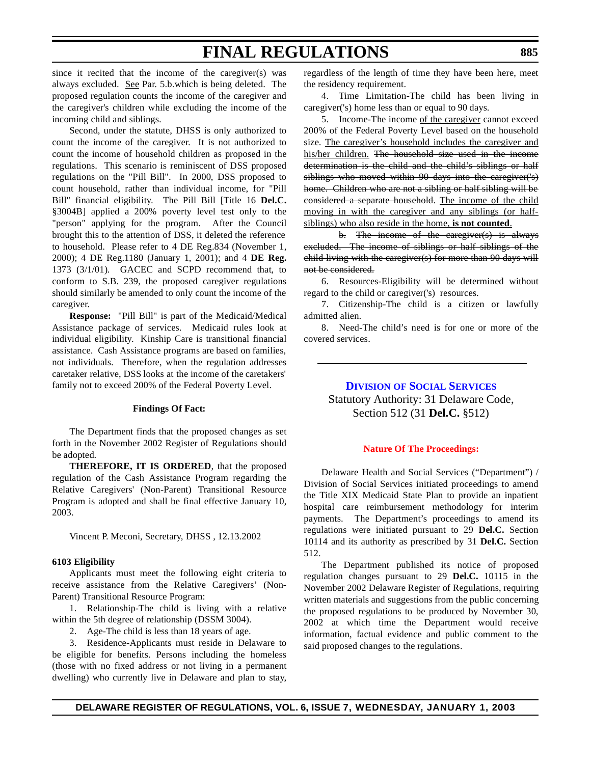since it recited that the income of the caregiver(s) was always excluded. See Par. 5.b.which is being deleted. The proposed regulation counts the income of the caregiver and the caregiver's children while excluding the income of the incoming child and siblings.

Second, under the statute, DHSS is only authorized to count the income of the caregiver. It is not authorized to count the income of household children as proposed in the regulations. This scenario is reminiscent of DSS proposed regulations on the "Pill Bill". In 2000, DSS proposed to count household, rather than individual income, for "Pill Bill" financial eligibility. The Pill Bill [Title 16 **Del.C.** §3004B] applied a 200% poverty level test only to the "person" applying for the program. After the Council brought this to the attention of DSS, it deleted the reference to household. Please refer to 4 DE Reg.834 (November 1, 2000); 4 DE Reg.1180 (January 1, 2001); and 4 **DE Reg.** 1373 (3/1/01). GACEC and SCPD recommend that, to conform to S.B. 239, the proposed caregiver regulations should similarly be amended to only count the income of the caregiver.

**Response:** "Pill Bill" is part of the Medicaid/Medical Assistance package of services. Medicaid rules look at individual eligibility. Kinship Care is transitional financial assistance. Cash Assistance programs are based on families, not individuals. Therefore, when the regulation addresses caretaker relative, DSS looks at the income of the caretakers' family not to exceed 200% of the Federal Poverty Level.

#### **Findings Of Fact:**

The Department finds that the proposed changes as set forth in the November 2002 Register of Regulations should be adopted.

**THEREFORE, IT IS ORDERED**, that the proposed regulation of the Cash Assistance Program regarding the Relative Caregivers' (Non-Parent) Transitional Resource Program is adopted and shall be final effective January 10, 2003.

Vincent P. Meconi, Secretary, DHSS , 12.13.2002

#### **6103 Eligibility**

Applicants must meet the following eight criteria to receive assistance from the Relative Caregivers' (Non-Parent) Transitional Resource Program:

1. Relationship-The child is living with a relative within the 5th degree of relationship (DSSM 3004).

2. Age-The child is less than 18 years of age.

3. Residence-Applicants must reside in Delaware to be eligible for benefits. Persons including the homeless (those with no fixed address or not living in a permanent dwelling) who currently live in Delaware and plan to stay, regardless of the length of time they have been here, meet the residency requirement.

4. Time Limitation-The child has been living in caregiver('s) home less than or equal to 90 days.

5. Income-The income of the caregiver cannot exceed 200% of the Federal Poverty Level based on the household size. The caregiver's household includes the caregiver and his/her children. The household size used in the income determination is the child and the child's siblings or half siblings who moved within 90 days into the caregiver('s) home. Children who are not a sibling or half sibling will be considered a separate household. The income of the child moving in with the caregiver and any siblings (or halfsiblings) who also reside in the home, **is not counted**.

b. The income of the caregiver(s) is always excluded. The income of siblings or half siblings of the child living with the caregiver(s) for more than 90 days will not be considered.

6. Resources-Eligibility will be determined without regard to the child or caregiver('s) resources.

7. Citizenship-The child is a citizen or lawfully admitted alien.

8. Need-The child's need is for one or more of the covered services.

> **DIVISION OF SOCIAL [SERVICES](http://www.state.de.us/dhss/dss/dsshome.html)** Statutory Authority: 31 Delaware Code, Section 512 (31 **Del.C.** §512)

#### **Nature Of [The Proceedings:](#page-3-0)**

Delaware Health and Social Services ("Department") / Division of Social Services initiated proceedings to amend the Title XIX Medicaid State Plan to provide an inpatient hospital care reimbursement methodology for interim payments. The Department's proceedings to amend its regulations were initiated pursuant to 29 **Del.C.** Section 10114 and its authority as prescribed by 31 **Del.C.** Section 512.

The Department published its notice of proposed regulation changes pursuant to 29 **Del.C.** 10115 in the November 2002 Delaware Register of Regulations, requiring written materials and suggestions from the public concerning the proposed regulations to be produced by November 30, 2002 at which time the Department would receive information, factual evidence and public comment to the said proposed changes to the regulations.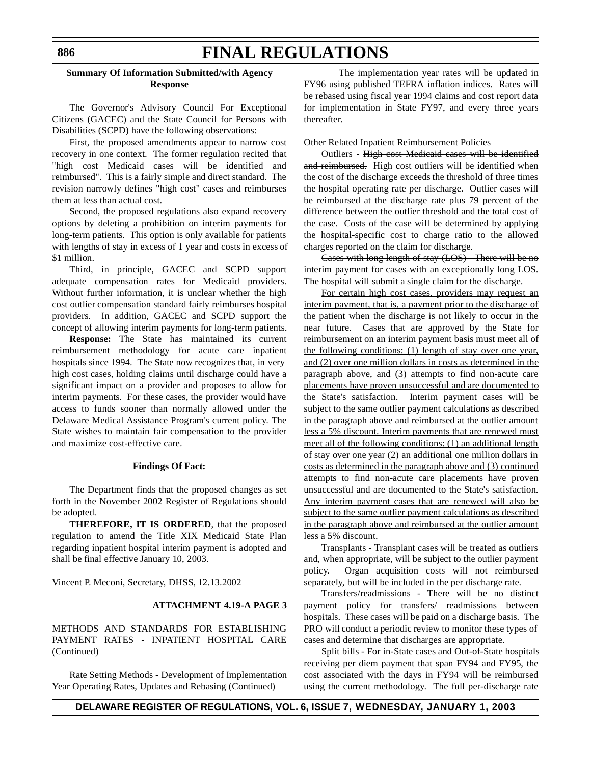### **Summary Of Information Submitted/with Agency Response**

The Governor's Advisory Council For Exceptional Citizens (GACEC) and the State Council for Persons with Disabilities (SCPD) have the following observations:

First, the proposed amendments appear to narrow cost recovery in one context. The former regulation recited that "high cost Medicaid cases will be identified and reimbursed". This is a fairly simple and direct standard. The revision narrowly defines "high cost" cases and reimburses them at less than actual cost.

Second, the proposed regulations also expand recovery options by deleting a prohibition on interim payments for long-term patients. This option is only available for patients with lengths of stay in excess of 1 year and costs in excess of \$1 million.

Third, in principle, GACEC and SCPD support adequate compensation rates for Medicaid providers. Without further information, it is unclear whether the high cost outlier compensation standard fairly reimburses hospital providers. In addition, GACEC and SCPD support the concept of allowing interim payments for long-term patients.

**Response:** The State has maintained its current reimbursement methodology for acute care inpatient hospitals since 1994. The State now recognizes that, in very high cost cases, holding claims until discharge could have a significant impact on a provider and proposes to allow for interim payments. For these cases, the provider would have access to funds sooner than normally allowed under the Delaware Medical Assistance Program's current policy. The State wishes to maintain fair compensation to the provider and maximize cost-effective care.

#### **Findings Of Fact:**

The Department finds that the proposed changes as set forth in the November 2002 Register of Regulations should be adopted.

**THEREFORE, IT IS ORDERED**, that the proposed regulation to amend the Title XIX Medicaid State Plan regarding inpatient hospital interim payment is adopted and shall be final effective January 10, 2003.

Vincent P. Meconi, Secretary, DHSS, 12.13.2002

### **ATTACHMENT 4.19-A PAGE 3**

METHODS AND STANDARDS FOR ESTABLISHING PAYMENT RATES - INPATIENT HOSPITAL CARE (Continued)

Rate Setting Methods - Development of Implementation Year Operating Rates, Updates and Rebasing (Continued)

The implementation year rates will be updated in FY96 using published TEFRA inflation indices. Rates will be rebased using fiscal year 1994 claims and cost report data for implementation in State FY97, and every three years thereafter.

Other Related Inpatient Reimbursement Policies

Outliers - High cost Medicaid cases will be identified and reimbursed. High cost outliers will be identified when the cost of the discharge exceeds the threshold of three times the hospital operating rate per discharge. Outlier cases will be reimbursed at the discharge rate plus 79 percent of the difference between the outlier threshold and the total cost of the case. Costs of the case will be determined by applying the hospital-specific cost to charge ratio to the allowed charges reported on the claim for discharge.

Cases with long length of stay (LOS) - There will be no interim payment for cases with an exceptionally long LOS. The hospital will submit a single claim for the discharge.

For certain high cost cases, providers may request an interim payment, that is, a payment prior to the discharge of the patient when the discharge is not likely to occur in the near future. Cases that are approved by the State for reimbursement on an interim payment basis must meet all of the following conditions: (1) length of stay over one year, and (2) over one million dollars in costs as determined in the paragraph above, and (3) attempts to find non-acute care placements have proven unsuccessful and are documented to the State's satisfaction. Interim payment cases will be subject to the same outlier payment calculations as described in the paragraph above and reimbursed at the outlier amount less a 5% discount. Interim payments that are renewed must meet all of the following conditions: (1) an additional length of stay over one year (2) an additional one million dollars in costs as determined in the paragraph above and (3) continued attempts to find non-acute care placements have proven unsuccessful and are documented to the State's satisfaction. Any interim payment cases that are renewed will also be subject to the same outlier payment calculations as described in the paragraph above and reimbursed at the outlier amount less a 5% discount.

Transplants - Transplant cases will be treated as outliers and, when appropriate, will be subject to the outlier payment policy. Organ acquisition costs will not reimbursed separately, but will be included in the per discharge rate.

Transfers/readmissions - There will be no distinct payment policy for transfers/ readmissions between hospitals. These cases will be paid on a discharge basis. The PRO will conduct a periodic review to monitor these types of cases and determine that discharges are appropriate.

Split bills - For in-State cases and Out-of-State hospitals receiving per diem payment that span FY94 and FY95, the cost associated with the days in FY94 will be reimbursed using the current methodology. The full per-discharge rate

**DELAWARE REGISTER OF REGULATIONS, VOL. 6, ISSUE 7, WEDNESDAY, JANUARY 1, 2003**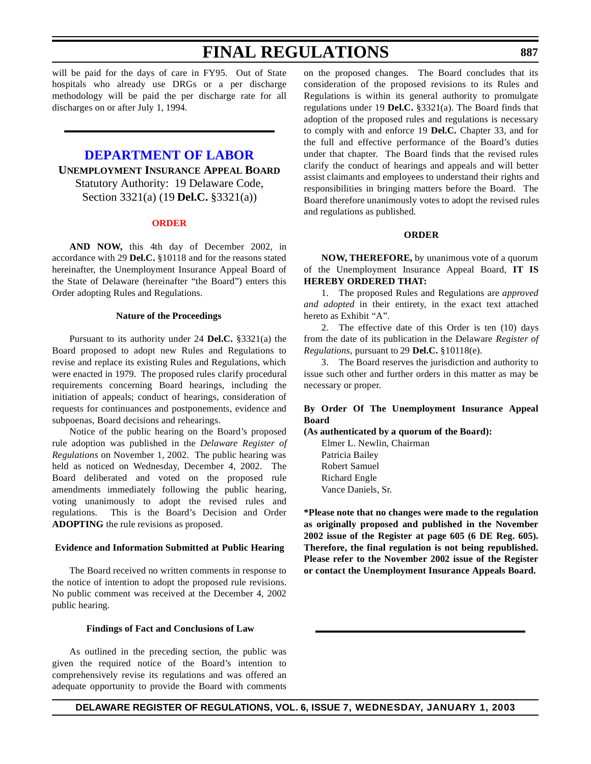will be paid for the days of care in FY95. Out of State hospitals who already use DRGs or a per discharge methodology will be paid the per discharge rate for all discharges on or after July 1, 1994.

### **[DEPARTMENT OF](http://www.delawareworks.com/divisions/unemployment/welcome.htm) LABOR UNEMPLOYMENT INSURANCE APPEAL BOARD** Statutory Authority: 19 Delaware Code, Section 3321(a) (19 **Del.C.** §3321(a))

#### **[ORDER](#page-3-0)**

**AND NOW,** this 4th day of December 2002, in accordance with 29 **Del.C.** §10118 and for the reasons stated hereinafter, the Unemployment Insurance Appeal Board of the State of Delaware (hereinafter "the Board") enters this Order adopting Rules and Regulations.

#### **Nature of the Proceedings**

Pursuant to its authority under 24 **Del.C.** §3321(a) the Board proposed to adopt new Rules and Regulations to revise and replace its existing Rules and Regulations, which were enacted in 1979. The proposed rules clarify procedural requirements concerning Board hearings, including the initiation of appeals; conduct of hearings, consideration of requests for continuances and postponements, evidence and subpoenas, Board decisions and rehearings.

 Notice of the public hearing on the Board's proposed rule adoption was published in the *Delaware Register of Regulations* on November 1, 2002. The public hearing was held as noticed on Wednesday, December 4, 2002. The Board deliberated and voted on the proposed rule amendments immediately following the public hearing, voting unanimously to adopt the revised rules and regulations. This is the Board's Decision and Order **ADOPTING** the rule revisions as proposed.

#### **Evidence and Information Submitted at Public Hearing**

The Board received no written comments in response to the notice of intention to adopt the proposed rule revisions. No public comment was received at the December 4, 2002 public hearing.

#### **Findings of Fact and Conclusions of Law**

As outlined in the preceding section, the public was given the required notice of the Board's intention to comprehensively revise its regulations and was offered an adequate opportunity to provide the Board with comments on the proposed changes. The Board concludes that its consideration of the proposed revisions to its Rules and Regulations is within its general authority to promulgate regulations under 19 **Del.C.** §3321(a). The Board finds that adoption of the proposed rules and regulations is necessary to comply with and enforce 19 **Del.C.** Chapter 33, and for the full and effective performance of the Board's duties under that chapter. The Board finds that the revised rules clarify the conduct of hearings and appeals and will better assist claimants and employees to understand their rights and responsibilities in bringing matters before the Board. The Board therefore unanimously votes to adopt the revised rules and regulations as published.

#### **ORDER**

**NOW, THEREFORE,** by unanimous vote of a quorum of the Unemployment Insurance Appeal Board, **IT IS HEREBY ORDERED THAT:**

1. The proposed Rules and Regulations are *approved and adopted* in their entirety, in the exact text attached hereto as Exhibit "A".

2. The effective date of this Order is ten (10) days from the date of its publication in the Delaware *Register of Regulations*, pursuant to 29 **Del.C.** §10118(e).

3. The Board reserves the jurisdiction and authority to issue such other and further orders in this matter as may be necessary or proper.

### **By Order Of The Unemployment Insurance Appeal Board**

#### **(As authenticated by a quorum of the Board):**

Elmer L. Newlin, Chairman Patricia Bailey Robert Samuel Richard Engle Vance Daniels, Sr.

**\*Please note that no changes were made to the regulation as originally proposed and published in the November 2002 issue of the Register at page 605 (6 DE Reg. 605). Therefore, the final regulation is not being republished. Please refer to the November 2002 issue of the Register or contact the Unemployment Insurance Appeals Board.**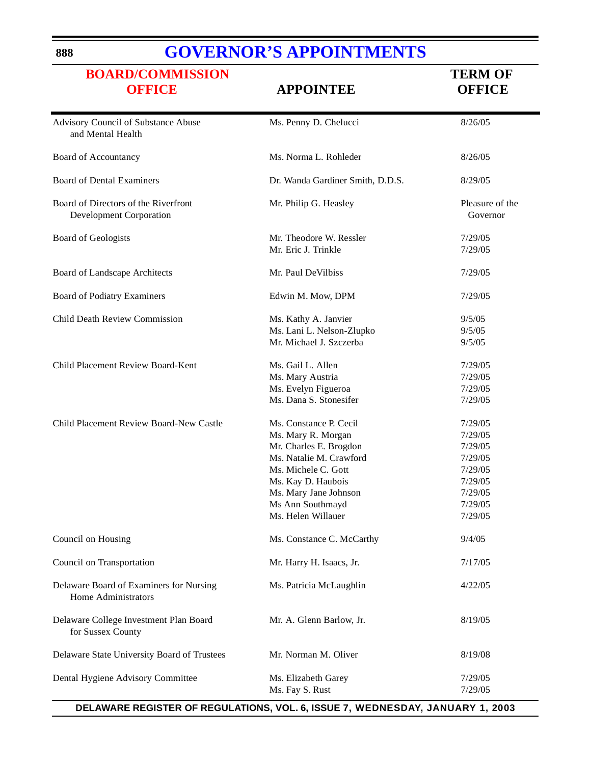### **888**

# **GOVERNOR'S [APPOINTMENTS](http://www.state.de.us/governor/index.htm)**

| <b>BOARD/COMMISSION</b><br><b>OFFICE</b>                               | <b>APPOINTEE</b>                                                                                                                                                                                                  | <b>TERM OF</b><br><b>OFFICE</b>                                                                 |
|------------------------------------------------------------------------|-------------------------------------------------------------------------------------------------------------------------------------------------------------------------------------------------------------------|-------------------------------------------------------------------------------------------------|
| Advisory Council of Substance Abuse<br>and Mental Health               | Ms. Penny D. Chelucci                                                                                                                                                                                             | 8/26/05                                                                                         |
| Board of Accountancy                                                   | Ms. Norma L. Rohleder                                                                                                                                                                                             | 8/26/05                                                                                         |
| <b>Board of Dental Examiners</b>                                       | Dr. Wanda Gardiner Smith, D.D.S.                                                                                                                                                                                  | 8/29/05                                                                                         |
| Board of Directors of the Riverfront<br><b>Development Corporation</b> | Mr. Philip G. Heasley                                                                                                                                                                                             | Pleasure of the<br>Governor                                                                     |
| <b>Board of Geologists</b>                                             | Mr. Theodore W. Ressler<br>Mr. Eric J. Trinkle                                                                                                                                                                    | 7/29/05<br>7/29/05                                                                              |
| Board of Landscape Architects                                          | Mr. Paul DeVilbiss                                                                                                                                                                                                | 7/29/05                                                                                         |
| <b>Board of Podiatry Examiners</b>                                     | Edwin M. Mow, DPM                                                                                                                                                                                                 | 7/29/05                                                                                         |
| Child Death Review Commission                                          | Ms. Kathy A. Janvier<br>Ms. Lani L. Nelson-Zlupko<br>Mr. Michael J. Szczerba                                                                                                                                      | 9/5/05<br>9/5/05<br>9/5/05                                                                      |
| Child Placement Review Board-Kent                                      | Ms. Gail L. Allen<br>Ms. Mary Austria<br>Ms. Evelyn Figueroa<br>Ms. Dana S. Stonesifer                                                                                                                            | 7/29/05<br>7/29/05<br>7/29/05<br>7/29/05                                                        |
| Child Placement Review Board-New Castle                                | Ms. Constance P. Cecil<br>Ms. Mary R. Morgan<br>Mr. Charles E. Brogdon<br>Ms. Natalie M. Crawford<br>Ms. Michele C. Gott<br>Ms. Kay D. Haubois<br>Ms. Mary Jane Johnson<br>Ms Ann Southmayd<br>Ms. Helen Willauer | 7/29/05<br>7/29/05<br>7/29/05<br>7/29/05<br>7/29/05<br>7/29/05<br>7/29/05<br>7/29/05<br>7/29/05 |
| Council on Housing                                                     | Ms. Constance C. McCarthy                                                                                                                                                                                         | 9/4/05                                                                                          |
| Council on Transportation                                              | Mr. Harry H. Isaacs, Jr.                                                                                                                                                                                          | 7/17/05                                                                                         |
| Delaware Board of Examiners for Nursing<br>Home Administrators         | Ms. Patricia McLaughlin                                                                                                                                                                                           | 4/22/05                                                                                         |
| Delaware College Investment Plan Board<br>for Sussex County            | Mr. A. Glenn Barlow, Jr.                                                                                                                                                                                          | 8/19/05                                                                                         |
| Delaware State University Board of Trustees                            | Mr. Norman M. Oliver                                                                                                                                                                                              | 8/19/08                                                                                         |
| Dental Hygiene Advisory Committee                                      | Ms. Elizabeth Garey<br>Ms. Fay S. Rust                                                                                                                                                                            | 7/29/05<br>7/29/05                                                                              |

**DELAWARE REGISTER OF REGULATIONS, VOL. 6, ISSUE 7, WEDNESDAY, JANUARY 1, 2003**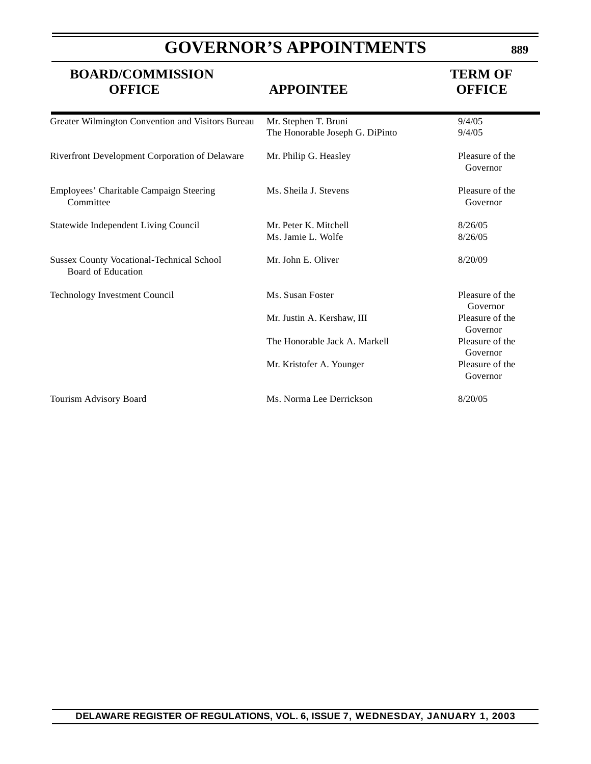# **GOVERNOR'S APPOINTMENTS**

**BOARD/COMMISSION TERM OF**

| <b>OFFICE</b>                                                                 | <b>APPOINTEE</b>                                        | <b>OFFICE</b>               |
|-------------------------------------------------------------------------------|---------------------------------------------------------|-----------------------------|
| Greater Wilmington Convention and Visitors Bureau                             | Mr. Stephen T. Bruni<br>The Honorable Joseph G. DiPinto | 9/4/05<br>9/4/05            |
| Riverfront Development Corporation of Delaware                                | Mr. Philip G. Heasley                                   | Pleasure of the<br>Governor |
| Employees' Charitable Campaign Steering<br>Committee                          | Ms. Sheila J. Stevens                                   | Pleasure of the<br>Governor |
| Statewide Independent Living Council                                          | Mr. Peter K. Mitchell<br>Ms. Jamie L. Wolfe             | 8/26/05<br>8/26/05          |
| <b>Sussex County Vocational-Technical School</b><br><b>Board of Education</b> | Mr. John E. Oliver                                      | 8/20/09                     |
| Technology Investment Council                                                 | Ms. Susan Foster                                        | Pleasure of the<br>Governor |
|                                                                               | Mr. Justin A. Kershaw, III                              | Pleasure of the<br>Governor |
|                                                                               | The Honorable Jack A. Markell                           | Pleasure of the<br>Governor |
|                                                                               | Mr. Kristofer A. Younger                                | Pleasure of the<br>Governor |
| Tourism Advisory Board                                                        | Ms. Norma Lee Derrickson                                | 8/20/05                     |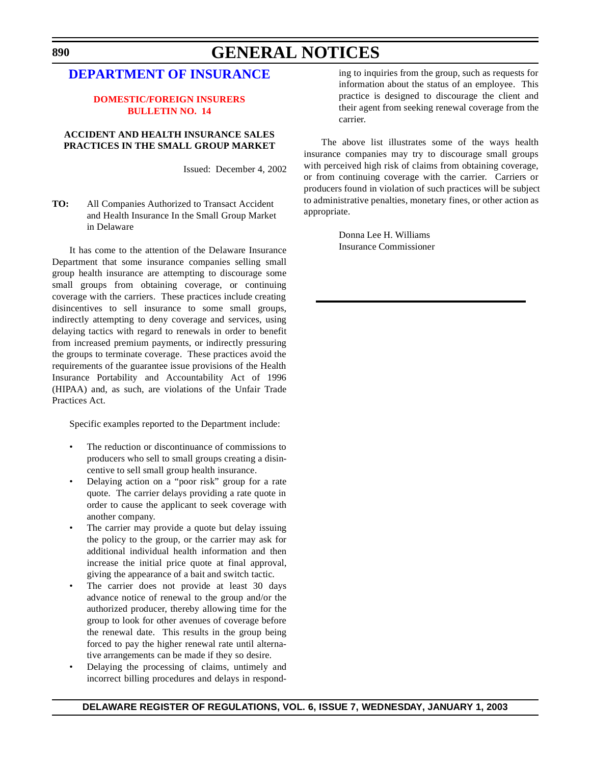# **GENERAL NOTICES**

### **[DEPARTMENT OF](http://www.state.de.us/inscom/) INSURANCE**

#### **[DOMESTIC/FOREIGN INSURERS](#page-3-0) BULLETIN NO. 14**

### **ACCIDENT AND HEALTH INSURANCE SALES PRACTICES IN THE SMALL GROUP MARKET**

Issued: December 4, 2002

**TO:** All Companies Authorized to Transact Accident and Health Insurance In the Small Group Market in Delaware

It has come to the attention of the Delaware Insurance Department that some insurance companies selling small group health insurance are attempting to discourage some small groups from obtaining coverage, or continuing coverage with the carriers. These practices include creating disincentives to sell insurance to some small groups, indirectly attempting to deny coverage and services, using delaying tactics with regard to renewals in order to benefit from increased premium payments, or indirectly pressuring the groups to terminate coverage. These practices avoid the requirements of the guarantee issue provisions of the Health Insurance Portability and Accountability Act of 1996 (HIPAA) and, as such, are violations of the Unfair Trade Practices Act.

Specific examples reported to the Department include:

- The reduction or discontinuance of commissions to producers who sell to small groups creating a disincentive to sell small group health insurance.
- Delaying action on a "poor risk" group for a rate quote. The carrier delays providing a rate quote in order to cause the applicant to seek coverage with another company.
- The carrier may provide a quote but delay issuing the policy to the group, or the carrier may ask for additional individual health information and then increase the initial price quote at final approval, giving the appearance of a bait and switch tactic.
- The carrier does not provide at least 30 days advance notice of renewal to the group and/or the authorized producer, thereby allowing time for the group to look for other avenues of coverage before the renewal date. This results in the group being forced to pay the higher renewal rate until alternative arrangements can be made if they so desire.
- Delaying the processing of claims, untimely and incorrect billing procedures and delays in respond-

ing to inquiries from the group, such as requests for information about the status of an employee. This practice is designed to discourage the client and their agent from seeking renewal coverage from the carrier.

The above list illustrates some of the ways health insurance companies may try to discourage small groups with perceived high risk of claims from obtaining coverage, or from continuing coverage with the carrier. Carriers or producers found in violation of such practices will be subject to administrative penalties, monetary fines, or other action as appropriate.

> Donna Lee H. Williams Insurance Commissioner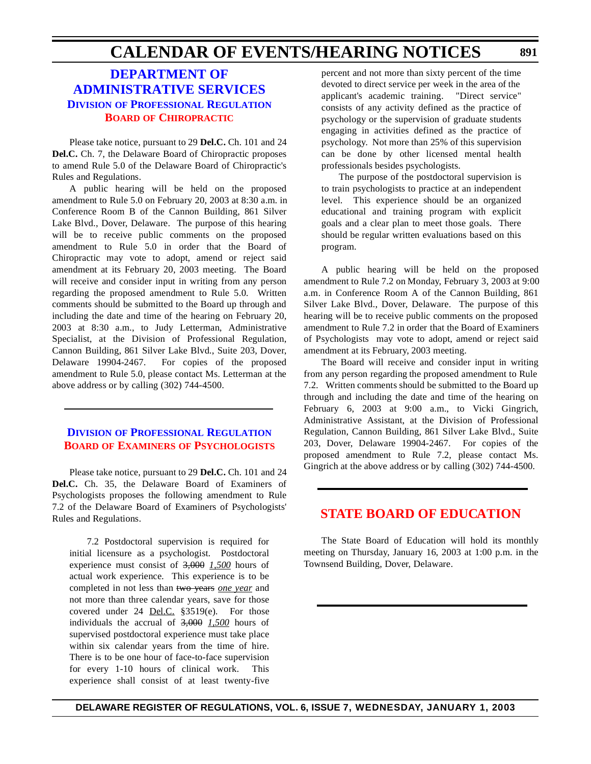## **CALENDAR OF EVENTS/HEARING NOTICES**

### **DEPARTMENT OF [ADMINISTRATIVE SERVICES](http://www.professionallicensing.state.de.us/index.shtml) DIVISION OF PROFESSIONAL REGULATION BOARD OF [CHIROPRACTIC](#page-3-0)**

Please take notice, pursuant to 29 **Del.C.** Ch. 101 and 24 **Del.C.** Ch. 7, the Delaware Board of Chiropractic proposes to amend Rule 5.0 of the Delaware Board of Chiropractic's Rules and Regulations.

A public hearing will be held on the proposed amendment to Rule 5.0 on February 20, 2003 at 8:30 a.m. in Conference Room B of the Cannon Building, 861 Silver Lake Blvd., Dover, Delaware. The purpose of this hearing will be to receive public comments on the proposed amendment to Rule 5.0 in order that the Board of Chiropractic may vote to adopt, amend or reject said amendment at its February 20, 2003 meeting. The Board will receive and consider input in writing from any person regarding the proposed amendment to Rule 5.0. Written comments should be submitted to the Board up through and including the date and time of the hearing on February 20, 2003 at 8:30 a.m., to Judy Letterman, Administrative Specialist, at the Division of Professional Regulation, Cannon Building, 861 Silver Lake Blvd., Suite 203, Dover, Delaware 19904-2467. For copies of the proposed amendment to Rule 5.0, please contact Ms. Letterman at the above address or by calling (302) 744-4500.

### **DIVISION OF [PROFESSIONAL](http://www.professionallicensing.state.de.us/index.shtml) REGULATION BOARD OF EXAMINERS OF [PSYCHOLOGISTS](#page-3-0)**

Please take notice, pursuant to 29 **Del.C.** Ch. 101 and 24 **Del.C.** Ch. 35, the Delaware Board of Examiners of Psychologists proposes the following amendment to Rule 7.2 of the Delaware Board of Examiners of Psychologists' Rules and Regulations.

7.2 Postdoctoral supervision is required for initial licensure as a psychologist. Postdoctoral experience must consist of 3,000 *1,500* hours of actual work experience. This experience is to be completed in not less than two years *one year* and not more than three calendar years, save for those covered under 24 <u>Del.C.</u> §3519(e). For those individuals the accrual of 3,000 *1,500* hours of supervised postdoctoral experience must take place within six calendar years from the time of hire. There is to be one hour of face-to-face supervision for every 1-10 hours of clinical work. This experience shall consist of at least twenty-five

percent and not more than sixty percent of the time devoted to direct service per week in the area of the applicant's academic training. "Direct service" consists of any activity defined as the practice of psychology or the supervision of graduate students engaging in activities defined as the practice of psychology. Not more than 25% of this supervision can be done by other licensed mental health professionals besides psychologists.

The purpose of the postdoctoral supervision is to train psychologists to practice at an independent level. This experience should be an organized educational and training program with explicit goals and a clear plan to meet those goals. There should be regular written evaluations based on this program.

A public hearing will be held on the proposed amendment to Rule 7.2 on Monday, February 3, 2003 at 9:00 a.m. in Conference Room A of the Cannon Building, 861 Silver Lake Blvd., Dover, Delaware. The purpose of this hearing will be to receive public comments on the proposed amendment to Rule 7.2 in order that the Board of Examiners of Psychologists may vote to adopt, amend or reject said amendment at its February, 2003 meeting.

The Board will receive and consider input in writing from any person regarding the proposed amendment to Rule 7.2. Written comments should be submitted to the Board up through and including the date and time of the hearing on February 6, 2003 at 9:00 a.m., to Vicki Gingrich, Administrative Assistant, at the Division of Professional Regulation, Cannon Building, 861 Silver Lake Blvd., Suite 203, Dover, Delaware 19904-2467. For copies of the proposed amendment to Rule 7.2, please contact Ms. Gingrich at the above address or by calling (302) 744-4500.

### **STATE BOARD OF [EDUCATION](#page-3-0)**

The State Board of Education will hold its monthly meeting on Thursday, January 16, 2003 at 1:00 p.m. in the Townsend Building, Dover, Delaware.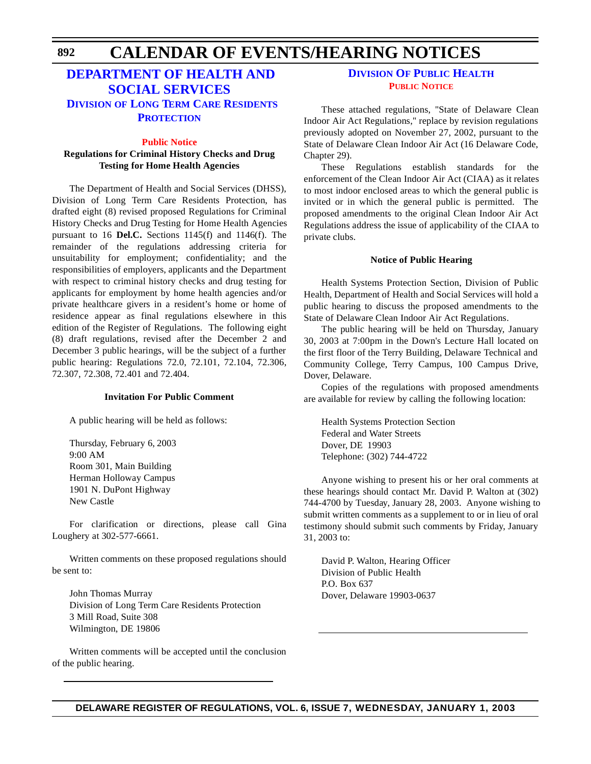#### **CALENDAR OF EVENTS/HEARING NOTICES 892**

### **DEPARTMENT OF HEALTH AND [SOCIAL SERVICES](http://www.state.de.us/dhss/dltc/dltchome.htm) DIVISION OF LONG TERM CARE RESIDENTS PROTECTION**

#### **[Public](#page-3-0) Notice**

### **Regulations for Criminal History Checks and Drug Testing for Home Health Agencies**

The Department of Health and Social Services (DHSS), Division of Long Term Care Residents Protection, has drafted eight (8) revised proposed Regulations for Criminal History Checks and Drug Testing for Home Health Agencies pursuant to 16 **Del.C.** Sections 1145(f) and 1146(f). The remainder of the regulations addressing criteria for unsuitability for employment; confidentiality; and the responsibilities of employers, applicants and the Department with respect to criminal history checks and drug testing for applicants for employment by home health agencies and/or private healthcare givers in a resident's home or home of residence appear as final regulations elsewhere in this edition of the Register of Regulations. The following eight (8) draft regulations, revised after the December 2 and December 3 public hearings, will be the subject of a further public hearing: Regulations 72.0, 72.101, 72.104, 72.306, 72.307, 72.308, 72.401 and 72.404.

#### **Invitation For Public Comment**

A public hearing will be held as follows:

Thursday, February 6, 2003 9:00 AM Room 301, Main Building Herman Holloway Campus 1901 N. DuPont Highway New Castle

For clarification or directions, please call Gina Loughery at 302-577-6661.

Written comments on these proposed regulations should be sent to:

John Thomas Murray Division of Long Term Care Residents Protection 3 Mill Road, Suite 308 Wilmington, DE 19806

Written comments will be accepted until the conclusion of the public hearing.

### **[DIVISION](http://www.state.de.us/dhss/dph/index.htm) OF PUBLIC HEALTH PUBLIC [NOTICE](#page-3-0)**

These attached regulations, "State of Delaware Clean Indoor Air Act Regulations," replace by revision regulations previously adopted on November 27, 2002, pursuant to the State of Delaware Clean Indoor Air Act (16 Delaware Code, Chapter 29).

These Regulations establish standards for the enforcement of the Clean Indoor Air Act (CIAA) as it relates to most indoor enclosed areas to which the general public is invited or in which the general public is permitted. The proposed amendments to the original Clean Indoor Air Act Regulations address the issue of applicability of the CIAA to private clubs.

#### **Notice of Public Hearing**

Health Systems Protection Section, Division of Public Health, Department of Health and Social Services will hold a public hearing to discuss the proposed amendments to the State of Delaware Clean Indoor Air Act Regulations.

The public hearing will be held on Thursday, January 30, 2003 at 7:00pm in the Down's Lecture Hall located on the first floor of the Terry Building, Delaware Technical and Community College, Terry Campus, 100 Campus Drive, Dover, Delaware.

Copies of the regulations with proposed amendments are available for review by calling the following location:

Health Systems Protection Section Federal and Water Streets Dover, DE 19903 Telephone: (302) 744-4722

Anyone wishing to present his or her oral comments at these hearings should contact Mr. David P. Walton at (302) 744-4700 by Tuesday, January 28, 2003. Anyone wishing to submit written comments as a supplement to or in lieu of oral testimony should submit such comments by Friday, January 31, 2003 to:

David P. Walton, Hearing Officer Division of Public Health P.O. Box 637 Dover, Delaware 19903-0637

### **DELAWARE REGISTER OF REGULATIONS, VOL. 6, ISSUE 7, WEDNESDAY, JANUARY 1, 2003**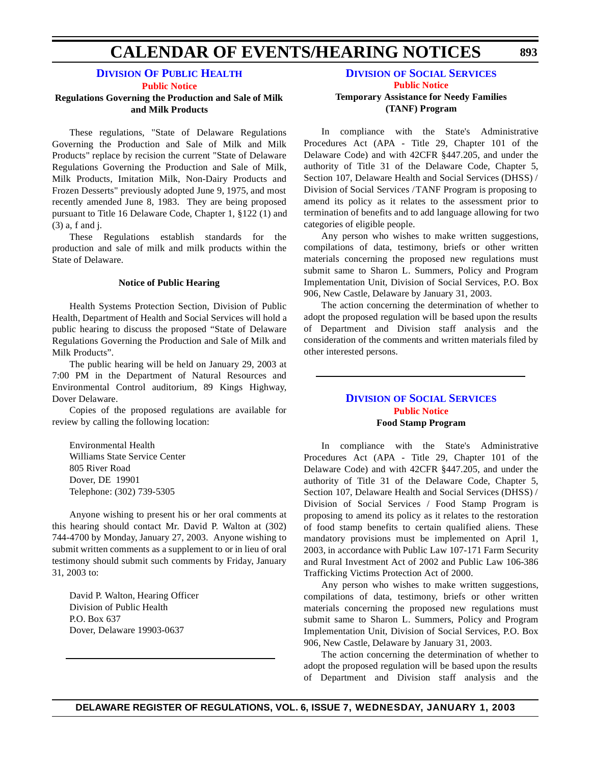# **CALENDAR OF EVENTS/HEARING NOTICES**

### **[DIVISION](http://www.state.de.us/dhss/dph/index.htm) OF PUBLIC HEALTH**

**[Public](#page-3-0) Notice**

#### **Regulations Governing the Production and Sale of Milk and Milk Products**

These regulations, "State of Delaware Regulations Governing the Production and Sale of Milk and Milk Products" replace by recision the current "State of Delaware Regulations Governing the Production and Sale of Milk, Milk Products, Imitation Milk, Non-Dairy Products and Frozen Desserts" previously adopted June 9, 1975, and most recently amended June 8, 1983. They are being proposed pursuant to Title 16 Delaware Code, Chapter 1, §122 (1) and (3) a, f and j.

These Regulations establish standards for the production and sale of milk and milk products within the State of Delaware.

#### **Notice of Public Hearing**

Health Systems Protection Section, Division of Public Health, Department of Health and Social Services will hold a public hearing to discuss the proposed "State of Delaware Regulations Governing the Production and Sale of Milk and Milk Products".

The public hearing will be held on January 29, 2003 at 7:00 PM in the Department of Natural Resources and Environmental Control auditorium, 89 Kings Highway, Dover Delaware.

Copies of the proposed regulations are available for review by calling the following location:

Environmental Health Williams State Service Center 805 River Road Dover, DE 19901 Telephone: (302) 739-5305

Anyone wishing to present his or her oral comments at this hearing should contact Mr. David P. Walton at (302) 744-4700 by Monday, January 27, 2003. Anyone wishing to submit written comments as a supplement to or in lieu of oral testimony should submit such comments by Friday, January 31, 2003 to:

David P. Walton, Hearing Officer Division of Public Health P.O. Box 637 Dover, Delaware 19903-0637

#### **DIVISION OF SOCIAL [SERVICES](http://www.state.de.us/dhss/dss/dsshome.html) Public [Notice](#page-3-0) Temporary Assistance for Needy Families (TANF) Program**

In compliance with the State's Administrative Procedures Act (APA - Title 29, Chapter 101 of the Delaware Code) and with 42CFR §447.205, and under the authority of Title 31 of the Delaware Code, Chapter 5, Section 107, Delaware Health and Social Services (DHSS) / Division of Social Services / TANF Program is proposing to amend its policy as it relates to the assessment prior to termination of benefits and to add language allowing for two categories of eligible people.

Any person who wishes to make written suggestions, compilations of data, testimony, briefs or other written materials concerning the proposed new regulations must submit same to Sharon L. Summers, Policy and Program Implementation Unit, Division of Social Services, P.O. Box 906, New Castle, Delaware by January 31, 2003.

The action concerning the determination of whether to adopt the proposed regulation will be based upon the results of Department and Division staff analysis and the consideration of the comments and written materials filed by other interested persons.

### **DIVISION OF SOCIAL [SERVICES](http://www.state.de.us/dhss/dss/dsshome.html) Public [Notice](#page-3-0) Food Stamp Program**

In compliance with the State's Administrative Procedures Act (APA - Title 29, Chapter 101 of the Delaware Code) and with 42CFR §447.205, and under the authority of Title 31 of the Delaware Code, Chapter 5, Section 107, Delaware Health and Social Services (DHSS) / Division of Social Services / Food Stamp Program is proposing to amend its policy as it relates to the restoration of food stamp benefits to certain qualified aliens. These mandatory provisions must be implemented on April 1, 2003, in accordance with Public Law 107-171 Farm Security and Rural Investment Act of 2002 and Public Law 106-386 Trafficking Victims Protection Act of 2000.

Any person who wishes to make written suggestions, compilations of data, testimony, briefs or other written materials concerning the proposed new regulations must submit same to Sharon L. Summers, Policy and Program Implementation Unit, Division of Social Services, P.O. Box 906, New Castle, Delaware by January 31, 2003.

The action concerning the determination of whether to adopt the proposed regulation will be based upon the results of Department and Division staff analysis and the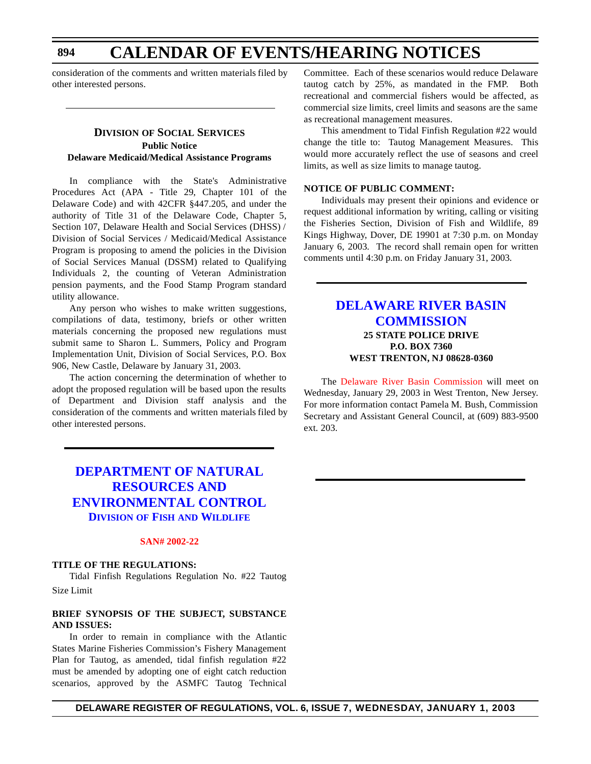### **CALENDAR OF EVENTS/HEARING NOTICES**

consideration of the comments and written materials filed by other interested persons.

#### **DIVISION OF SOCIAL SERVICES Public Notice Delaware Medicaid/Medical Assistance Programs**

In compliance with the State's Administrative Procedures Act (APA - Title 29, Chapter 101 of the Delaware Code) and with 42CFR §447.205, and under the authority of Title 31 of the Delaware Code, Chapter 5, Section 107, Delaware Health and Social Services (DHSS) / Division of Social Services / Medicaid/Medical Assistance Program is proposing to amend the policies in the Division of Social Services Manual (DSSM) related to Qualifying Individuals 2, the counting of Veteran Administration pension payments, and the Food Stamp Program standard utility allowance.

Any person who wishes to make written suggestions, compilations of data, testimony, briefs or other written materials concerning the proposed new regulations must submit same to Sharon L. Summers, Policy and Program Implementation Unit, Division of Social Services, P.O. Box 906, New Castle, Delaware by January 31, 2003.

The action concerning the determination of whether to adopt the proposed regulation will be based upon the results of Department and Division staff analysis and the consideration of the comments and written materials filed by other interested persons.

Committee. Each of these scenarios would reduce Delaware tautog catch by 25%, as mandated in the FMP. Both recreational and commercial fishers would be affected, as commercial size limits, creel limits and seasons are the same as recreational management measures.

This amendment to Tidal Finfish Regulation #22 would change the title to: Tautog Management Measures. This would more accurately reflect the use of seasons and creel limits, as well as size limits to manage tautog.

#### **NOTICE OF PUBLIC COMMENT:**

Individuals may present their opinions and evidence or request additional information by writing, calling or visiting the Fisheries Section, Division of Fish and Wildlife, 89 Kings Highway, Dover, DE 19901 at 7:30 p.m. on Monday January 6, 2003. The record shall remain open for written comments until 4:30 p.m. on Friday January 31, 2003.

#### **DELAWARE RIVER BASIN [COMMISSION](http://www.state.nj.us/drbc/drbc.htm) 25 STATE POLICE DRIVE P.O. BOX 7360 WEST TRENTON, NJ 08628-0360**

The Delaware [River Basin Commission](#page-3-0) will meet on Wednesday, January 29, 2003 in West Trenton, New Jersey. For more information contact Pamela M. Bush, Commission Secretary and Assistant General Council, at (609) 883-9500 ext. 203.

### **DEPARTMENT OF NATURAL RESOURCES AND [ENVIRONMENTAL CONTROL](http://www.dnrec.state.de.us/DNREC2000/Divisions/FW/FW.htm) DIVISION OF FISH AND WILDLIFE**

#### **SAN# [2002-22](#page-3-0)**

#### **TITLE OF THE REGULATIONS:**

Tidal Finfish Regulations Regulation No. #22 Tautog Size Limit

#### **BRIEF SYNOPSIS OF THE SUBJECT, SUBSTANCE AND ISSUES:**

In order to remain in compliance with the Atlantic States Marine Fisheries Commission's Fishery Management Plan for Tautog, as amended, tidal finfish regulation #22 must be amended by adopting one of eight catch reduction scenarios, approved by the ASMFC Tautog Technical

**894**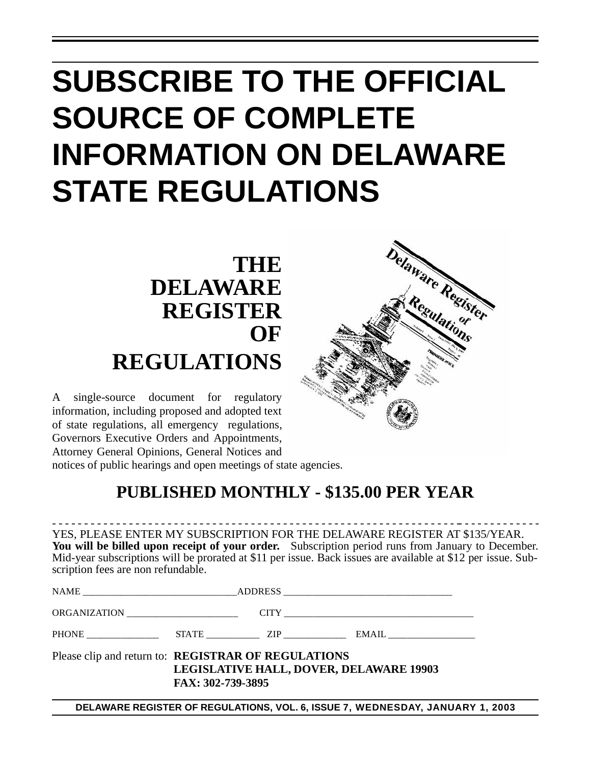# **SUBSCRIBE TO THE OFFICIAL SOURCE OF COMPLETE INFORMATION ON DELAWARE STATE REGULATIONS**

## **THE DELAWARE REGISTER OF REGULATIONS**

A single-source document for regulatory information, including proposed and adopted text of state regulations, all emergency regulations, Governors Executive Orders and Appointments, Attorney General Opinions, General Notices and

notices of public hearings and open meetings of state agencies.

### **PUBLISHED MONTHLY - \$135.00 PER YEAR**

- - - - - - - - - - - - - - - - - - - - - - - - - - - - - - - - - - - - - - - - - - - - - - - - - - - - - - - - - - - - - - - -- - - - - - - - - - - - - YES, PLEASE ENTER MY SUBSCRIPTION FOR THE DELAWARE REGISTER AT \$135/YEAR. **You will be billed upon receipt of your order.** Subscription period runs from January to December. Mid-year subscriptions will be prorated at \$11 per issue. Back issues are available at \$12 per issue. Subscription fees are non refundable.

| ORGANIZATION                                               |                   |                                                |
|------------------------------------------------------------|-------------------|------------------------------------------------|
|                                                            |                   |                                                |
| Please clip and return to: <b>REGISTRAR OF REGULATIONS</b> | FAX: 302-739-3895 | <b>LEGISLATIVE HALL, DOVER, DELAWARE 19903</b> |

**DELAWARE REGISTER OF REGULATIONS, VOL. 6, ISSUE 7, WEDNESDAY, JANUARY 1, 2003**

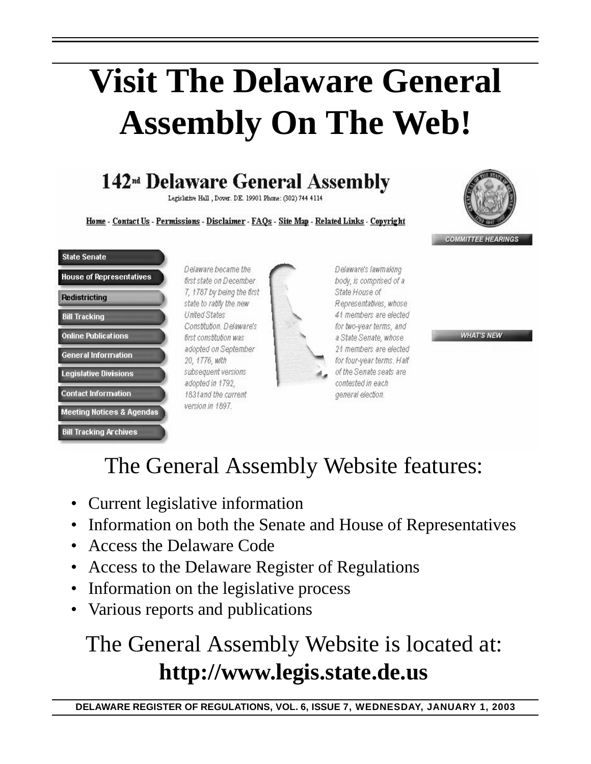# **Visit The Delaware General Assembly On The Web!**

## 142<sup>nd</sup> Delaware General Assembly

Legislative Hall, Dover. DE. 19901 Phone: (302) 744 4114

Home - Contact Us - Permissions - Disclaimer - FAQs - Site Map - Related Links - Copyright



**COMMITTEE HEARINGS** 

### **State Senate House of Representatives Redistricting Bill Tracking Online Publications General Information Legislative Divisions Contact Information Meeting Notices & Agendas Bill Tracking Archives**

Delaware became the first state on December 7, 1787 by being the first state to ratify the new **United States** Constitution, Delaware's first constitution was adopted on September 20, 1776, with subsequent versions adopted in 1792, 1831and the current version in 1897.



Delaware's lawmaking body, is comprised of a State House of Representatives, whose 41 members are elected for two-year terms, and a State Senate, whose 21 members are elected for four-year terms. Half of the Senate seats are contested in each general election.

**WHAT'S NEW** 

## The General Assembly Website features:

- Current legislative information
- Information on both the Senate and House of Representatives
- Access the Delaware Code
- Access to the Delaware Register of Regulations
- Information on the legislative process
- Various reports and publications

## The General Assembly Website is located at: **http://www.legis.state.de.us**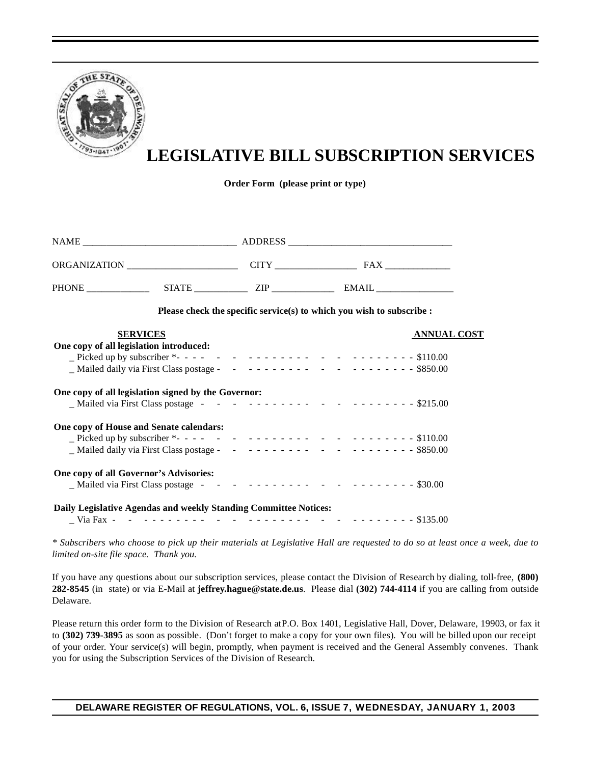

## **LEGISLATIVE BILL SUBSCRIPTION SERVICES**

**Order Form (please print or type)**

| ORGANIZATION ________________________   |                                                                       |                    |
|-----------------------------------------|-----------------------------------------------------------------------|--------------------|
|                                         |                                                                       |                    |
|                                         | Please check the specific service(s) to which you wish to subscribe : |                    |
| <b>SERVICES</b>                         |                                                                       | <b>ANNUAL COST</b> |
| One copy of all legislation introduced: |                                                                       |                    |
|                                         |                                                                       |                    |
|                                         |                                                                       |                    |

| One copy of all legislation signed by the Governor:              |  |  |  |  |  |
|------------------------------------------------------------------|--|--|--|--|--|
| One copy of House and Senate calendars:                          |  |  |  |  |  |
| One copy of all Governor's Advisories:                           |  |  |  |  |  |
| Daily Legislative Agendas and weekly Standing Committee Notices: |  |  |  |  |  |

\_ Via Fax - - - - - - - - - - - - - - - - - - - - - - - - - - - - - - \$135.00

*\* Subscribers who choose to pick up their materials at Legislative Hall are requested to do so at least once a week, due to limited on-site file space. Thank you.*

If you have any questions about our subscription services, please contact the Division of Research by dialing, toll-free, **(800) 282-8545** (in state) or via E-Mail at **jeffrey.hague@state.de.us**. Please dial **(302) 744-4114** if you are calling from outside Delaware.

Please return this order form to the Division of Research at P.O. Box 1401, Legislative Hall, Dover, Delaware, 19903, or fax it to **(302) 739-3895** as soon as possible. (Don't forget to make a copy for your own files). You will be billed upon our receipt of your order. Your service(s) will begin, promptly, when payment is received and the General Assembly convenes. Thank you for using the Subscription Services of the Division of Research.